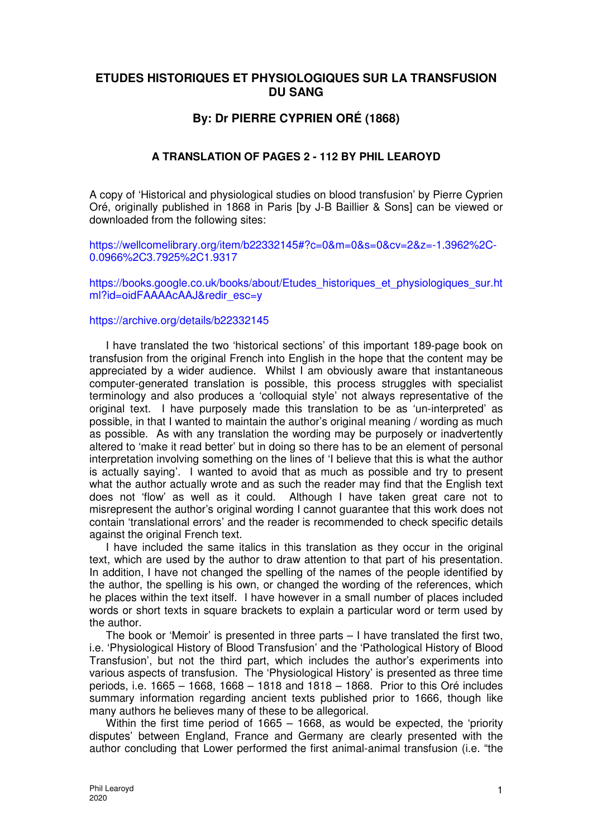# **ETUDES HISTORIQUES ET PHYSIOLOGIQUES SUR LA TRANSFUSION DU SANG**

# **By: Dr PIERRE CYPRIEN ORÉ (1868)**

# **A TRANSLATION OF PAGES 2 - 112 BY PHIL LEAROYD**

A copy of 'Historical and physiological studies on blood transfusion' by Pierre Cyprien Oré, originally published in 1868 in Paris [by J-B Baillier & Sons] can be viewed or downloaded from the following sites:

https://wellcomelibrary.org/item/b22332145#?c=0&m=0&s=0&cv=2&z=-1.3962%2C-0.0966%2C3.7925%2C1.9317

https://books.google.co.uk/books/about/Etudes\_historiques\_et\_physiologiques\_sur.ht ml?id=oidFAAAAcAAJ&redir\_esc=y

#### https://archive.org/details/b22332145

I have translated the two 'historical sections' of this important 189-page book on transfusion from the original French into English in the hope that the content may be appreciated by a wider audience. Whilst I am obviously aware that instantaneous computer-generated translation is possible, this process struggles with specialist terminology and also produces a 'colloquial style' not always representative of the original text. I have purposely made this translation to be as 'un-interpreted' as possible, in that I wanted to maintain the author's original meaning / wording as much as possible. As with any translation the wording may be purposely or inadvertently altered to 'make it read better' but in doing so there has to be an element of personal interpretation involving something on the lines of 'I believe that this is what the author is actually saying'. I wanted to avoid that as much as possible and try to present what the author actually wrote and as such the reader may find that the English text does not 'flow' as well as it could. Although I have taken great care not to misrepresent the author's original wording I cannot guarantee that this work does not contain 'translational errors' and the reader is recommended to check specific details against the original French text.

I have included the same italics in this translation as they occur in the original text, which are used by the author to draw attention to that part of his presentation. In addition, I have not changed the spelling of the names of the people identified by the author, the spelling is his own, or changed the wording of the references, which he places within the text itself. I have however in a small number of places included words or short texts in square brackets to explain a particular word or term used by the author.

The book or 'Memoir' is presented in three parts – I have translated the first two, i.e. 'Physiological History of Blood Transfusion' and the 'Pathological History of Blood Transfusion', but not the third part, which includes the author's experiments into various aspects of transfusion. The 'Physiological History' is presented as three time periods, i.e. 1665 – 1668, 1668 – 1818 and 1818 – 1868. Prior to this Oré includes summary information regarding ancient texts published prior to 1666, though like many authors he believes many of these to be allegorical.

Within the first time period of 1665 – 1668, as would be expected, the 'priority disputes' between England, France and Germany are clearly presented with the author concluding that Lower performed the first animal-animal transfusion (i.e. "the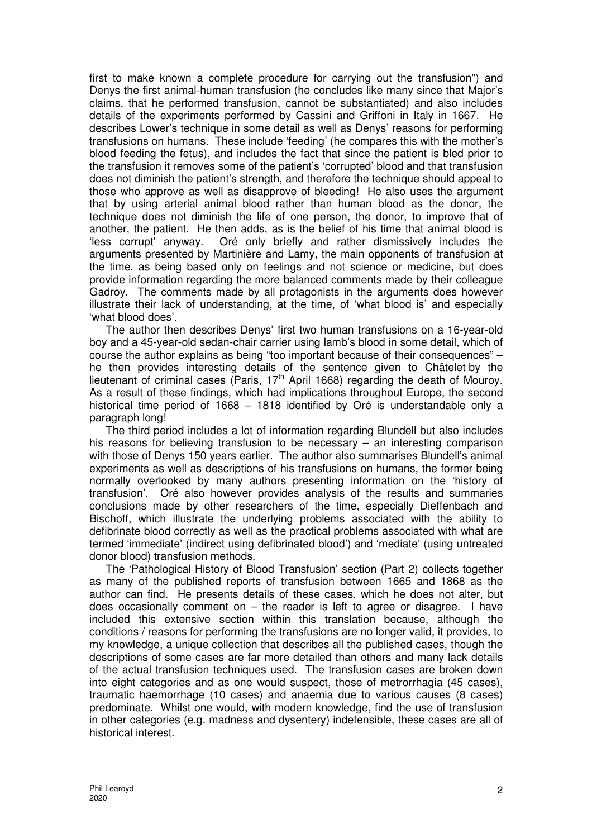first to make known a complete procedure for carrying out the transfusion") and Denys the first animal-human transfusion (he concludes like many since that Major's claims, that he performed transfusion, cannot be substantiated) and also includes details of the experiments performed by Cassini and Griffoni in Italy in 1667. He describes Lower's technique in some detail as well as Denys' reasons for performing transfusions on humans. These include 'feeding' (he compares this with the mother's blood feeding the fetus), and includes the fact that since the patient is bled prior to the transfusion it removes some of the patient's 'corrupted' blood and that transfusion does not diminish the patient's strength, and therefore the technique should appeal to those who approve as well as disapprove of bleeding! He also uses the argument that by using arterial animal blood rather than human blood as the donor, the technique does not diminish the life of one person, the donor, to improve that of another, the patient. He then adds, as is the belief of his time that animal blood is 'less corrupt' anyway. Oré only briefly and rather dismissively includes the arguments presented by Martinière and Lamy, the main opponents of transfusion at the time, as being based only on feelings and not science or medicine, but does provide information regarding the more balanced comments made by their colleague Gadroy. The comments made by all protagonists in the arguments does however illustrate their lack of understanding, at the time, of 'what blood is' and especially 'what blood does'.

The author then describes Denys' first two human transfusions on a 16-year-old boy and a 45-year-old sedan-chair carrier using lamb's blood in some detail, which of course the author explains as being "too important because of their consequences" – he then provides interesting details of the sentence given to Châtelet by the lieutenant of criminal cases (Paris, 17th April 1668) regarding the death of Mouroy. As a result of these findings, which had implications throughout Europe, the second historical time period of 1668 – 1818 identified by Oré is understandable only a paragraph long!

The third period includes a lot of information regarding Blundell but also includes his reasons for believing transfusion to be necessary – an interesting comparison with those of Denys 150 years earlier. The author also summarises Blundell's animal experiments as well as descriptions of his transfusions on humans, the former being normally overlooked by many authors presenting information on the 'history of transfusion'. Oré also however provides analysis of the results and summaries conclusions made by other researchers of the time, especially Dieffenbach and Bischoff, which illustrate the underlying problems associated with the ability to defibrinate blood correctly as well as the practical problems associated with what are termed 'immediate' (indirect using defibrinated blood') and 'mediate' (using untreated donor blood) transfusion methods.

The 'Pathological History of Blood Transfusion' section (Part 2) collects together as many of the published reports of transfusion between 1665 and 1868 as the author can find. He presents details of these cases, which he does not alter, but does occasionally comment on  $-$  the reader is left to agree or disagree. I have included this extensive section within this translation because, although the conditions / reasons for performing the transfusions are no longer valid, it provides, to my knowledge, a unique collection that describes all the published cases, though the descriptions of some cases are far more detailed than others and many lack details of the actual transfusion techniques used. The transfusion cases are broken down into eight categories and as one would suspect, those of metrorrhagia (45 cases), traumatic haemorrhage (10 cases) and anaemia due to various causes (8 cases) predominate. Whilst one would, with modern knowledge, find the use of transfusion in other categories (e.g. madness and dysentery) indefensible, these cases are all of historical interest.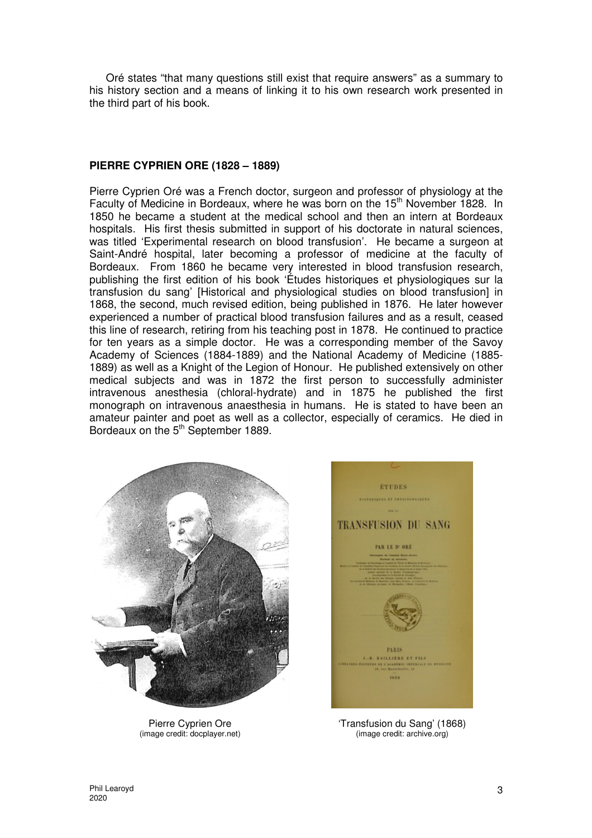Oré states "that many questions still exist that require answers" as a summary to his history section and a means of linking it to his own research work presented in the third part of his book.

## **PIERRE CYPRIEN ORE (1828 – 1889)**

Pierre Cyprien Oré was a French doctor, surgeon and professor of physiology at the Faculty of Medicine in Bordeaux, where he was born on the 15<sup>th</sup> November 1828. In 1850 he became a student at the medical school and then an intern at Bordeaux hospitals. His first thesis submitted in support of his doctorate in natural sciences, was titled 'Experimental research on blood transfusion'. He became a surgeon at Saint-André hospital, later becoming a professor of medicine at the faculty of Bordeaux. From 1860 he became very interested in blood transfusion research, publishing the first edition of his book 'Études historiques et physiologiques sur la transfusion du sang' [Historical and physiological studies on blood transfusion] in 1868, the second, much revised edition, being published in 1876. He later however experienced a number of practical blood transfusion failures and as a result, ceased this line of research, retiring from his teaching post in 1878. He continued to practice for ten years as a simple doctor. He was a corresponding member of the Savoy Academy of Sciences (1884-1889) and the National Academy of Medicine (1885- 1889) as well as a Knight of the Legion of Honour. He published extensively on other medical subjects and was in 1872 the first person to successfully administer intravenous anesthesia (chloral-hydrate) and in 1875 he published the first monograph on intravenous anaesthesia in humans. He is stated to have been an amateur painter and poet as well as a collector, especially of ceramics. He died in Bordeaux on the 5<sup>th</sup> September 1889.



Pierre Cyprien Ore (image credit: docplayer.net)



'Transfusion du Sang' (1868) (image credit: archive.org)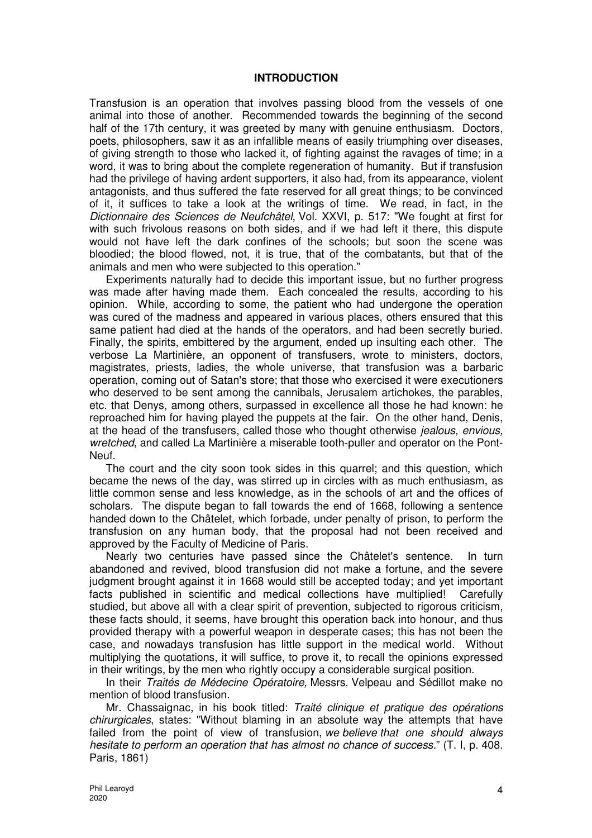#### **INTRODUCTION**

Transfusion is an operation that involves passing blood from the vessels of one animal into those of another. Recommended towards the beginning of the second half of the 17th century, it was greeted by many with genuine enthusiasm. Doctors, poets, philosophers, saw it as an infallible means of easily triumphing over diseases, of giving strength to those who lacked it, of fighting against the ravages of time; in a word, it was to bring about the complete regeneration of humanity. But if transfusion had the privilege of having ardent supporters, it also had, from its appearance, violent antagonists, and thus suffered the fate reserved for all great things; to be convinced of it, it suffices to take a look at the writings of time. We read, in fact, in the Dictionnaire des Sciences de Neufchâtel, Vol. XXVI, p. 517: "We fought at first for with such frivolous reasons on both sides, and if we had left it there, this dispute would not have left the dark confines of the schools; but soon the scene was bloodied; the blood flowed, not, it is true, that of the combatants, but that of the animals and men who were subjected to this operation."

Experiments naturally had to decide this important issue, but no further progress was made after having made them. Each concealed the results, according to his opinion. While, according to some, the patient who had undergone the operation was cured of the madness and appeared in various places, others ensured that this same patient had died at the hands of the operators, and had been secretly buried. Finally, the spirits, embittered by the argument, ended up insulting each other. The verbose La Martinière, an opponent of transfusers, wrote to ministers, doctors, magistrates, priests, ladies, the whole universe, that transfusion was a barbaric operation, coming out of Satan's store; that those who exercised it were executioners who deserved to be sent among the cannibals, Jerusalem artichokes, the parables, etc. that Denys, among others, surpassed in excellence all those he had known: he reproached him for having played the puppets at the fair. On the other hand, Denis, at the head of the transfusers, called those who thought otherwise jealous, envious, wretched, and called La Martinière a miserable tooth-puller and operator on the Pont-Neuf.

The court and the city soon took sides in this quarrel; and this question, which became the news of the day, was stirred up in circles with as much enthusiasm, as little common sense and less knowledge, as in the schools of art and the offices of scholars. The dispute began to fall towards the end of 1668, following a sentence handed down to the Châtelet, which forbade, under penalty of prison, to perform the transfusion on any human body, that the proposal had not been received and approved by the Faculty of Medicine of Paris.

Nearly two centuries have passed since the Châtelet's sentence. In turn abandoned and revived, blood transfusion did not make a fortune, and the severe judgment brought against it in 1668 would still be accepted today; and yet important facts published in scientific and medical collections have multiplied! Carefully studied, but above all with a clear spirit of prevention, subjected to rigorous criticism, these facts should, it seems, have brought this operation back into honour, and thus provided therapy with a powerful weapon in desperate cases; this has not been the case, and nowadays transfusion has little support in the medical world. Without multiplying the quotations, it will suffice, to prove it, to recall the opinions expressed in their writings, by the men who rightly occupy a considerable surgical position.

In their Traités de Médecine Opératoire, Messrs. Velpeau and Sédillot make no mention of blood transfusion.

Mr. Chassaignac, in his book titled: Traité clinique et pratique des opérations chirurgicales, states: "Without blaming in an absolute way the attempts that have failed from the point of view of transfusion, we believe that one should always hesitate to perform an operation that has almost no chance of success." (T. I, p. 408. Paris, 1861)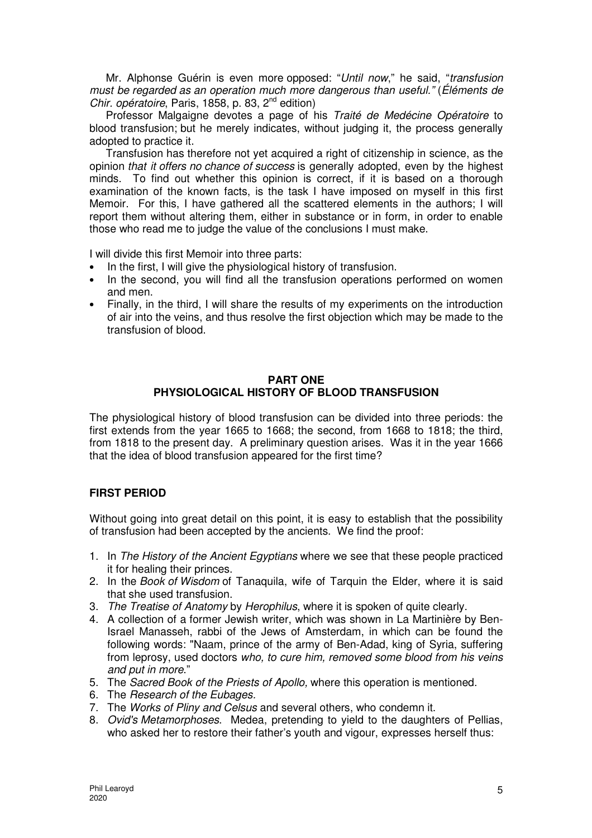Mr. Alphonse Guérin is even more opposed: "Until now," he said, "transfusion must be regarded as an operation much more dangerous than useful." (Éléments de Chir. opératoire, Paris, 1858, p. 83,  $2^{nd}$  edition)

Professor Malgaigne devotes a page of his Traité de Medécine Opératoire to blood transfusion; but he merely indicates, without judging it, the process generally adopted to practice it.

Transfusion has therefore not yet acquired a right of citizenship in science, as the opinion that it offers no chance of success is generally adopted, even by the highest minds. To find out whether this opinion is correct, if it is based on a thorough examination of the known facts, is the task I have imposed on myself in this first Memoir. For this, I have gathered all the scattered elements in the authors; I will report them without altering them, either in substance or in form, in order to enable those who read me to judge the value of the conclusions I must make.

I will divide this first Memoir into three parts:

- In the first, I will give the physiological history of transfusion.
- In the second, you will find all the transfusion operations performed on women and men.
- Finally, in the third, I will share the results of my experiments on the introduction of air into the veins, and thus resolve the first objection which may be made to the transfusion of blood.

#### **PART ONE PHYSIOLOGICAL HISTORY OF BLOOD TRANSFUSION**

The physiological history of blood transfusion can be divided into three periods: the first extends from the year 1665 to 1668; the second, from 1668 to 1818; the third, from 1818 to the present day. A preliminary question arises. Was it in the year 1666 that the idea of blood transfusion appeared for the first time?

## **FIRST PERIOD**

Without going into great detail on this point, it is easy to establish that the possibility of transfusion had been accepted by the ancients. We find the proof:

- 1. In The History of the Ancient Egyptians where we see that these people practiced it for healing their princes.
- 2. In the Book of Wisdom of Tanaquila, wife of Tarquin the Elder, where it is said that she used transfusion.
- 3. The Treatise of Anatomy by Herophilus, where it is spoken of quite clearly.
- 4. A collection of a former Jewish writer, which was shown in La Martinière by Ben-Israel Manasseh, rabbi of the Jews of Amsterdam, in which can be found the following words: "Naam, prince of the army of Ben-Adad, king of Syria, suffering from leprosy, used doctors who, to cure him, removed some blood from his veins and put in more."
- 5. The Sacred Book of the Priests of Apollo, where this operation is mentioned.
- 6. The Research of the Eubages.
- 7. The Works of Pliny and Celsus and several others, who condemn it.
- 8. *Ovid's Metamorphoses*. Medea, pretending to yield to the daughters of Pellias, who asked her to restore their father's youth and vigour, expresses herself thus: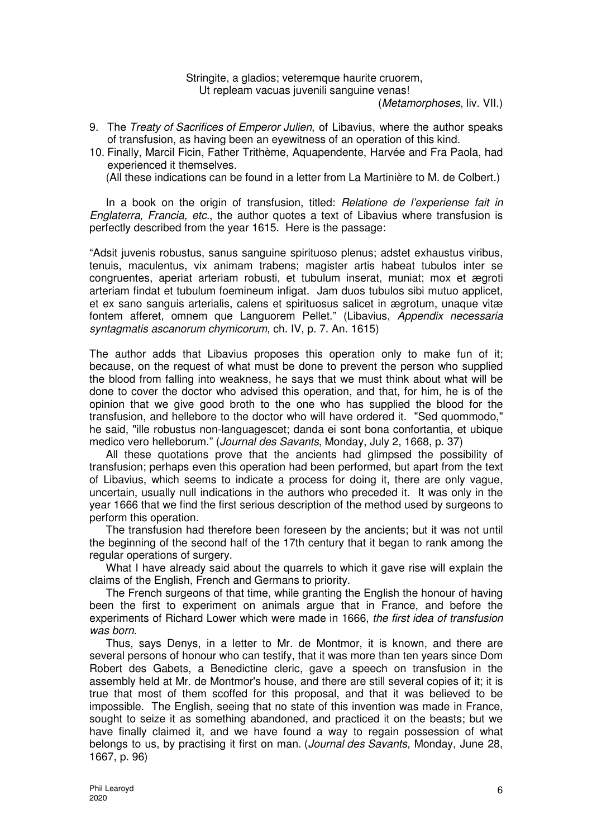Stringite, a gladios; veteremque haurite cruorem, Ut repleam vacuas juvenili sanguine venas!

(Metamorphoses, liv. VII.)

- 9. The Treaty of Sacrifices of Emperor Julien, of Libavius, where the author speaks of transfusion, as having been an eyewitness of an operation of this kind.
- 10. Finally, Marcil Ficin, Father Trithème, Aquapendente, Harvée and Fra Paola, had experienced it themselves.

(All these indications can be found in a letter from La Martinière to M. de Colbert.)

In a book on the origin of transfusion, titled: Relatione de l'experiense fait in Englaterra, Francia, etc., the author quotes a text of Libavius where transfusion is perfectly described from the year 1615. Here is the passage:

"Adsit juvenis robustus, sanus sanguine spirituoso plenus; adstet exhaustus viribus, tenuis, maculentus, vix animam trabens; magister artis habeat tubulos inter se congruentes, aperiat arteriam robusti, et tubulum inserat, muniat; mox et ægroti arteriam findat et tubulum foemineum infigat. Jam duos tubulos sibi mutuo applicet, et ex sano sanguis arterialis, calens et spirituosus salicet in ægrotum, unaque vitæ fontem afferet, omnem que Languorem Pellet." (Libavius, Appendix necessaria syntagmatis ascanorum chymicorum, ch. IV, p. 7. An. 1615)

The author adds that Libavius proposes this operation only to make fun of it; because, on the request of what must be done to prevent the person who supplied the blood from falling into weakness, he says that we must think about what will be done to cover the doctor who advised this operation, and that, for him, he is of the opinion that we give good broth to the one who has supplied the blood for the transfusion, and hellebore to the doctor who will have ordered it. "Sed quommodo," he said, "ille robustus non-languagescet; danda ei sont bona confortantia, et ubique medico vero helleborum." (Journal des Savants, Monday, July 2, 1668, p. 37)

All these quotations prove that the ancients had glimpsed the possibility of transfusion; perhaps even this operation had been performed, but apart from the text of Libavius, which seems to indicate a process for doing it, there are only vague, uncertain, usually null indications in the authors who preceded it. It was only in the year 1666 that we find the first serious description of the method used by surgeons to perform this operation.

The transfusion had therefore been foreseen by the ancients; but it was not until the beginning of the second half of the 17th century that it began to rank among the regular operations of surgery.

What I have already said about the quarrels to which it gave rise will explain the claims of the English, French and Germans to priority.

The French surgeons of that time, while granting the English the honour of having been the first to experiment on animals argue that in France, and before the experiments of Richard Lower which were made in 1666, the first idea of transfusion was born.

Thus, says Denys, in a letter to Mr. de Montmor, it is known, and there are several persons of honour who can testify, that it was more than ten years since Dom Robert des Gabets, a Benedictine cleric, gave a speech on transfusion in the assembly held at Mr. de Montmor's house, and there are still several copies of it; it is true that most of them scoffed for this proposal, and that it was believed to be impossible. The English, seeing that no state of this invention was made in France, sought to seize it as something abandoned, and practiced it on the beasts; but we have finally claimed it, and we have found a way to regain possession of what belongs to us, by practising it first on man. (Journal des Savants, Monday, June 28, 1667, p. 96)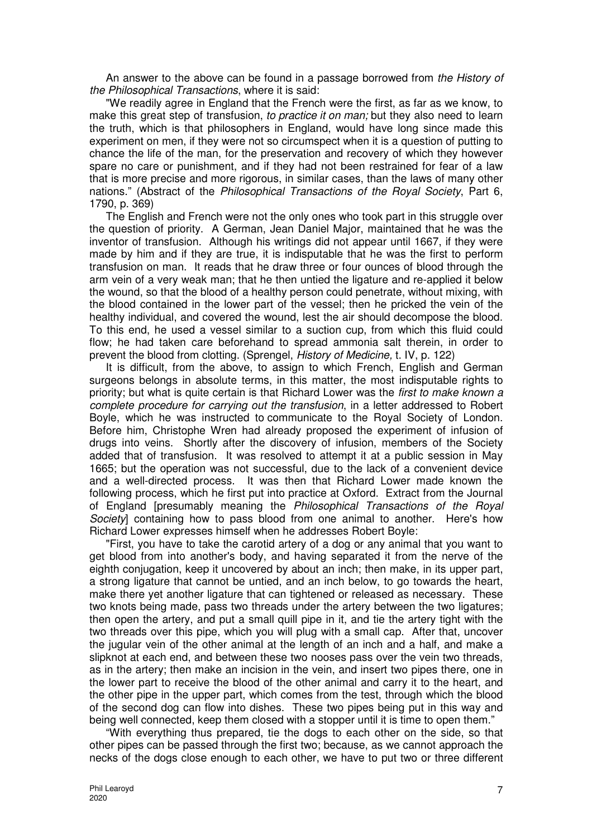An answer to the above can be found in a passage borrowed from the History of the Philosophical Transactions, where it is said:

"We readily agree in England that the French were the first, as far as we know, to make this great step of transfusion, to practice it on man; but they also need to learn the truth, which is that philosophers in England, would have long since made this experiment on men, if they were not so circumspect when it is a question of putting to chance the life of the man, for the preservation and recovery of which they however spare no care or punishment, and if they had not been restrained for fear of a law that is more precise and more rigorous, in similar cases, than the laws of many other nations." (Abstract of the Philosophical Transactions of the Royal Society, Part 6, 1790, p. 369)

The English and French were not the only ones who took part in this struggle over the question of priority. A German, Jean Daniel Major, maintained that he was the inventor of transfusion. Although his writings did not appear until 1667, if they were made by him and if they are true, it is indisputable that he was the first to perform transfusion on man. It reads that he draw three or four ounces of blood through the arm vein of a very weak man; that he then untied the ligature and re-applied it below the wound, so that the blood of a healthy person could penetrate, without mixing, with the blood contained in the lower part of the vessel; then he pricked the vein of the healthy individual, and covered the wound, lest the air should decompose the blood. To this end, he used a vessel similar to a suction cup, from which this fluid could flow; he had taken care beforehand to spread ammonia salt therein, in order to prevent the blood from clotting. (Sprengel, History of Medicine, t. IV, p. 122)

It is difficult, from the above, to assign to which French, English and German surgeons belongs in absolute terms, in this matter, the most indisputable rights to priority; but what is quite certain is that Richard Lower was the first to make known a complete procedure for carrying out the transfusion, in a letter addressed to Robert Boyle, which he was instructed to communicate to the Royal Society of London. Before him, Christophe Wren had already proposed the experiment of infusion of drugs into veins. Shortly after the discovery of infusion, members of the Society added that of transfusion. It was resolved to attempt it at a public session in May 1665; but the operation was not successful, due to the lack of a convenient device and a well-directed process. It was then that Richard Lower made known the following process, which he first put into practice at Oxford. Extract from the Journal of England [presumably meaning the Philosophical Transactions of the Royal Society] containing how to pass blood from one animal to another. Here's how Richard Lower expresses himself when he addresses Robert Boyle:

"First, you have to take the carotid artery of a dog or any animal that you want to get blood from into another's body, and having separated it from the nerve of the eighth conjugation, keep it uncovered by about an inch; then make, in its upper part, a strong ligature that cannot be untied, and an inch below, to go towards the heart, make there yet another ligature that can tightened or released as necessary. These two knots being made, pass two threads under the artery between the two ligatures; then open the artery, and put a small quill pipe in it, and tie the artery tight with the two threads over this pipe, which you will plug with a small cap. After that, uncover the jugular vein of the other animal at the length of an inch and a half, and make a slipknot at each end, and between these two nooses pass over the vein two threads, as in the artery; then make an incision in the vein, and insert two pipes there, one in the lower part to receive the blood of the other animal and carry it to the heart, and the other pipe in the upper part, which comes from the test, through which the blood of the second dog can flow into dishes. These two pipes being put in this way and being well connected, keep them closed with a stopper until it is time to open them."

"With everything thus prepared, tie the dogs to each other on the side, so that other pipes can be passed through the first two; because, as we cannot approach the necks of the dogs close enough to each other, we have to put two or three different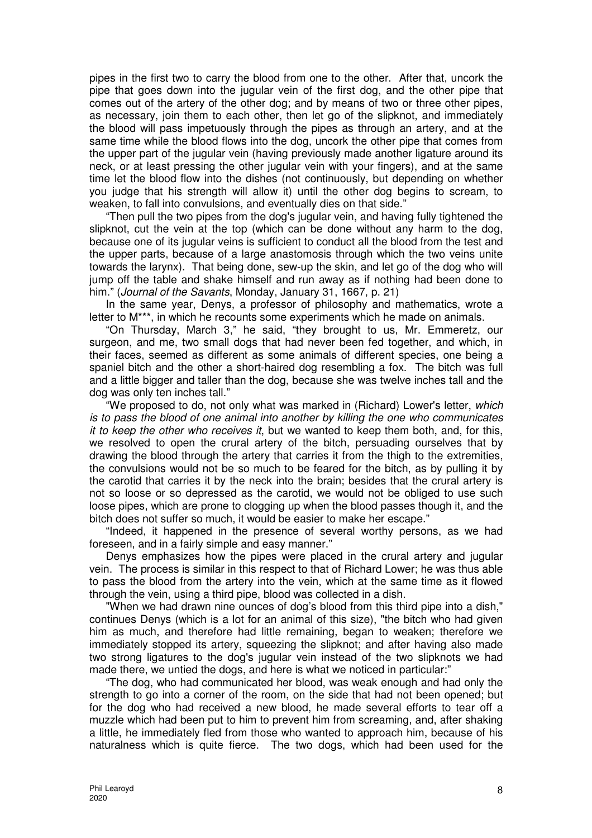pipes in the first two to carry the blood from one to the other. After that, uncork the pipe that goes down into the jugular vein of the first dog, and the other pipe that comes out of the artery of the other dog; and by means of two or three other pipes, as necessary, join them to each other, then let go of the slipknot, and immediately the blood will pass impetuously through the pipes as through an artery, and at the same time while the blood flows into the dog, uncork the other pipe that comes from the upper part of the jugular vein (having previously made another ligature around its neck, or at least pressing the other jugular vein with your fingers), and at the same time let the blood flow into the dishes (not continuously, but depending on whether you judge that his strength will allow it) until the other dog begins to scream, to weaken, to fall into convulsions, and eventually dies on that side."

"Then pull the two pipes from the dog's jugular vein, and having fully tightened the slipknot, cut the vein at the top (which can be done without any harm to the dog, because one of its jugular veins is sufficient to conduct all the blood from the test and the upper parts, because of a large anastomosis through which the two veins unite towards the larynx). That being done, sew-up the skin, and let go of the dog who will jump off the table and shake himself and run away as if nothing had been done to him." (Journal of the Savants, Monday, January 31, 1667, p. 21)

In the same year, Denys, a professor of philosophy and mathematics, wrote a letter to M\*\*\*, in which he recounts some experiments which he made on animals.

"On Thursday, March 3," he said, "they brought to us, Mr. Emmeretz, our surgeon, and me, two small dogs that had never been fed together, and which, in their faces, seemed as different as some animals of different species, one being a spaniel bitch and the other a short-haired dog resembling a fox. The bitch was full and a little bigger and taller than the dog, because she was twelve inches tall and the dog was only ten inches tall."

"We proposed to do, not only what was marked in (Richard) Lower's letter, which is to pass the blood of one animal into another by killing the one who communicates it to keep the other who receives it, but we wanted to keep them both, and, for this, we resolved to open the crural artery of the bitch, persuading ourselves that by drawing the blood through the artery that carries it from the thigh to the extremities, the convulsions would not be so much to be feared for the bitch, as by pulling it by the carotid that carries it by the neck into the brain; besides that the crural artery is not so loose or so depressed as the carotid, we would not be obliged to use such loose pipes, which are prone to clogging up when the blood passes though it, and the bitch does not suffer so much, it would be easier to make her escape."

"Indeed, it happened in the presence of several worthy persons, as we had foreseen, and in a fairly simple and easy manner."

Denys emphasizes how the pipes were placed in the crural artery and jugular vein. The process is similar in this respect to that of Richard Lower; he was thus able to pass the blood from the artery into the vein, which at the same time as it flowed through the vein, using a third pipe, blood was collected in a dish.

"When we had drawn nine ounces of dog's blood from this third pipe into a dish," continues Denys (which is a lot for an animal of this size), "the bitch who had given him as much, and therefore had little remaining, began to weaken; therefore we immediately stopped its artery, squeezing the slipknot; and after having also made two strong ligatures to the dog's jugular vein instead of the two slipknots we had made there, we untied the dogs, and here is what we noticed in particular:"

"The dog, who had communicated her blood, was weak enough and had only the strength to go into a corner of the room, on the side that had not been opened; but for the dog who had received a new blood, he made several efforts to tear off a muzzle which had been put to him to prevent him from screaming, and, after shaking a little, he immediately fled from those who wanted to approach him, because of his naturalness which is quite fierce. The two dogs, which had been used for the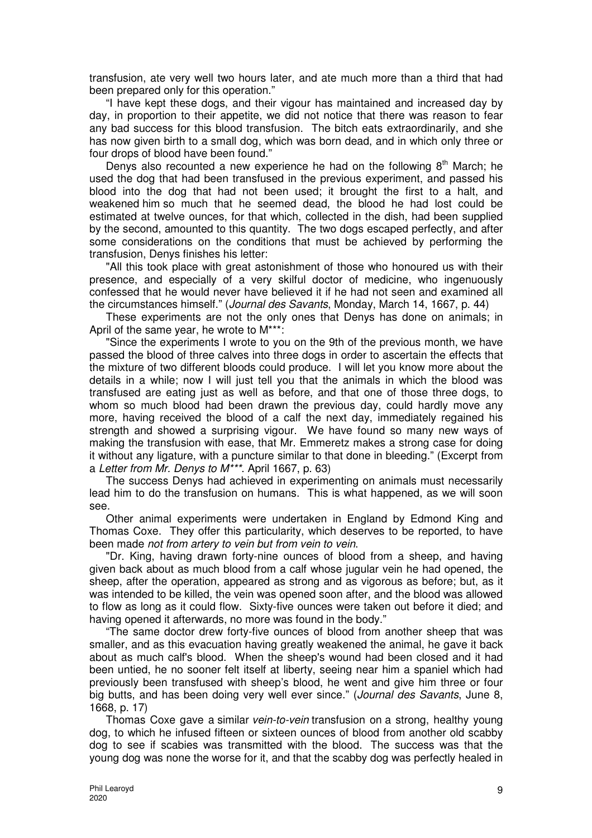transfusion, ate very well two hours later, and ate much more than a third that had been prepared only for this operation."

"I have kept these dogs, and their vigour has maintained and increased day by day, in proportion to their appetite, we did not notice that there was reason to fear any bad success for this blood transfusion. The bitch eats extraordinarily, and she has now given birth to a small dog, which was born dead, and in which only three or four drops of blood have been found."

Denys also recounted a new experience he had on the following  $8<sup>th</sup>$  March; he used the dog that had been transfused in the previous experiment, and passed his blood into the dog that had not been used; it brought the first to a halt, and weakened him so much that he seemed dead, the blood he had lost could be estimated at twelve ounces, for that which, collected in the dish, had been supplied by the second, amounted to this quantity. The two dogs escaped perfectly, and after some considerations on the conditions that must be achieved by performing the transfusion, Denys finishes his letter:

"All this took place with great astonishment of those who honoured us with their presence, and especially of a very skilful doctor of medicine, who ingenuously confessed that he would never have believed it if he had not seen and examined all the circumstances himself." (Journal des Savants, Monday, March 14, 1667, p. 44)

These experiments are not the only ones that Denys has done on animals; in April of the same year, he wrote to M\*\*\*:

"Since the experiments I wrote to you on the 9th of the previous month, we have passed the blood of three calves into three dogs in order to ascertain the effects that the mixture of two different bloods could produce. I will let you know more about the details in a while; now I will just tell you that the animals in which the blood was transfused are eating just as well as before, and that one of those three dogs, to whom so much blood had been drawn the previous day, could hardly move any more, having received the blood of a calf the next day, immediately regained his strength and showed a surprising vigour. We have found so many new ways of making the transfusion with ease, that Mr. Emmeretz makes a strong case for doing it without any ligature, with a puncture similar to that done in bleeding." (Excerpt from a Letter from Mr. Denys to M\*\*\*. April 1667, p. 63)

The success Denys had achieved in experimenting on animals must necessarily lead him to do the transfusion on humans. This is what happened, as we will soon see.

Other animal experiments were undertaken in England by Edmond King and Thomas Coxe. They offer this particularity, which deserves to be reported, to have been made not from artery to vein but from vein to vein.

"Dr. King, having drawn forty-nine ounces of blood from a sheep, and having given back about as much blood from a calf whose jugular vein he had opened, the sheep, after the operation, appeared as strong and as vigorous as before; but, as it was intended to be killed, the vein was opened soon after, and the blood was allowed to flow as long as it could flow. Sixty-five ounces were taken out before it died; and having opened it afterwards, no more was found in the body."

"The same doctor drew forty-five ounces of blood from another sheep that was smaller, and as this evacuation having greatly weakened the animal, he gave it back about as much calf's blood. When the sheep's wound had been closed and it had been untied, he no sooner felt itself at liberty, seeing near him a spaniel which had previously been transfused with sheep's blood, he went and give him three or four big butts, and has been doing very well ever since." (Journal des Savants, June 8, 1668, p. 17)

Thomas Coxe gave a similar *vein-to-vein* transfusion on a strong, healthy young dog, to which he infused fifteen or sixteen ounces of blood from another old scabby dog to see if scabies was transmitted with the blood. The success was that the young dog was none the worse for it, and that the scabby dog was perfectly healed in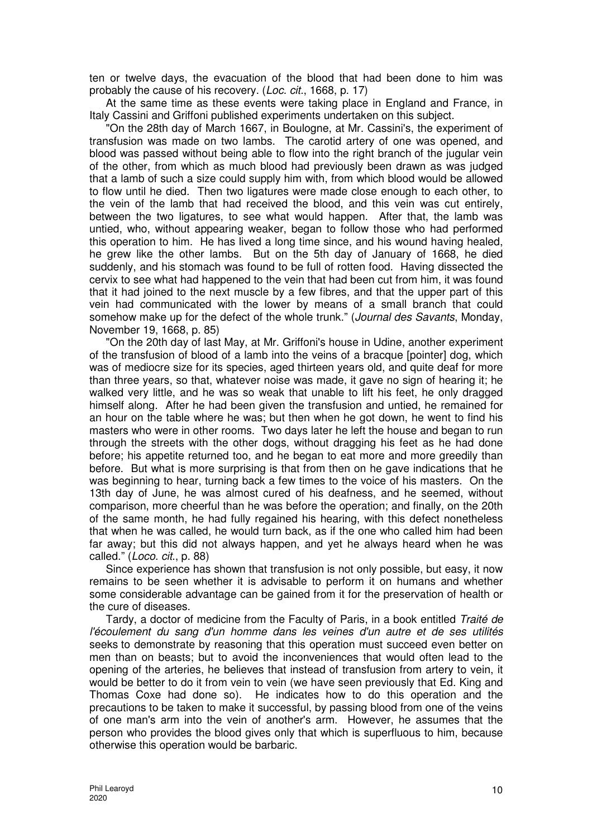ten or twelve days, the evacuation of the blood that had been done to him was probably the cause of his recovery. (Loc. cit., 1668, p. 17)

At the same time as these events were taking place in England and France, in Italy Cassini and Griffoni published experiments undertaken on this subject.

"On the 28th day of March 1667, in Boulogne, at Mr. Cassini's, the experiment of transfusion was made on two lambs. The carotid artery of one was opened, and blood was passed without being able to flow into the right branch of the jugular vein of the other, from which as much blood had previously been drawn as was judged that a lamb of such a size could supply him with, from which blood would be allowed to flow until he died. Then two ligatures were made close enough to each other, to the vein of the lamb that had received the blood, and this vein was cut entirely, between the two ligatures, to see what would happen. After that, the lamb was untied, who, without appearing weaker, began to follow those who had performed this operation to him. He has lived a long time since, and his wound having healed, he grew like the other lambs. But on the 5th day of January of 1668, he died suddenly, and his stomach was found to be full of rotten food. Having dissected the cervix to see what had happened to the vein that had been cut from him, it was found that it had joined to the next muscle by a few fibres, and that the upper part of this vein had communicated with the lower by means of a small branch that could somehow make up for the defect of the whole trunk." (Journal des Savants, Monday, November 19, 1668, p. 85)

"On the 20th day of last May, at Mr. Griffoni's house in Udine, another experiment of the transfusion of blood of a lamb into the veins of a bracque [pointer] dog, which was of mediocre size for its species, aged thirteen years old, and quite deaf for more than three years, so that, whatever noise was made, it gave no sign of hearing it; he walked very little, and he was so weak that unable to lift his feet, he only dragged himself along. After he had been given the transfusion and untied, he remained for an hour on the table where he was; but then when he got down, he went to find his masters who were in other rooms. Two days later he left the house and began to run through the streets with the other dogs, without dragging his feet as he had done before; his appetite returned too, and he began to eat more and more greedily than before. But what is more surprising is that from then on he gave indications that he was beginning to hear, turning back a few times to the voice of his masters. On the 13th day of June, he was almost cured of his deafness, and he seemed, without comparison, more cheerful than he was before the operation; and finally, on the 20th of the same month, he had fully regained his hearing, with this defect nonetheless that when he was called, he would turn back, as if the one who called him had been far away; but this did not always happen, and yet he always heard when he was called." (Loco. cit., p. 88)

Since experience has shown that transfusion is not only possible, but easy, it now remains to be seen whether it is advisable to perform it on humans and whether some considerable advantage can be gained from it for the preservation of health or the cure of diseases.

Tardy, a doctor of medicine from the Faculty of Paris, in a book entitled Traité de l'écoulement du sang d'un homme dans les veines d'un autre et de ses utilités seeks to demonstrate by reasoning that this operation must succeed even better on men than on beasts; but to avoid the inconveniences that would often lead to the opening of the arteries, he believes that instead of transfusion from artery to vein, it would be better to do it from vein to vein (we have seen previously that Ed. King and Thomas Coxe had done so). He indicates how to do this operation and the precautions to be taken to make it successful, by passing blood from one of the veins of one man's arm into the vein of another's arm. However, he assumes that the person who provides the blood gives only that which is superfluous to him, because otherwise this operation would be barbaric.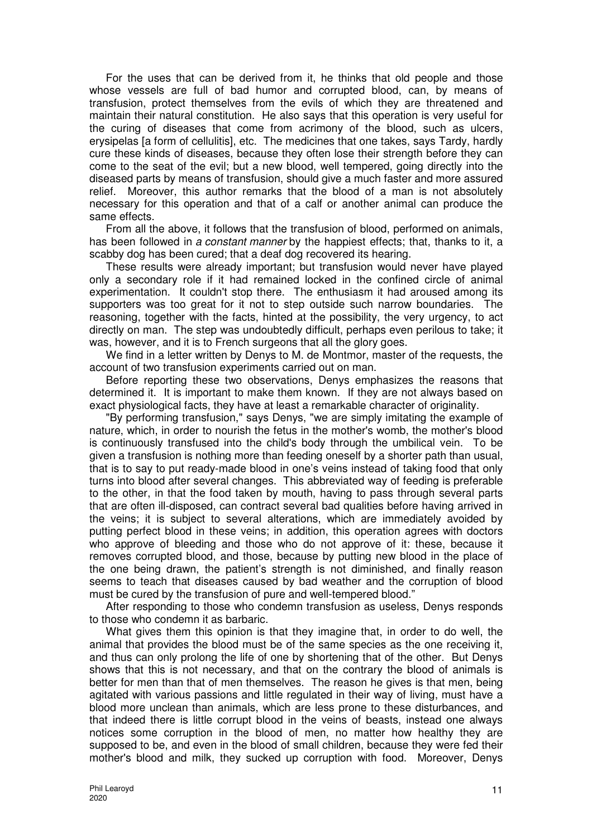For the uses that can be derived from it, he thinks that old people and those whose vessels are full of bad humor and corrupted blood, can, by means of transfusion, protect themselves from the evils of which they are threatened and maintain their natural constitution. He also says that this operation is very useful for the curing of diseases that come from acrimony of the blood, such as ulcers, erysipelas [a form of cellulitis], etc. The medicines that one takes, says Tardy, hardly cure these kinds of diseases, because they often lose their strength before they can come to the seat of the evil; but a new blood, well tempered, going directly into the diseased parts by means of transfusion, should give a much faster and more assured relief. Moreover, this author remarks that the blood of a man is not absolutely necessary for this operation and that of a calf or another animal can produce the same effects.

From all the above, it follows that the transfusion of blood, performed on animals, has been followed in a constant manner by the happiest effects; that, thanks to it, a scabby dog has been cured; that a deaf dog recovered its hearing.

These results were already important; but transfusion would never have played only a secondary role if it had remained locked in the confined circle of animal experimentation. It couldn't stop there. The enthusiasm it had aroused among its supporters was too great for it not to step outside such narrow boundaries. The reasoning, together with the facts, hinted at the possibility, the very urgency, to act directly on man. The step was undoubtedly difficult, perhaps even perilous to take; it was, however, and it is to French surgeons that all the glory goes.

We find in a letter written by Denys to M. de Montmor, master of the requests, the account of two transfusion experiments carried out on man.

Before reporting these two observations, Denys emphasizes the reasons that determined it. It is important to make them known. If they are not always based on exact physiological facts, they have at least a remarkable character of originality.

"By performing transfusion," says Denys, "we are simply imitating the example of nature, which, in order to nourish the fetus in the mother's womb, the mother's blood is continuously transfused into the child's body through the umbilical vein. To be given a transfusion is nothing more than feeding oneself by a shorter path than usual, that is to say to put ready-made blood in one's veins instead of taking food that only turns into blood after several changes. This abbreviated way of feeding is preferable to the other, in that the food taken by mouth, having to pass through several parts that are often ill-disposed, can contract several bad qualities before having arrived in the veins; it is subject to several alterations, which are immediately avoided by putting perfect blood in these veins; in addition, this operation agrees with doctors who approve of bleeding and those who do not approve of it: these, because it removes corrupted blood, and those, because by putting new blood in the place of the one being drawn, the patient's strength is not diminished, and finally reason seems to teach that diseases caused by bad weather and the corruption of blood must be cured by the transfusion of pure and well-tempered blood."

After responding to those who condemn transfusion as useless, Denys responds to those who condemn it as barbaric.

What gives them this opinion is that they imagine that, in order to do well, the animal that provides the blood must be of the same species as the one receiving it, and thus can only prolong the life of one by shortening that of the other. But Denys shows that this is not necessary, and that on the contrary the blood of animals is better for men than that of men themselves. The reason he gives is that men, being agitated with various passions and little regulated in their way of living, must have a blood more unclean than animals, which are less prone to these disturbances, and that indeed there is little corrupt blood in the veins of beasts, instead one always notices some corruption in the blood of men, no matter how healthy they are supposed to be, and even in the blood of small children, because they were fed their mother's blood and milk, they sucked up corruption with food. Moreover, Denys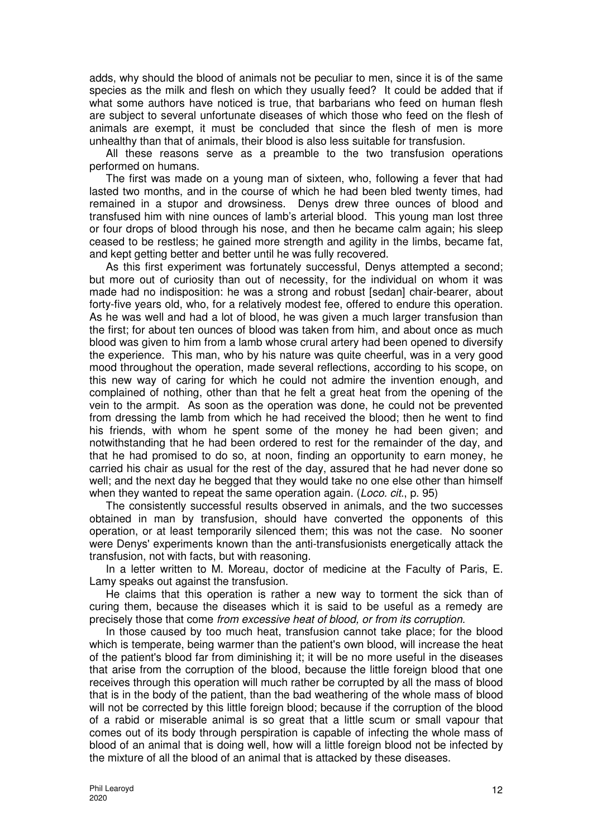adds, why should the blood of animals not be peculiar to men, since it is of the same species as the milk and flesh on which they usually feed? It could be added that if what some authors have noticed is true, that barbarians who feed on human flesh are subject to several unfortunate diseases of which those who feed on the flesh of animals are exempt, it must be concluded that since the flesh of men is more unhealthy than that of animals, their blood is also less suitable for transfusion.

All these reasons serve as a preamble to the two transfusion operations performed on humans.

The first was made on a young man of sixteen, who, following a fever that had lasted two months, and in the course of which he had been bled twenty times, had remained in a stupor and drowsiness. Denys drew three ounces of blood and transfused him with nine ounces of lamb's arterial blood. This young man lost three or four drops of blood through his nose, and then he became calm again; his sleep ceased to be restless; he gained more strength and agility in the limbs, became fat, and kept getting better and better until he was fully recovered.

As this first experiment was fortunately successful, Denys attempted a second; but more out of curiosity than out of necessity, for the individual on whom it was made had no indisposition: he was a strong and robust [sedan] chair-bearer, about forty-five years old, who, for a relatively modest fee, offered to endure this operation. As he was well and had a lot of blood, he was given a much larger transfusion than the first; for about ten ounces of blood was taken from him, and about once as much blood was given to him from a lamb whose crural artery had been opened to diversify the experience. This man, who by his nature was quite cheerful, was in a very good mood throughout the operation, made several reflections, according to his scope, on this new way of caring for which he could not admire the invention enough, and complained of nothing, other than that he felt a great heat from the opening of the vein to the armpit. As soon as the operation was done, he could not be prevented from dressing the lamb from which he had received the blood; then he went to find his friends, with whom he spent some of the money he had been given; and notwithstanding that he had been ordered to rest for the remainder of the day, and that he had promised to do so, at noon, finding an opportunity to earn money, he carried his chair as usual for the rest of the day, assured that he had never done so well; and the next day he begged that they would take no one else other than himself when they wanted to repeat the same operation again. (*Loco. cit.*, p. 95)

The consistently successful results observed in animals, and the two successes obtained in man by transfusion, should have converted the opponents of this operation, or at least temporarily silenced them; this was not the case. No sooner were Denys' experiments known than the anti-transfusionists energetically attack the transfusion, not with facts, but with reasoning.

In a letter written to M. Moreau, doctor of medicine at the Faculty of Paris, E. Lamy speaks out against the transfusion.

He claims that this operation is rather a new way to torment the sick than of curing them, because the diseases which it is said to be useful as a remedy are precisely those that come from excessive heat of blood, or from its corruption.

In those caused by too much heat, transfusion cannot take place; for the blood which is temperate, being warmer than the patient's own blood, will increase the heat of the patient's blood far from diminishing it; it will be no more useful in the diseases that arise from the corruption of the blood, because the little foreign blood that one receives through this operation will much rather be corrupted by all the mass of blood that is in the body of the patient, than the bad weathering of the whole mass of blood will not be corrected by this little foreign blood; because if the corruption of the blood of a rabid or miserable animal is so great that a little scum or small vapour that comes out of its body through perspiration is capable of infecting the whole mass of blood of an animal that is doing well, how will a little foreign blood not be infected by the mixture of all the blood of an animal that is attacked by these diseases.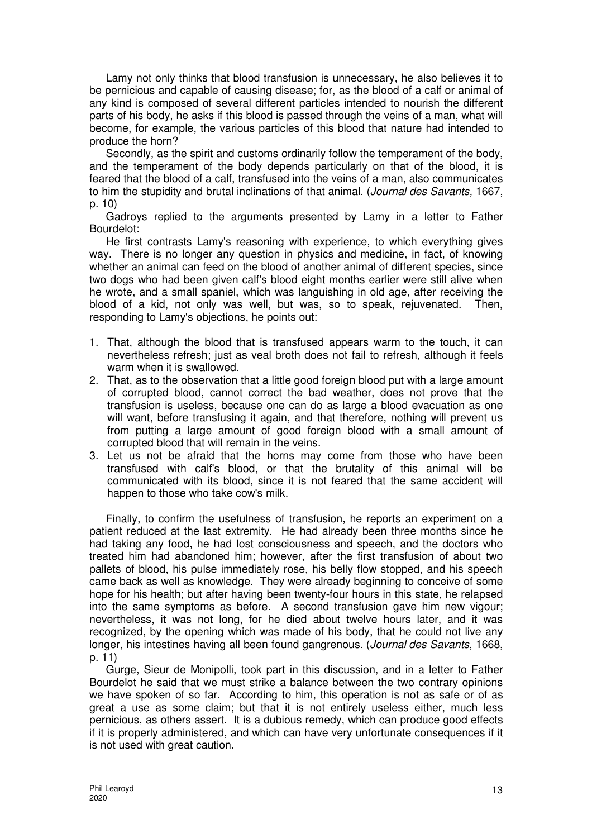Lamy not only thinks that blood transfusion is unnecessary, he also believes it to be pernicious and capable of causing disease; for, as the blood of a calf or animal of any kind is composed of several different particles intended to nourish the different parts of his body, he asks if this blood is passed through the veins of a man, what will become, for example, the various particles of this blood that nature had intended to produce the horn?

Secondly, as the spirit and customs ordinarily follow the temperament of the body, and the temperament of the body depends particularly on that of the blood, it is feared that the blood of a calf, transfused into the veins of a man, also communicates to him the stupidity and brutal inclinations of that animal. (Journal des Savants, 1667, p. 10)

Gadroys replied to the arguments presented by Lamy in a letter to Father Bourdelot:

He first contrasts Lamy's reasoning with experience, to which everything gives way. There is no longer any question in physics and medicine, in fact, of knowing whether an animal can feed on the blood of another animal of different species, since two dogs who had been given calf's blood eight months earlier were still alive when he wrote, and a small spaniel, which was languishing in old age, after receiving the blood of a kid, not only was well, but was, so to speak, rejuvenated. Then, responding to Lamy's objections, he points out:

- 1. That, although the blood that is transfused appears warm to the touch, it can nevertheless refresh; just as veal broth does not fail to refresh, although it feels warm when it is swallowed.
- 2. That, as to the observation that a little good foreign blood put with a large amount of corrupted blood, cannot correct the bad weather, does not prove that the transfusion is useless, because one can do as large a blood evacuation as one will want, before transfusing it again, and that therefore, nothing will prevent us from putting a large amount of good foreign blood with a small amount of corrupted blood that will remain in the veins.
- 3. Let us not be afraid that the horns may come from those who have been transfused with calf's blood, or that the brutality of this animal will be communicated with its blood, since it is not feared that the same accident will happen to those who take cow's milk.

Finally, to confirm the usefulness of transfusion, he reports an experiment on a patient reduced at the last extremity. He had already been three months since he had taking any food, he had lost consciousness and speech, and the doctors who treated him had abandoned him; however, after the first transfusion of about two pallets of blood, his pulse immediately rose, his belly flow stopped, and his speech came back as well as knowledge. They were already beginning to conceive of some hope for his health; but after having been twenty-four hours in this state, he relapsed into the same symptoms as before. A second transfusion gave him new vigour; nevertheless, it was not long, for he died about twelve hours later, and it was recognized, by the opening which was made of his body, that he could not live any longer, his intestines having all been found gangrenous. (Journal des Savants, 1668, p. 11)

Gurge, Sieur de Monipolli, took part in this discussion, and in a letter to Father Bourdelot he said that we must strike a balance between the two contrary opinions we have spoken of so far. According to him, this operation is not as safe or of as great a use as some claim; but that it is not entirely useless either, much less pernicious, as others assert. It is a dubious remedy, which can produce good effects if it is properly administered, and which can have very unfortunate consequences if it is not used with great caution.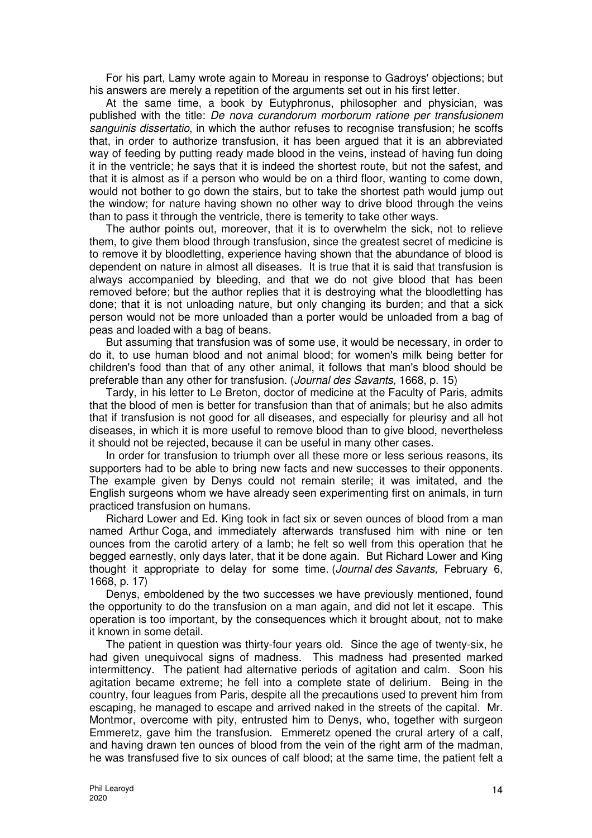For his part, Lamy wrote again to Moreau in response to Gadroys' objections; but his answers are merely a repetition of the arguments set out in his first letter.

At the same time, a book by Eutyphronus, philosopher and physician, was published with the title: De nova curandorum morborum ratione per transfusionem sanguinis dissertatio, in which the author refuses to recognise transfusion; he scoffs that, in order to authorize transfusion, it has been argued that it is an abbreviated way of feeding by putting ready made blood in the veins, instead of having fun doing it in the ventricle; he says that it is indeed the shortest route, but not the safest, and that it is almost as if a person who would be on a third floor, wanting to come down, would not bother to go down the stairs, but to take the shortest path would jump out the window; for nature having shown no other way to drive blood through the veins than to pass it through the ventricle, there is temerity to take other ways.

The author points out, moreover, that it is to overwhelm the sick, not to relieve them, to give them blood through transfusion, since the greatest secret of medicine is to remove it by bloodletting, experience having shown that the abundance of blood is dependent on nature in almost all diseases. It is true that it is said that transfusion is always accompanied by bleeding, and that we do not give blood that has been removed before; but the author replies that it is destroying what the bloodletting has done; that it is not unloading nature, but only changing its burden; and that a sick person would not be more unloaded than a porter would be unloaded from a bag of peas and loaded with a bag of beans.

But assuming that transfusion was of some use, it would be necessary, in order to do it, to use human blood and not animal blood; for women's milk being better for children's food than that of any other animal, it follows that man's blood should be preferable than any other for transfusion. (Journal des Savants, 1668, p. 15)

Tardy, in his letter to Le Breton, doctor of medicine at the Faculty of Paris, admits that the blood of men is better for transfusion than that of animals; but he also admits that if transfusion is not good for all diseases, and especially for pleurisy and all hot diseases, in which it is more useful to remove blood than to give blood, nevertheless it should not be rejected, because it can be useful in many other cases.

In order for transfusion to triumph over all these more or less serious reasons, its supporters had to be able to bring new facts and new successes to their opponents. The example given by Denys could not remain sterile; it was imitated, and the English surgeons whom we have already seen experimenting first on animals, in turn practiced transfusion on humans.

Richard Lower and Ed. King took in fact six or seven ounces of blood from a man named Arthur Coga, and immediately afterwards transfused him with nine or ten ounces from the carotid artery of a lamb; he felt so well from this operation that he begged earnestly, only days later, that it be done again. But Richard Lower and King thought it appropriate to delay for some time. (Journal des Savants, February 6, 1668, p. 17)

Denys, emboldened by the two successes we have previously mentioned, found the opportunity to do the transfusion on a man again, and did not let it escape. This operation is too important, by the consequences which it brought about, not to make it known in some detail.

The patient in question was thirty-four years old. Since the age of twenty-six, he had given unequivocal signs of madness. This madness had presented marked intermittency. The patient had alternative periods of agitation and calm. Soon his agitation became extreme; he fell into a complete state of delirium. Being in the country, four leagues from Paris, despite all the precautions used to prevent him from escaping, he managed to escape and arrived naked in the streets of the capital. Mr. Montmor, overcome with pity, entrusted him to Denys, who, together with surgeon Emmeretz, gave him the transfusion. Emmeretz opened the crural artery of a calf, and having drawn ten ounces of blood from the vein of the right arm of the madman, he was transfused five to six ounces of calf blood; at the same time, the patient felt a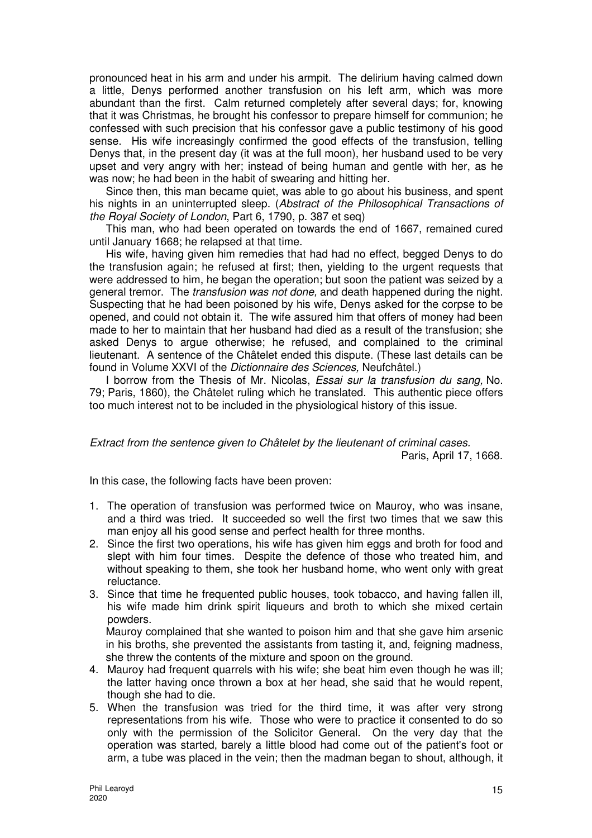pronounced heat in his arm and under his armpit. The delirium having calmed down a little, Denys performed another transfusion on his left arm, which was more abundant than the first. Calm returned completely after several days; for, knowing that it was Christmas, he brought his confessor to prepare himself for communion; he confessed with such precision that his confessor gave a public testimony of his good sense. His wife increasingly confirmed the good effects of the transfusion, telling Denys that, in the present day (it was at the full moon), her husband used to be very upset and very angry with her; instead of being human and gentle with her, as he was now; he had been in the habit of swearing and hitting her.

Since then, this man became quiet, was able to go about his business, and spent his nights in an uninterrupted sleep. (Abstract of the Philosophical Transactions of the Royal Society of London, Part 6, 1790, p. 387 et seq)

This man, who had been operated on towards the end of 1667, remained cured until January 1668; he relapsed at that time.

His wife, having given him remedies that had had no effect, begged Denys to do the transfusion again; he refused at first; then, yielding to the urgent requests that were addressed to him, he began the operation; but soon the patient was seized by a general tremor. The transfusion was not done, and death happened during the night. Suspecting that he had been poisoned by his wife, Denys asked for the corpse to be opened, and could not obtain it. The wife assured him that offers of money had been made to her to maintain that her husband had died as a result of the transfusion; she asked Denys to argue otherwise; he refused, and complained to the criminal lieutenant. A sentence of the Châtelet ended this dispute. (These last details can be found in Volume XXVI of the Dictionnaire des Sciences, Neufchâtel.)

I borrow from the Thesis of Mr. Nicolas, Essai sur la transfusion du sang, No. 79; Paris, 1860), the Châtelet ruling which he translated. This authentic piece offers too much interest not to be included in the physiological history of this issue.

Extract from the sentence given to Châtelet by the lieutenant of criminal cases. Paris, April 17, 1668.

In this case, the following facts have been proven:

- 1. The operation of transfusion was performed twice on Mauroy, who was insane, and a third was tried. It succeeded so well the first two times that we saw this man enjoy all his good sense and perfect health for three months.
- 2. Since the first two operations, his wife has given him eggs and broth for food and slept with him four times. Despite the defence of those who treated him, and without speaking to them, she took her husband home, who went only with great reluctance.
- 3. Since that time he frequented public houses, took tobacco, and having fallen ill, his wife made him drink spirit liqueurs and broth to which she mixed certain powders.

Mauroy complained that she wanted to poison him and that she gave him arsenic in his broths, she prevented the assistants from tasting it, and, feigning madness, she threw the contents of the mixture and spoon on the ground.

- 4. Mauroy had frequent quarrels with his wife; she beat him even though he was ill; the latter having once thrown a box at her head, she said that he would repent, though she had to die.
- 5. When the transfusion was tried for the third time, it was after very strong representations from his wife. Those who were to practice it consented to do so only with the permission of the Solicitor General. On the very day that the operation was started, barely a little blood had come out of the patient's foot or arm, a tube was placed in the vein; then the madman began to shout, although, it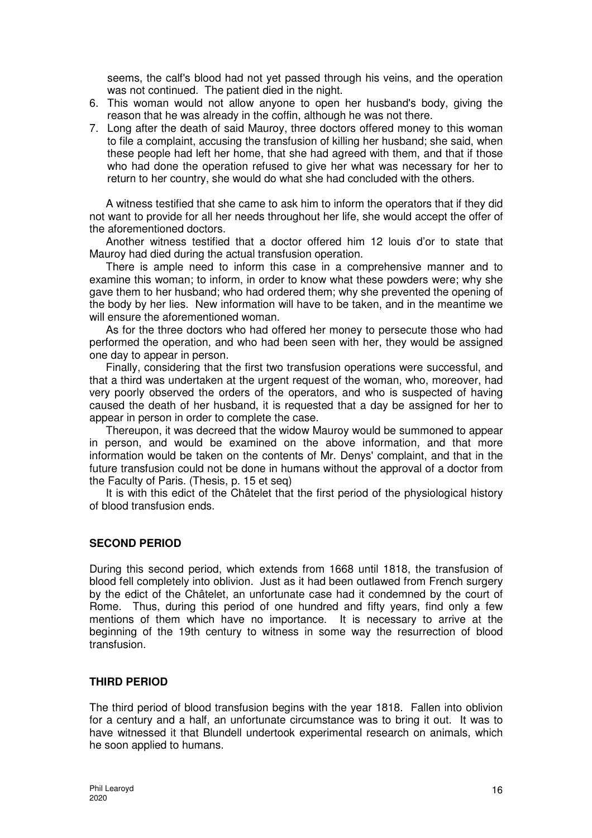seems, the calf's blood had not yet passed through his veins, and the operation was not continued. The patient died in the night.

- 6. This woman would not allow anyone to open her husband's body, giving the reason that he was already in the coffin, although he was not there.
- 7. Long after the death of said Mauroy, three doctors offered money to this woman to file a complaint, accusing the transfusion of killing her husband; she said, when these people had left her home, that she had agreed with them, and that if those who had done the operation refused to give her what was necessary for her to return to her country, she would do what she had concluded with the others.

A witness testified that she came to ask him to inform the operators that if they did not want to provide for all her needs throughout her life, she would accept the offer of the aforementioned doctors.

Another witness testified that a doctor offered him 12 louis d'or to state that Mauroy had died during the actual transfusion operation.

There is ample need to inform this case in a comprehensive manner and to examine this woman; to inform, in order to know what these powders were; why she gave them to her husband; who had ordered them; why she prevented the opening of the body by her lies. New information will have to be taken, and in the meantime we will ensure the aforementioned woman.

As for the three doctors who had offered her money to persecute those who had performed the operation, and who had been seen with her, they would be assigned one day to appear in person.

Finally, considering that the first two transfusion operations were successful, and that a third was undertaken at the urgent request of the woman, who, moreover, had very poorly observed the orders of the operators, and who is suspected of having caused the death of her husband, it is requested that a day be assigned for her to appear in person in order to complete the case.

Thereupon, it was decreed that the widow Mauroy would be summoned to appear in person, and would be examined on the above information, and that more information would be taken on the contents of Mr. Denys' complaint, and that in the future transfusion could not be done in humans without the approval of a doctor from the Faculty of Paris. (Thesis, p. 15 et seq)

It is with this edict of the Châtelet that the first period of the physiological history of blood transfusion ends.

## **SECOND PERIOD**

During this second period, which extends from 1668 until 1818, the transfusion of blood fell completely into oblivion. Just as it had been outlawed from French surgery by the edict of the Châtelet, an unfortunate case had it condemned by the court of Rome. Thus, during this period of one hundred and fifty years, find only a few mentions of them which have no importance. It is necessary to arrive at the beginning of the 19th century to witness in some way the resurrection of blood transfusion.

#### **THIRD PERIOD**

The third period of blood transfusion begins with the year 1818. Fallen into oblivion for a century and a half, an unfortunate circumstance was to bring it out. It was to have witnessed it that Blundell undertook experimental research on animals, which he soon applied to humans.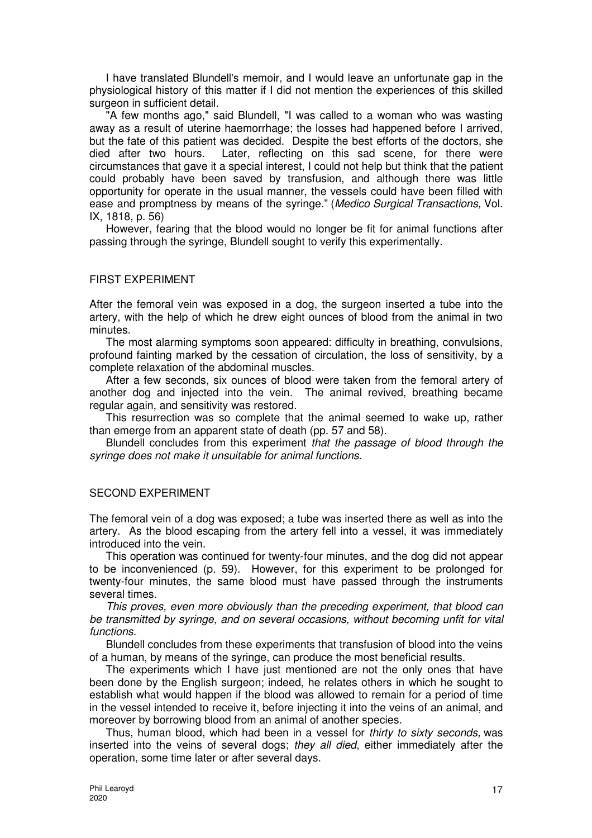I have translated Blundell's memoir, and I would leave an unfortunate gap in the physiological history of this matter if I did not mention the experiences of this skilled surgeon in sufficient detail.

"A few months ago," said Blundell, "I was called to a woman who was wasting away as a result of uterine haemorrhage; the losses had happened before I arrived, but the fate of this patient was decided. Despite the best efforts of the doctors, she died after two hours. Later, reflecting on this sad scene, for there were circumstances that gave it a special interest, I could not help but think that the patient could probably have been saved by transfusion, and although there was little opportunity for operate in the usual manner, the vessels could have been filled with ease and promptness by means of the syringe." (Medico Surgical Transactions, Vol. IX, 1818, p. 56)

However, fearing that the blood would no longer be fit for animal functions after passing through the syringe, Blundell sought to verify this experimentally.

#### FIRST EXPERIMENT

After the femoral vein was exposed in a dog, the surgeon inserted a tube into the artery, with the help of which he drew eight ounces of blood from the animal in two minutes.

The most alarming symptoms soon appeared: difficulty in breathing, convulsions, profound fainting marked by the cessation of circulation, the loss of sensitivity, by a complete relaxation of the abdominal muscles.

After a few seconds, six ounces of blood were taken from the femoral artery of another dog and injected into the vein. The animal revived, breathing became regular again, and sensitivity was restored.

This resurrection was so complete that the animal seemed to wake up, rather than emerge from an apparent state of death (pp. 57 and 58).

Blundell concludes from this experiment that the passage of blood through the syringe does not make it unsuitable for animal functions.

#### SECOND EXPERIMENT

The femoral vein of a dog was exposed; a tube was inserted there as well as into the artery. As the blood escaping from the artery fell into a vessel, it was immediately introduced into the vein.

This operation was continued for twenty-four minutes, and the dog did not appear to be inconvenienced (p. 59). However, for this experiment to be prolonged for twenty-four minutes, the same blood must have passed through the instruments several times.

This proves, even more obviously than the preceding experiment, that blood can be transmitted by syringe, and on several occasions, without becoming unfit for vital functions.

Blundell concludes from these experiments that transfusion of blood into the veins of a human, by means of the syringe, can produce the most beneficial results.

The experiments which I have just mentioned are not the only ones that have been done by the English surgeon; indeed, he relates others in which he sought to establish what would happen if the blood was allowed to remain for a period of time in the vessel intended to receive it, before injecting it into the veins of an animal, and moreover by borrowing blood from an animal of another species.

Thus, human blood, which had been in a vessel for thirty to sixty seconds, was inserted into the veins of several dogs; they all died, either immediately after the operation, some time later or after several days.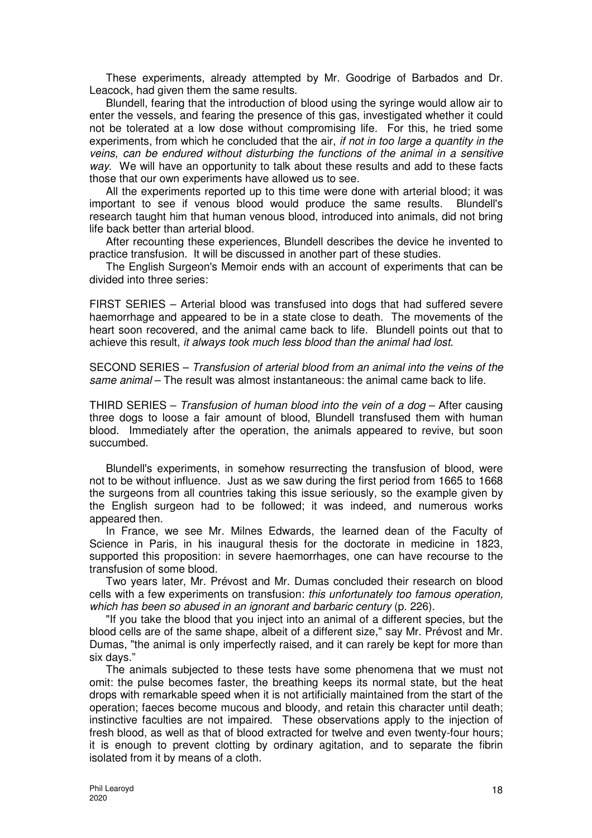These experiments, already attempted by Mr. Goodrige of Barbados and Dr. Leacock, had given them the same results.

Blundell, fearing that the introduction of blood using the syringe would allow air to enter the vessels, and fearing the presence of this gas, investigated whether it could not be tolerated at a low dose without compromising life. For this, he tried some experiments, from which he concluded that the air, if not in too large a quantity in the veins, can be endured without disturbing the functions of the animal in a sensitive way. We will have an opportunity to talk about these results and add to these facts those that our own experiments have allowed us to see.

All the experiments reported up to this time were done with arterial blood; it was important to see if venous blood would produce the same results. Blundell's research taught him that human venous blood, introduced into animals, did not bring life back better than arterial blood.

After recounting these experiences, Blundell describes the device he invented to practice transfusion. It will be discussed in another part of these studies.

The English Surgeon's Memoir ends with an account of experiments that can be divided into three series:

FIRST SERIES – Arterial blood was transfused into dogs that had suffered severe haemorrhage and appeared to be in a state close to death. The movements of the heart soon recovered, and the animal came back to life. Blundell points out that to achieve this result, it always took much less blood than the animal had lost.

SECOND SERIES – Transfusion of arterial blood from an animal into the veins of the same animal – The result was almost instantaneous: the animal came back to life.

THIRD SERIES – Transfusion of human blood into the vein of a dog – After causing three dogs to loose a fair amount of blood, Blundell transfused them with human blood. Immediately after the operation, the animals appeared to revive, but soon succumbed.

Blundell's experiments, in somehow resurrecting the transfusion of blood, were not to be without influence. Just as we saw during the first period from 1665 to 1668 the surgeons from all countries taking this issue seriously, so the example given by the English surgeon had to be followed; it was indeed, and numerous works appeared then.

In France, we see Mr. Milnes Edwards, the learned dean of the Faculty of Science in Paris, in his inaugural thesis for the doctorate in medicine in 1823, supported this proposition: in severe haemorrhages, one can have recourse to the transfusion of some blood.

Two years later, Mr. Prévost and Mr. Dumas concluded their research on blood cells with a few experiments on transfusion: this unfortunately too famous operation, which has been so abused in an ignorant and barbaric century (p. 226).

"If you take the blood that you inject into an animal of a different species, but the blood cells are of the same shape, albeit of a different size," say Mr. Prévost and Mr. Dumas, "the animal is only imperfectly raised, and it can rarely be kept for more than six days."

The animals subjected to these tests have some phenomena that we must not omit: the pulse becomes faster, the breathing keeps its normal state, but the heat drops with remarkable speed when it is not artificially maintained from the start of the operation; faeces become mucous and bloody, and retain this character until death; instinctive faculties are not impaired. These observations apply to the injection of fresh blood, as well as that of blood extracted for twelve and even twenty-four hours; it is enough to prevent clotting by ordinary agitation, and to separate the fibrin isolated from it by means of a cloth.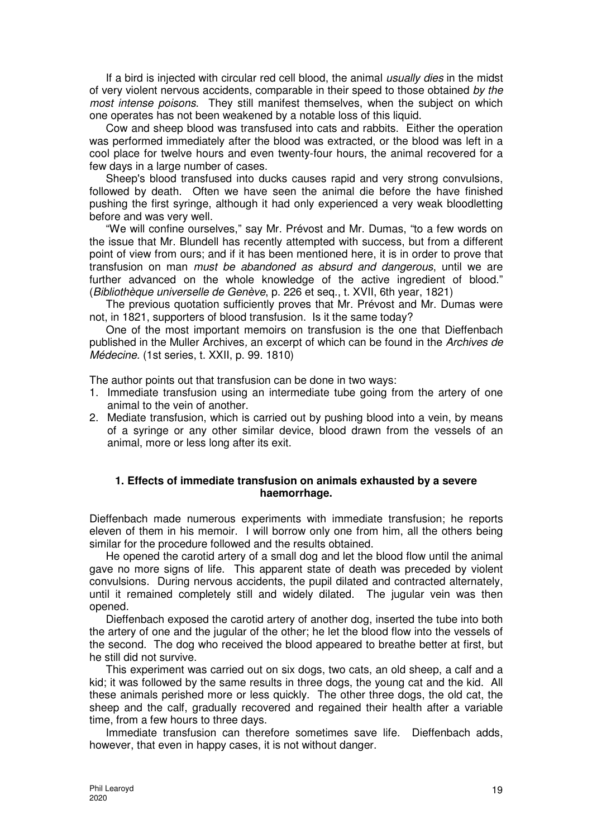If a bird is injected with circular red cell blood, the animal *usually dies* in the midst of very violent nervous accidents, comparable in their speed to those obtained by the most intense poisons. They still manifest themselves, when the subject on which one operates has not been weakened by a notable loss of this liquid.

Cow and sheep blood was transfused into cats and rabbits. Either the operation was performed immediately after the blood was extracted, or the blood was left in a cool place for twelve hours and even twenty-four hours, the animal recovered for a few days in a large number of cases.

Sheep's blood transfused into ducks causes rapid and very strong convulsions, followed by death. Often we have seen the animal die before the have finished pushing the first syringe, although it had only experienced a very weak bloodletting before and was very well.

"We will confine ourselves," say Mr. Prévost and Mr. Dumas, "to a few words on the issue that Mr. Blundell has recently attempted with success, but from a different point of view from ours; and if it has been mentioned here, it is in order to prove that transfusion on man must be abandoned as absurd and dangerous, until we are further advanced on the whole knowledge of the active ingredient of blood." (Bibliothèque universelle de Genève, p. 226 et seq., t. XVII, 6th year, 1821)

The previous quotation sufficiently proves that Mr. Prévost and Mr. Dumas were not, in 1821, supporters of blood transfusion. Is it the same today?

One of the most important memoirs on transfusion is the one that Dieffenbach published in the Muller Archives, an excerpt of which can be found in the Archives de Médecine. (1st series, t. XXII, p. 99. 1810)

The author points out that transfusion can be done in two ways:

- 1. Immediate transfusion using an intermediate tube going from the artery of one animal to the vein of another.
- 2. Mediate transfusion, which is carried out by pushing blood into a vein, by means of a syringe or any other similar device, blood drawn from the vessels of an animal, more or less long after its exit.

## **1. Effects of immediate transfusion on animals exhausted by a severe haemorrhage.**

Dieffenbach made numerous experiments with immediate transfusion; he reports eleven of them in his memoir. I will borrow only one from him, all the others being similar for the procedure followed and the results obtained.

He opened the carotid artery of a small dog and let the blood flow until the animal gave no more signs of life. This apparent state of death was preceded by violent convulsions. During nervous accidents, the pupil dilated and contracted alternately, until it remained completely still and widely dilated. The jugular vein was then opened.

Dieffenbach exposed the carotid artery of another dog, inserted the tube into both the artery of one and the jugular of the other; he let the blood flow into the vessels of the second. The dog who received the blood appeared to breathe better at first, but he still did not survive.

This experiment was carried out on six dogs, two cats, an old sheep, a calf and a kid; it was followed by the same results in three dogs, the young cat and the kid. All these animals perished more or less quickly. The other three dogs, the old cat, the sheep and the calf, gradually recovered and regained their health after a variable time, from a few hours to three days.

Immediate transfusion can therefore sometimes save life. Dieffenbach adds, however, that even in happy cases, it is not without danger.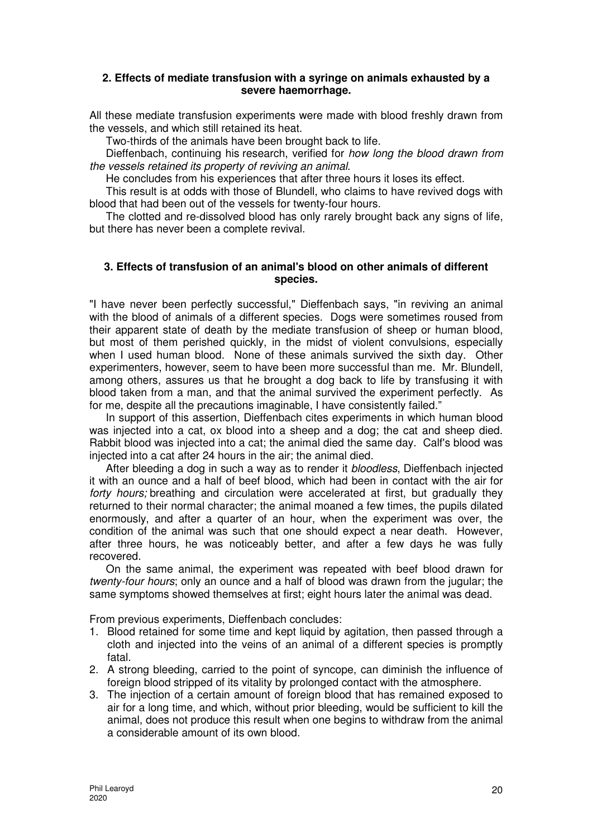#### **2. Effects of mediate transfusion with a syringe on animals exhausted by a severe haemorrhage.**

All these mediate transfusion experiments were made with blood freshly drawn from the vessels, and which still retained its heat.

Two-thirds of the animals have been brought back to life.

Dieffenbach, continuing his research, verified for how long the blood drawn from the vessels retained its property of reviving an animal.

He concludes from his experiences that after three hours it loses its effect.

This result is at odds with those of Blundell, who claims to have revived dogs with blood that had been out of the vessels for twenty-four hours.

The clotted and re-dissolved blood has only rarely brought back any signs of life, but there has never been a complete revival.

#### **3. Effects of transfusion of an animal's blood on other animals of different species.**

"I have never been perfectly successful," Dieffenbach says, "in reviving an animal with the blood of animals of a different species. Dogs were sometimes roused from their apparent state of death by the mediate transfusion of sheep or human blood, but most of them perished quickly, in the midst of violent convulsions, especially when I used human blood. None of these animals survived the sixth day. Other experimenters, however, seem to have been more successful than me. Mr. Blundell, among others, assures us that he brought a dog back to life by transfusing it with blood taken from a man, and that the animal survived the experiment perfectly. As for me, despite all the precautions imaginable, I have consistently failed."

In support of this assertion, Dieffenbach cites experiments in which human blood was injected into a cat, ox blood into a sheep and a dog; the cat and sheep died. Rabbit blood was injected into a cat; the animal died the same day. Calf's blood was injected into a cat after 24 hours in the air; the animal died.

After bleeding a dog in such a way as to render it bloodless, Dieffenbach injected it with an ounce and a half of beef blood, which had been in contact with the air for forty hours; breathing and circulation were accelerated at first, but gradually they returned to their normal character; the animal moaned a few times, the pupils dilated enormously, and after a quarter of an hour, when the experiment was over, the condition of the animal was such that one should expect a near death. However, after three hours, he was noticeably better, and after a few days he was fully recovered.

On the same animal, the experiment was repeated with beef blood drawn for twenty-four hours; only an ounce and a half of blood was drawn from the jugular; the same symptoms showed themselves at first; eight hours later the animal was dead.

From previous experiments, Dieffenbach concludes:

- 1. Blood retained for some time and kept liquid by agitation, then passed through a cloth and injected into the veins of an animal of a different species is promptly fatal.
- 2. A strong bleeding, carried to the point of syncope, can diminish the influence of foreign blood stripped of its vitality by prolonged contact with the atmosphere.
- 3. The injection of a certain amount of foreign blood that has remained exposed to air for a long time, and which, without prior bleeding, would be sufficient to kill the animal, does not produce this result when one begins to withdraw from the animal a considerable amount of its own blood.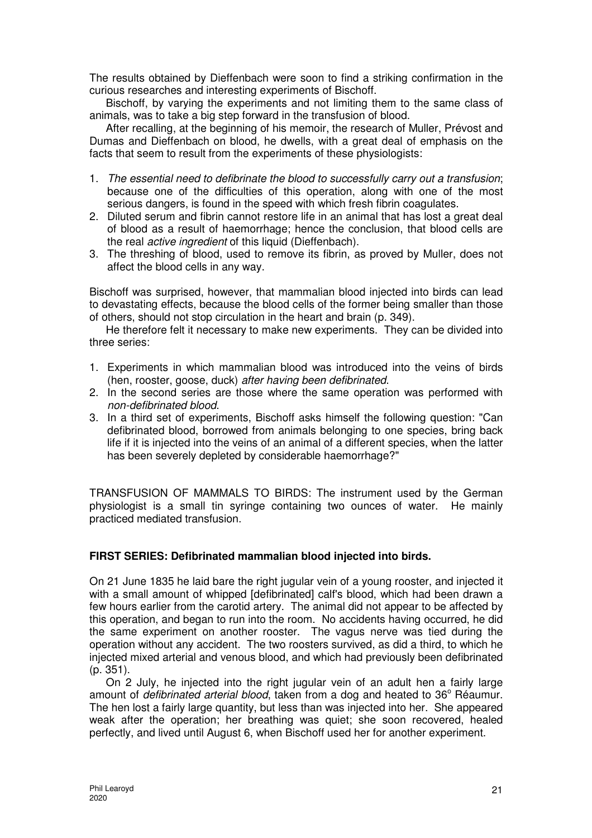The results obtained by Dieffenbach were soon to find a striking confirmation in the curious researches and interesting experiments of Bischoff.

Bischoff, by varying the experiments and not limiting them to the same class of animals, was to take a big step forward in the transfusion of blood.

After recalling, at the beginning of his memoir, the research of Muller, Prévost and Dumas and Dieffenbach on blood, he dwells, with a great deal of emphasis on the facts that seem to result from the experiments of these physiologists:

- 1. The essential need to defibrinate the blood to successfully carry out a transfusion; because one of the difficulties of this operation, along with one of the most serious dangers, is found in the speed with which fresh fibrin coagulates.
- 2. Diluted serum and fibrin cannot restore life in an animal that has lost a great deal of blood as a result of haemorrhage; hence the conclusion, that blood cells are the real *active ingredient* of this liquid (Dieffenbach).
- 3. The threshing of blood, used to remove its fibrin, as proved by Muller, does not affect the blood cells in any way.

Bischoff was surprised, however, that mammalian blood injected into birds can lead to devastating effects, because the blood cells of the former being smaller than those of others, should not stop circulation in the heart and brain (p. 349).

He therefore felt it necessary to make new experiments. They can be divided into three series:

- 1. Experiments in which mammalian blood was introduced into the veins of birds (hen, rooster, goose, duck) after having been defibrinated.
- 2. In the second series are those where the same operation was performed with non-defibrinated blood.
- 3. In a third set of experiments, Bischoff asks himself the following question: "Can defibrinated blood, borrowed from animals belonging to one species, bring back life if it is injected into the veins of an animal of a different species, when the latter has been severely depleted by considerable haemorrhage?"

TRANSFUSION OF MAMMALS TO BIRDS: The instrument used by the German physiologist is a small tin syringe containing two ounces of water. He mainly practiced mediated transfusion.

## **FIRST SERIES: Defibrinated mammalian blood injected into birds.**

On 21 June 1835 he laid bare the right jugular vein of a young rooster, and injected it with a small amount of whipped [defibrinated] calf's blood, which had been drawn a few hours earlier from the carotid artery. The animal did not appear to be affected by this operation, and began to run into the room. No accidents having occurred, he did the same experiment on another rooster. The vagus nerve was tied during the operation without any accident. The two roosters survived, as did a third, to which he injected mixed arterial and venous blood, and which had previously been defibrinated (p. 351).

On 2 July, he injected into the right jugular vein of an adult hen a fairly large amount of *defibrinated arterial blood*, taken from a dog and heated to 36° Réaumur. The hen lost a fairly large quantity, but less than was injected into her. She appeared weak after the operation; her breathing was quiet; she soon recovered, healed perfectly, and lived until August 6, when Bischoff used her for another experiment.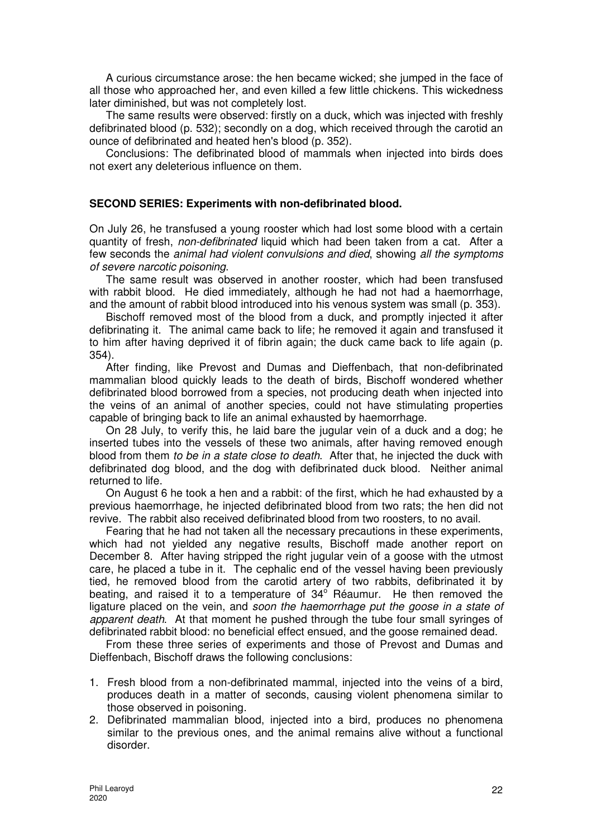A curious circumstance arose: the hen became wicked; she jumped in the face of all those who approached her, and even killed a few little chickens. This wickedness later diminished, but was not completely lost.

The same results were observed: firstly on a duck, which was injected with freshly defibrinated blood (p. 532); secondly on a dog, which received through the carotid an ounce of defibrinated and heated hen's blood (p. 352).

Conclusions: The defibrinated blood of mammals when injected into birds does not exert any deleterious influence on them.

#### **SECOND SERIES: Experiments with non-defibrinated blood.**

On July 26, he transfused a young rooster which had lost some blood with a certain quantity of fresh, non-defibrinated liquid which had been taken from a cat. After a few seconds the animal had violent convulsions and died, showing all the symptoms of severe narcotic poisoning.

The same result was observed in another rooster, which had been transfused with rabbit blood. He died immediately, although he had not had a haemorrhage, and the amount of rabbit blood introduced into his venous system was small (p. 353).

Bischoff removed most of the blood from a duck, and promptly injected it after defibrinating it. The animal came back to life; he removed it again and transfused it to him after having deprived it of fibrin again; the duck came back to life again (p. 354).

After finding, like Prevost and Dumas and Dieffenbach, that non-defibrinated mammalian blood quickly leads to the death of birds, Bischoff wondered whether defibrinated blood borrowed from a species, not producing death when injected into the veins of an animal of another species, could not have stimulating properties capable of bringing back to life an animal exhausted by haemorrhage.

On 28 July, to verify this, he laid bare the jugular vein of a duck and a dog; he inserted tubes into the vessels of these two animals, after having removed enough blood from them to be in a state close to death. After that, he injected the duck with defibrinated dog blood, and the dog with defibrinated duck blood. Neither animal returned to life.

On August 6 he took a hen and a rabbit: of the first, which he had exhausted by a previous haemorrhage, he injected defibrinated blood from two rats; the hen did not revive. The rabbit also received defibrinated blood from two roosters, to no avail.

Fearing that he had not taken all the necessary precautions in these experiments, which had not yielded any negative results, Bischoff made another report on December 8. After having stripped the right jugular vein of a goose with the utmost care, he placed a tube in it. The cephalic end of the vessel having been previously tied, he removed blood from the carotid artery of two rabbits, defibrinated it by beating, and raised it to a temperature of  $34^\circ$  Réaumur. He then removed the ligature placed on the vein, and soon the haemorrhage put the goose in a state of apparent death. At that moment he pushed through the tube four small syringes of defibrinated rabbit blood: no beneficial effect ensued, and the goose remained dead.

From these three series of experiments and those of Prevost and Dumas and Dieffenbach, Bischoff draws the following conclusions:

- 1. Fresh blood from a non-defibrinated mammal, injected into the veins of a bird, produces death in a matter of seconds, causing violent phenomena similar to those observed in poisoning.
- 2. Defibrinated mammalian blood, injected into a bird, produces no phenomena similar to the previous ones, and the animal remains alive without a functional disorder.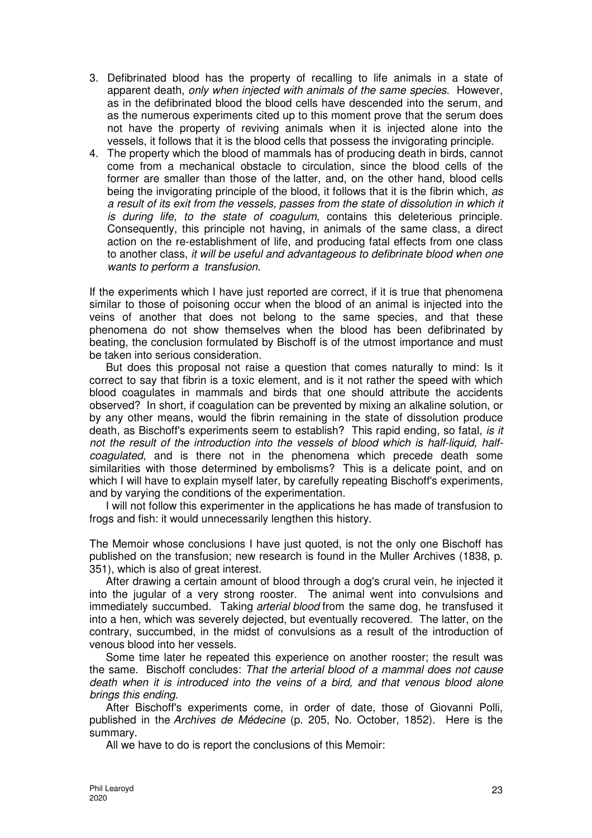- 3. Defibrinated blood has the property of recalling to life animals in a state of apparent death, only when injected with animals of the same species. However, as in the defibrinated blood the blood cells have descended into the serum, and as the numerous experiments cited up to this moment prove that the serum does not have the property of reviving animals when it is injected alone into the vessels, it follows that it is the blood cells that possess the invigorating principle.
- 4. The property which the blood of mammals has of producing death in birds, cannot come from a mechanical obstacle to circulation, since the blood cells of the former are smaller than those of the latter, and, on the other hand, blood cells being the invigorating principle of the blood, it follows that it is the fibrin which, as a result of its exit from the vessels, passes from the state of dissolution in which it is during life, to the state of coagulum, contains this deleterious principle. Consequently, this principle not having, in animals of the same class, a direct action on the re-establishment of life, and producing fatal effects from one class to another class, it will be useful and advantageous to defibrinate blood when one wants to perform a transfusion.

If the experiments which I have just reported are correct, if it is true that phenomena similar to those of poisoning occur when the blood of an animal is injected into the veins of another that does not belong to the same species, and that these phenomena do not show themselves when the blood has been defibrinated by beating, the conclusion formulated by Bischoff is of the utmost importance and must be taken into serious consideration.

But does this proposal not raise a question that comes naturally to mind: Is it correct to say that fibrin is a toxic element, and is it not rather the speed with which blood coagulates in mammals and birds that one should attribute the accidents observed? In short, if coagulation can be prevented by mixing an alkaline solution, or by any other means, would the fibrin remaining in the state of dissolution produce death, as Bischoff's experiments seem to establish? This rapid ending, so fatal, is it not the result of the introduction into the vessels of blood which is half-liquid, halfcoagulated, and is there not in the phenomena which precede death some similarities with those determined by embolisms? This is a delicate point, and on which I will have to explain myself later, by carefully repeating Bischoff's experiments, and by varying the conditions of the experimentation.

I will not follow this experimenter in the applications he has made of transfusion to frogs and fish: it would unnecessarily lengthen this history.

The Memoir whose conclusions I have just quoted, is not the only one Bischoff has published on the transfusion; new research is found in the Muller Archives (1838, p. 351), which is also of great interest.

After drawing a certain amount of blood through a dog's crural vein, he injected it into the jugular of a very strong rooster. The animal went into convulsions and immediately succumbed. Taking arterial blood from the same dog, he transfused it into a hen, which was severely dejected, but eventually recovered. The latter, on the contrary, succumbed, in the midst of convulsions as a result of the introduction of venous blood into her vessels.

Some time later he repeated this experience on another rooster; the result was the same. Bischoff concludes: That the arterial blood of a mammal does not cause death when it is introduced into the veins of a bird, and that venous blood alone brings this ending.

After Bischoff's experiments come, in order of date, those of Giovanni Polli, published in the Archives de Médecine (p. 205, No. October, 1852). Here is the summary.

All we have to do is report the conclusions of this Memoir: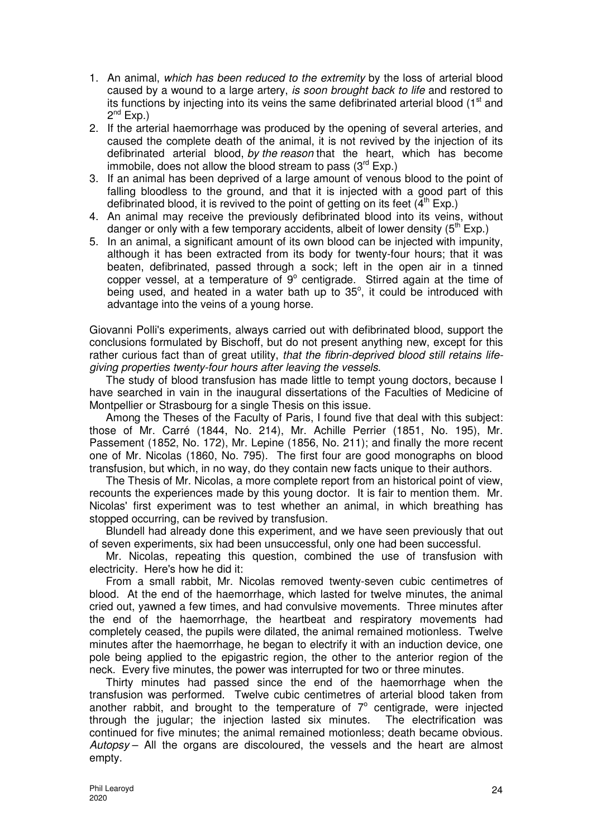- 1. An animal, which has been reduced to the extremity by the loss of arterial blood caused by a wound to a large artery, is soon brought back to life and restored to its functions by injecting into its veins the same defibrinated arterial blood  $(1<sup>st</sup>$  and  $2^{nd}$  Exp.)
- 2. If the arterial haemorrhage was produced by the opening of several arteries, and caused the complete death of the animal, it is not revived by the injection of its defibrinated arterial blood, by the reason that the heart, which has become immobile, does not allow the blood stream to pass  $(3<sup>rd</sup> Exp.)$
- 3. If an animal has been deprived of a large amount of venous blood to the point of falling bloodless to the ground, and that it is injected with a good part of this defibrinated blood, it is revived to the point of getting on its feet  $(4<sup>th</sup> Exp.)$
- 4. An animal may receive the previously defibrinated blood into its veins, without danger or only with a few temporary accidents, albeit of lower density  $(5<sup>th</sup> Exp.)$
- 5. In an animal, a significant amount of its own blood can be injected with impunity, although it has been extracted from its body for twenty-four hours; that it was beaten, defibrinated, passed through a sock; left in the open air in a tinned copper vessel, at a temperature of  $9^{\circ}$  centigrade. Stirred again at the time of being used, and heated in a water bath up to  $35^\circ$ , it could be introduced with advantage into the veins of a young horse.

Giovanni Polli's experiments, always carried out with defibrinated blood, support the conclusions formulated by Bischoff, but do not present anything new, except for this rather curious fact than of great utility, that the fibrin-deprived blood still retains lifegiving properties twenty-four hours after leaving the vessels.

The study of blood transfusion has made little to tempt young doctors, because I have searched in vain in the inaugural dissertations of the Faculties of Medicine of Montpellier or Strasbourg for a single Thesis on this issue.

Among the Theses of the Faculty of Paris, I found five that deal with this subject: those of Mr. Carré (1844, No. 214), Mr. Achille Perrier (1851, No. 195), Mr. Passement (1852, No. 172), Mr. Lepine (1856, No. 211); and finally the more recent one of Mr. Nicolas (1860, No. 795). The first four are good monographs on blood transfusion, but which, in no way, do they contain new facts unique to their authors.

The Thesis of Mr. Nicolas, a more complete report from an historical point of view, recounts the experiences made by this young doctor. It is fair to mention them. Mr. Nicolas' first experiment was to test whether an animal, in which breathing has stopped occurring, can be revived by transfusion.

Blundell had already done this experiment, and we have seen previously that out of seven experiments, six had been unsuccessful, only one had been successful.

Mr. Nicolas, repeating this question, combined the use of transfusion with electricity. Here's how he did it:

From a small rabbit, Mr. Nicolas removed twenty-seven cubic centimetres of blood. At the end of the haemorrhage, which lasted for twelve minutes, the animal cried out, yawned a few times, and had convulsive movements. Three minutes after the end of the haemorrhage, the heartbeat and respiratory movements had completely ceased, the pupils were dilated, the animal remained motionless. Twelve minutes after the haemorrhage, he began to electrify it with an induction device, one pole being applied to the epigastric region, the other to the anterior region of the neck. Every five minutes, the power was interrupted for two or three minutes.

Thirty minutes had passed since the end of the haemorrhage when the transfusion was performed. Twelve cubic centimetres of arterial blood taken from another rabbit, and brought to the temperature of  $7^\circ$  centigrade, were injected through the jugular; the injection lasted six minutes. The electrification was continued for five minutes; the animal remained motionless; death became obvious. Autopsy – All the organs are discoloured, the vessels and the heart are almost empty.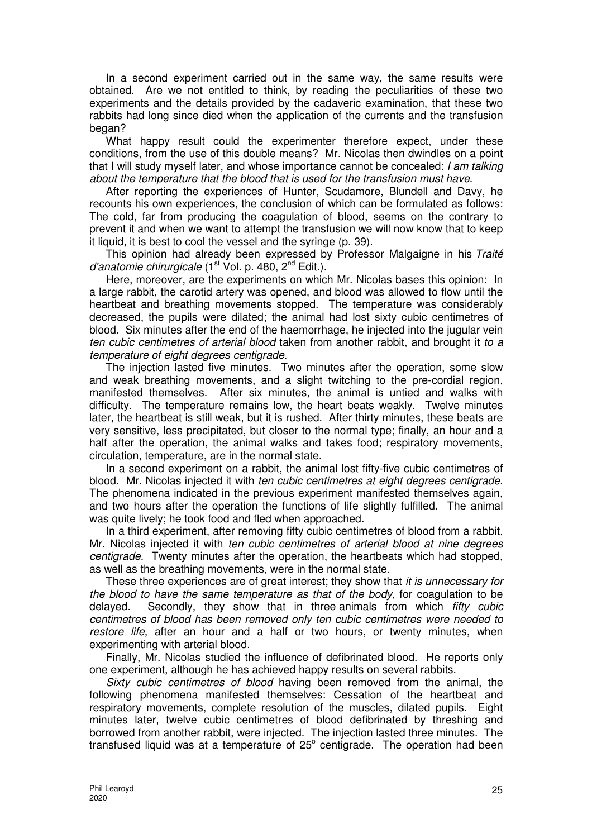In a second experiment carried out in the same way, the same results were obtained. Are we not entitled to think, by reading the peculiarities of these two experiments and the details provided by the cadaveric examination, that these two rabbits had long since died when the application of the currents and the transfusion began?

What happy result could the experimenter therefore expect, under these conditions, from the use of this double means? Mr. Nicolas then dwindles on a point that I will study myself later, and whose importance cannot be concealed: I am talking about the temperature that the blood that is used for the transfusion must have.

After reporting the experiences of Hunter, Scudamore, Blundell and Davy, he recounts his own experiences, the conclusion of which can be formulated as follows: The cold, far from producing the coagulation of blood, seems on the contrary to prevent it and when we want to attempt the transfusion we will now know that to keep it liquid, it is best to cool the vessel and the syringe (p. 39).

This opinion had already been expressed by Professor Malgaigne in his Traité d'anatomie chirurgicale (1<sup>st</sup> Vol. p. 480,  $2^{nd}$  Edit.).

Here, moreover, are the experiments on which Mr. Nicolas bases this opinion: In a large rabbit, the carotid artery was opened, and blood was allowed to flow until the heartbeat and breathing movements stopped. The temperature was considerably decreased, the pupils were dilated; the animal had lost sixty cubic centimetres of blood. Six minutes after the end of the haemorrhage, he injected into the jugular vein ten cubic centimetres of arterial blood taken from another rabbit, and brought it to a temperature of eight degrees centigrade.

The injection lasted five minutes. Two minutes after the operation, some slow and weak breathing movements, and a slight twitching to the pre-cordial region, manifested themselves. After six minutes, the animal is untied and walks with difficulty. The temperature remains low, the heart beats weakly. Twelve minutes later, the heartbeat is still weak, but it is rushed. After thirty minutes, these beats are very sensitive, less precipitated, but closer to the normal type; finally, an hour and a half after the operation, the animal walks and takes food; respiratory movements, circulation, temperature, are in the normal state.

In a second experiment on a rabbit, the animal lost fifty-five cubic centimetres of blood. Mr. Nicolas injected it with ten cubic centimetres at eight degrees centigrade. The phenomena indicated in the previous experiment manifested themselves again, and two hours after the operation the functions of life slightly fulfilled. The animal was quite lively; he took food and fled when approached.

In a third experiment, after removing fifty cubic centimetres of blood from a rabbit, Mr. Nicolas injected it with ten cubic centimetres of arterial blood at nine degrees centigrade. Twenty minutes after the operation, the heartbeats which had stopped, as well as the breathing movements, were in the normal state.

These three experiences are of great interest; they show that it is unnecessary for the blood to have the same temperature as that of the body, for coagulation to be delayed. Secondly, they show that in three animals from which *fifty cubic* centimetres of blood has been removed only ten cubic centimetres were needed to restore life, after an hour and a half or two hours, or twenty minutes, when experimenting with arterial blood.

Finally, Mr. Nicolas studied the influence of defibrinated blood. He reports only one experiment, although he has achieved happy results on several rabbits.

Sixty cubic centimetres of blood having been removed from the animal, the following phenomena manifested themselves: Cessation of the heartbeat and respiratory movements, complete resolution of the muscles, dilated pupils. Eight minutes later, twelve cubic centimetres of blood defibrinated by threshing and borrowed from another rabbit, were injected. The injection lasted three minutes. The transfused liquid was at a temperature of  $25^{\circ}$  centigrade. The operation had been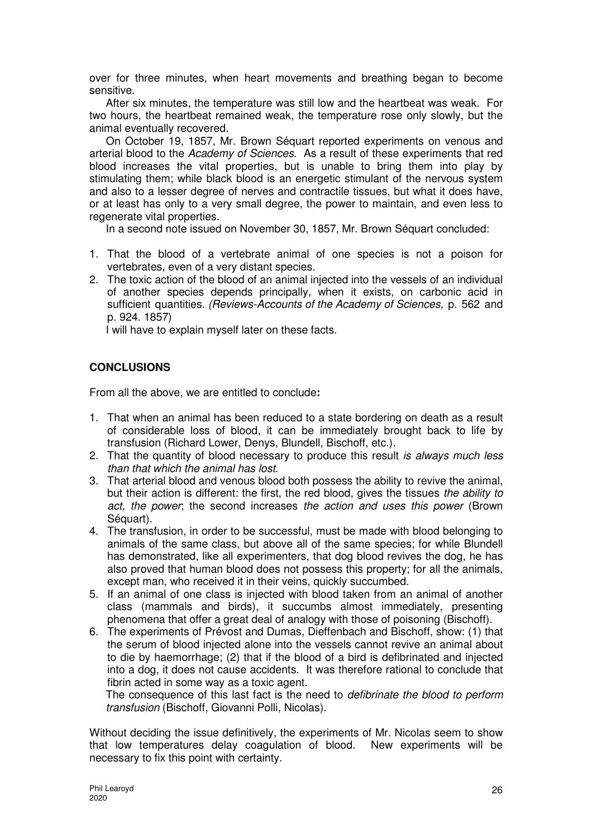over for three minutes, when heart movements and breathing began to become sensitive.

After six minutes, the temperature was still low and the heartbeat was weak. For two hours, the heartbeat remained weak, the temperature rose only slowly, but the animal eventually recovered.

On October 19, 1857, Mr. Brown Séquart reported experiments on venous and arterial blood to the Academy of Sciences. As a result of these experiments that red blood increases the vital properties, but is unable to bring them into play by stimulating them; while black blood is an energetic stimulant of the nervous system and also to a lesser degree of nerves and contractile tissues, but what it does have, or at least has only to a very small degree, the power to maintain, and even less to regenerate vital properties.

In a second note issued on November 30, 1857, Mr. Brown Séquart concluded:

- 1. That the blood of a vertebrate animal of one species is not a poison for vertebrates, even of a very distant species.
- 2. The toxic action of the blood of an animal injected into the vessels of an individual of another species depends principally, when it exists, on carbonic acid in sufficient quantities. (Reviews-Accounts of the Academy of Sciences, p. 562 and p. 924. 1857)

I will have to explain myself later on these facts.

# **CONCLUSIONS**

From all the above, we are entitled to conclude**:** 

- 1. That when an animal has been reduced to a state bordering on death as a result of considerable loss of blood, it can be immediately brought back to life by transfusion (Richard Lower, Denys, Blundell, Bischoff, etc.).
- 2. That the quantity of blood necessary to produce this result is always much less than that which the animal has lost.
- 3. That arterial blood and venous blood both possess the ability to revive the animal, but their action is different: the first, the red blood, gives the tissues the ability to act, the power; the second increases the action and uses this power (Brown Séquart).
- 4. The transfusion, in order to be successful, must be made with blood belonging to animals of the same class, but above all of the same species; for while Blundell has demonstrated, like all experimenters, that dog blood revives the dog, he has also proved that human blood does not possess this property; for all the animals, except man, who received it in their veins, quickly succumbed.
- 5. If an animal of one class is injected with blood taken from an animal of another class (mammals and birds), it succumbs almost immediately, presenting phenomena that offer a great deal of analogy with those of poisoning (Bischoff).
- 6. The experiments of Prévost and Dumas, Dieffenbach and Bischoff, show: (1) that the serum of blood injected alone into the vessels cannot revive an animal about to die by haemorrhage; (2) that if the blood of a bird is defibrinated and injected into a dog, it does not cause accidents. It was therefore rational to conclude that fibrin acted in some way as a toxic agent.

The consequence of this last fact is the need to *defibrinate the blood to perform* transfusion (Bischoff, Giovanni Polli, Nicolas).

Without deciding the issue definitively, the experiments of Mr. Nicolas seem to show that low temperatures delay coagulation of blood. New experiments will be necessary to fix this point with certainty.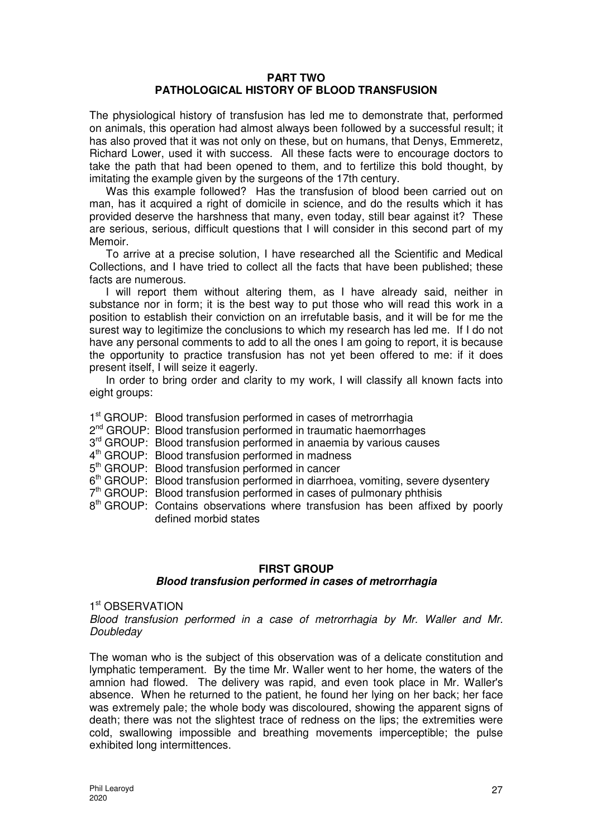## **PART TWO PATHOLOGICAL HISTORY OF BLOOD TRANSFUSION**

The physiological history of transfusion has led me to demonstrate that, performed on animals, this operation had almost always been followed by a successful result; it has also proved that it was not only on these, but on humans, that Denys, Emmeretz, Richard Lower, used it with success. All these facts were to encourage doctors to take the path that had been opened to them, and to fertilize this bold thought, by imitating the example given by the surgeons of the 17th century.

Was this example followed? Has the transfusion of blood been carried out on man, has it acquired a right of domicile in science, and do the results which it has provided deserve the harshness that many, even today, still bear against it? These are serious, serious, difficult questions that I will consider in this second part of my Memoir.

To arrive at a precise solution, I have researched all the Scientific and Medical Collections, and I have tried to collect all the facts that have been published; these facts are numerous.

I will report them without altering them, as I have already said, neither in substance nor in form; it is the best way to put those who will read this work in a position to establish their conviction on an irrefutable basis, and it will be for me the surest way to legitimize the conclusions to which my research has led me. If I do not have any personal comments to add to all the ones I am going to report, it is because the opportunity to practice transfusion has not yet been offered to me: if it does present itself, I will seize it eagerly.

In order to bring order and clarity to my work, I will classify all known facts into eight groups:

1<sup>st</sup> GROUP: Blood transfusion performed in cases of metrorrhagia

- 2<sup>nd</sup> GROUP: Blood transfusion performed in traumatic haemorrhages
- 3<sup>rd</sup> GROUP: Blood transfusion performed in anaemia by various causes
- 4<sup>th</sup> GROUP: Blood transfusion performed in madness
- 5<sup>th</sup> GROUP: Blood transfusion performed in cancer
- 6<sup>th</sup> GROUP: Blood transfusion performed in diarrhoea, vomiting, severe dysentery
- 7<sup>th</sup> GROUP: Blood transfusion performed in cases of pulmonary phthisis
- 8<sup>th</sup> GROUP: Contains observations where transfusion has been affixed by poorly defined morbid states

## **FIRST GROUP**

## **Blood transfusion performed in cases of metrorrhagia**

1<sup>st</sup> OBSERVATION

Blood transfusion performed in a case of metrorrhagia by Mr. Waller and Mr. **Doubleday** 

The woman who is the subject of this observation was of a delicate constitution and lymphatic temperament. By the time Mr. Waller went to her home, the waters of the amnion had flowed. The delivery was rapid, and even took place in Mr. Waller's absence. When he returned to the patient, he found her lying on her back; her face was extremely pale; the whole body was discoloured, showing the apparent signs of death; there was not the slightest trace of redness on the lips; the extremities were cold, swallowing impossible and breathing movements imperceptible; the pulse exhibited long intermittences.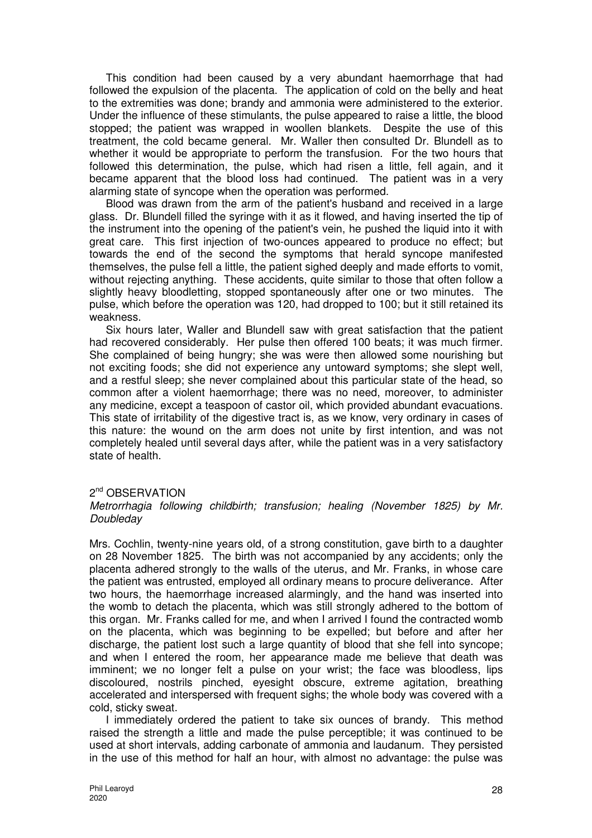This condition had been caused by a very abundant haemorrhage that had followed the expulsion of the placenta. The application of cold on the belly and heat to the extremities was done; brandy and ammonia were administered to the exterior. Under the influence of these stimulants, the pulse appeared to raise a little, the blood stopped; the patient was wrapped in woollen blankets. Despite the use of this treatment, the cold became general. Mr. Waller then consulted Dr. Blundell as to whether it would be appropriate to perform the transfusion. For the two hours that followed this determination, the pulse, which had risen a little, fell again, and it became apparent that the blood loss had continued. The patient was in a very alarming state of syncope when the operation was performed.

Blood was drawn from the arm of the patient's husband and received in a large glass. Dr. Blundell filled the syringe with it as it flowed, and having inserted the tip of the instrument into the opening of the patient's vein, he pushed the liquid into it with great care. This first injection of two-ounces appeared to produce no effect; but towards the end of the second the symptoms that herald syncope manifested themselves, the pulse fell a little, the patient sighed deeply and made efforts to vomit, without rejecting anything. These accidents, quite similar to those that often follow a slightly heavy bloodletting, stopped spontaneously after one or two minutes. The pulse, which before the operation was 120, had dropped to 100; but it still retained its weakness.

Six hours later, Waller and Blundell saw with great satisfaction that the patient had recovered considerably. Her pulse then offered 100 beats; it was much firmer. She complained of being hungry; she was were then allowed some nourishing but not exciting foods; she did not experience any untoward symptoms; she slept well, and a restful sleep; she never complained about this particular state of the head, so common after a violent haemorrhage; there was no need, moreover, to administer any medicine, except a teaspoon of castor oil, which provided abundant evacuations. This state of irritability of the digestive tract is, as we know, very ordinary in cases of this nature: the wound on the arm does not unite by first intention, and was not completely healed until several days after, while the patient was in a very satisfactory state of health.

## 2<sup>nd</sup> OBSERVATION

#### Metrorrhagia following childbirth; transfusion; healing (November 1825) by Mr. Doubleday

Mrs. Cochlin, twenty-nine years old, of a strong constitution, gave birth to a daughter on 28 November 1825. The birth was not accompanied by any accidents; only the placenta adhered strongly to the walls of the uterus, and Mr. Franks, in whose care the patient was entrusted, employed all ordinary means to procure deliverance. After two hours, the haemorrhage increased alarmingly, and the hand was inserted into the womb to detach the placenta, which was still strongly adhered to the bottom of this organ. Mr. Franks called for me, and when I arrived I found the contracted womb on the placenta, which was beginning to be expelled; but before and after her discharge, the patient lost such a large quantity of blood that she fell into syncope; and when I entered the room, her appearance made me believe that death was imminent; we no longer felt a pulse on your wrist; the face was bloodless, lips discoloured, nostrils pinched, eyesight obscure, extreme agitation, breathing accelerated and interspersed with frequent sighs; the whole body was covered with a cold, sticky sweat.

I immediately ordered the patient to take six ounces of brandy. This method raised the strength a little and made the pulse perceptible; it was continued to be used at short intervals, adding carbonate of ammonia and laudanum. They persisted in the use of this method for half an hour, with almost no advantage: the pulse was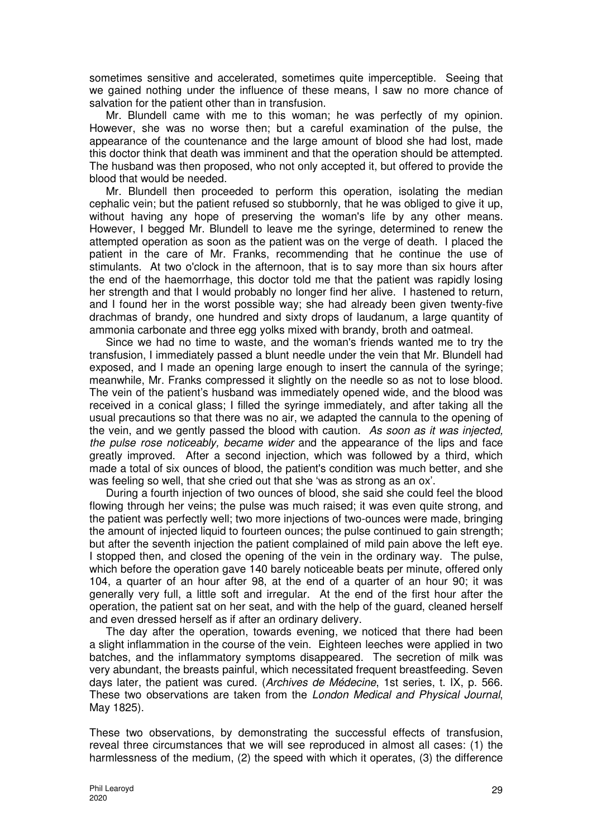sometimes sensitive and accelerated, sometimes quite imperceptible. Seeing that we gained nothing under the influence of these means, I saw no more chance of salvation for the patient other than in transfusion.

Mr. Blundell came with me to this woman; he was perfectly of my opinion. However, she was no worse then; but a careful examination of the pulse, the appearance of the countenance and the large amount of blood she had lost, made this doctor think that death was imminent and that the operation should be attempted. The husband was then proposed, who not only accepted it, but offered to provide the blood that would be needed.

Mr. Blundell then proceeded to perform this operation, isolating the median cephalic vein; but the patient refused so stubbornly, that he was obliged to give it up, without having any hope of preserving the woman's life by any other means. However, I begged Mr. Blundell to leave me the syringe, determined to renew the attempted operation as soon as the patient was on the verge of death. I placed the patient in the care of Mr. Franks, recommending that he continue the use of stimulants. At two o'clock in the afternoon, that is to say more than six hours after the end of the haemorrhage, this doctor told me that the patient was rapidly losing her strength and that I would probably no longer find her alive. I hastened to return, and I found her in the worst possible way; she had already been given twenty-five drachmas of brandy, one hundred and sixty drops of laudanum, a large quantity of ammonia carbonate and three egg yolks mixed with brandy, broth and oatmeal.

Since we had no time to waste, and the woman's friends wanted me to try the transfusion, I immediately passed a blunt needle under the vein that Mr. Blundell had exposed, and I made an opening large enough to insert the cannula of the syringe; meanwhile, Mr. Franks compressed it slightly on the needle so as not to lose blood. The vein of the patient's husband was immediately opened wide, and the blood was received in a conical glass; I filled the syringe immediately, and after taking all the usual precautions so that there was no air, we adapted the cannula to the opening of the vein, and we gently passed the blood with caution. As soon as it was injected, the pulse rose noticeably, became wider and the appearance of the lips and face greatly improved. After a second injection, which was followed by a third, which made a total of six ounces of blood, the patient's condition was much better, and she was feeling so well, that she cried out that she 'was as strong as an ox'.

During a fourth injection of two ounces of blood, she said she could feel the blood flowing through her veins; the pulse was much raised; it was even quite strong, and the patient was perfectly well; two more injections of two-ounces were made, bringing the amount of injected liquid to fourteen ounces; the pulse continued to gain strength; but after the seventh injection the patient complained of mild pain above the left eye. I stopped then, and closed the opening of the vein in the ordinary way. The pulse, which before the operation gave 140 barely noticeable beats per minute, offered only 104, a quarter of an hour after 98, at the end of a quarter of an hour 90; it was generally very full, a little soft and irregular. At the end of the first hour after the operation, the patient sat on her seat, and with the help of the guard, cleaned herself and even dressed herself as if after an ordinary delivery.

The day after the operation, towards evening, we noticed that there had been a slight inflammation in the course of the vein. Eighteen leeches were applied in two batches, and the inflammatory symptoms disappeared. The secretion of milk was very abundant, the breasts painful, which necessitated frequent breastfeeding. Seven days later, the patient was cured. (Archives de Médecine, 1st series, t. IX, p. 566. These two observations are taken from the London Medical and Physical Journal, May 1825).

These two observations, by demonstrating the successful effects of transfusion, reveal three circumstances that we will see reproduced in almost all cases: (1) the harmlessness of the medium, (2) the speed with which it operates, (3) the difference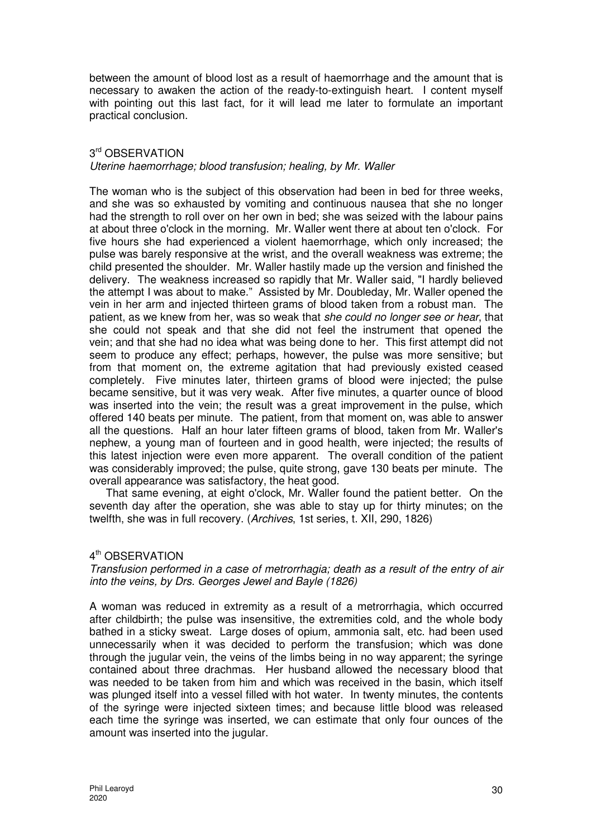between the amount of blood lost as a result of haemorrhage and the amount that is necessary to awaken the action of the ready-to-extinguish heart. I content myself with pointing out this last fact, for it will lead me later to formulate an important practical conclusion.

## 3 rd OBSERVATION Uterine haemorrhage; blood transfusion; healing, by Mr. Waller

The woman who is the subject of this observation had been in bed for three weeks, and she was so exhausted by vomiting and continuous nausea that she no longer had the strength to roll over on her own in bed; she was seized with the labour pains at about three o'clock in the morning. Mr. Waller went there at about ten o'clock. For five hours she had experienced a violent haemorrhage, which only increased; the pulse was barely responsive at the wrist, and the overall weakness was extreme; the child presented the shoulder. Mr. Waller hastily made up the version and finished the delivery. The weakness increased so rapidly that Mr. Waller said, "I hardly believed the attempt I was about to make." Assisted by Mr. Doubleday, Mr. Waller opened the vein in her arm and injected thirteen grams of blood taken from a robust man. The patient, as we knew from her, was so weak that she could no longer see or hear, that she could not speak and that she did not feel the instrument that opened the vein; and that she had no idea what was being done to her. This first attempt did not seem to produce any effect; perhaps, however, the pulse was more sensitive; but from that moment on, the extreme agitation that had previously existed ceased completely. Five minutes later, thirteen grams of blood were injected; the pulse became sensitive, but it was very weak. After five minutes, a quarter ounce of blood was inserted into the vein; the result was a great improvement in the pulse, which offered 140 beats per minute. The patient, from that moment on, was able to answer all the questions. Half an hour later fifteen grams of blood, taken from Mr. Waller's nephew, a young man of fourteen and in good health, were injected; the results of this latest injection were even more apparent. The overall condition of the patient was considerably improved; the pulse, quite strong, gave 130 beats per minute. The overall appearance was satisfactory, the heat good.

That same evening, at eight o'clock, Mr. Waller found the patient better. On the seventh day after the operation, she was able to stay up for thirty minutes; on the twelfth, she was in full recovery. (Archives, 1st series, t. XII, 290, 1826)

## 4<sup>th</sup> OBSERVATION

Transfusion performed in a case of metrorrhagia; death as a result of the entry of air into the veins, by Drs. Georges Jewel and Bayle (1826)

A woman was reduced in extremity as a result of a metrorrhagia, which occurred after childbirth; the pulse was insensitive, the extremities cold, and the whole body bathed in a sticky sweat. Large doses of opium, ammonia salt, etc. had been used unnecessarily when it was decided to perform the transfusion; which was done through the jugular vein, the veins of the limbs being in no way apparent; the syringe contained about three drachmas. Her husband allowed the necessary blood that was needed to be taken from him and which was received in the basin, which itself was plunged itself into a vessel filled with hot water. In twenty minutes, the contents of the syringe were injected sixteen times; and because little blood was released each time the syringe was inserted, we can estimate that only four ounces of the amount was inserted into the jugular.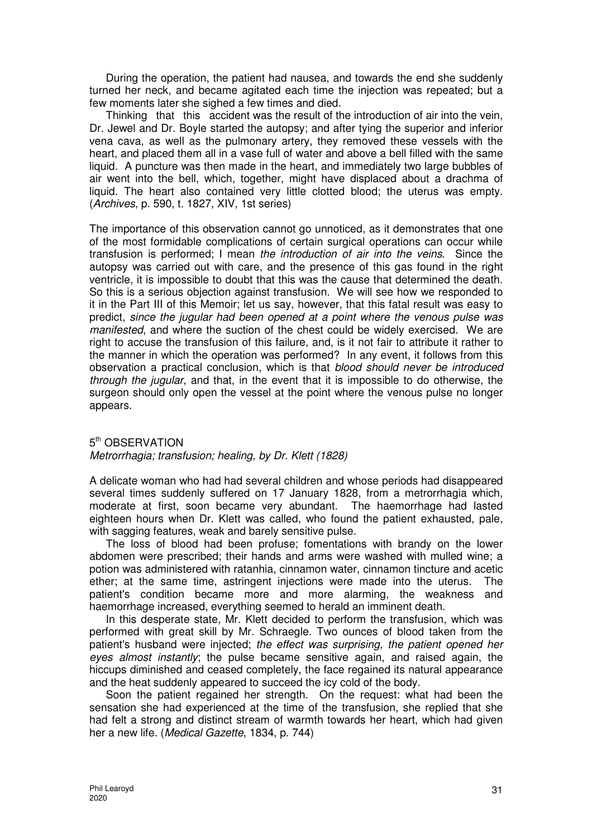During the operation, the patient had nausea, and towards the end she suddenly turned her neck, and became agitated each time the injection was repeated; but a few moments later she sighed a few times and died.

Thinking that this accident was the result of the introduction of air into the vein, Dr. Jewel and Dr. Boyle started the autopsy; and after tying the superior and inferior vena cava, as well as the pulmonary artery, they removed these vessels with the heart, and placed them all in a vase full of water and above a bell filled with the same liquid. A puncture was then made in the heart, and immediately two large bubbles of air went into the bell, which, together, might have displaced about a drachma of liquid. The heart also contained very little clotted blood; the uterus was empty. (Archives, p. 590, t. 1827, XIV, 1st series)

The importance of this observation cannot go unnoticed, as it demonstrates that one of the most formidable complications of certain surgical operations can occur while transfusion is performed; I mean the introduction of air into the veins. Since the autopsy was carried out with care, and the presence of this gas found in the right ventricle, it is impossible to doubt that this was the cause that determined the death. So this is a serious objection against transfusion. We will see how we responded to it in the Part III of this Memoir; let us say, however, that this fatal result was easy to predict, since the jugular had been opened at a point where the venous pulse was manifested, and where the suction of the chest could be widely exercised. We are right to accuse the transfusion of this failure, and, is it not fair to attribute it rather to the manner in which the operation was performed? In any event, it follows from this observation a practical conclusion, which is that blood should never be introduced through the *jugular*, and that, in the event that it is impossible to do otherwise, the surgeon should only open the vessel at the point where the venous pulse no longer appears.

# 5<sup>th</sup> OBSERVATION

#### Metrorrhagia; transfusion; healing, by Dr. Klett (1828)

A delicate woman who had had several children and whose periods had disappeared several times suddenly suffered on 17 January 1828, from a metrorrhagia which, moderate at first, soon became very abundant. The haemorrhage had lasted eighteen hours when Dr. Klett was called, who found the patient exhausted, pale, with sagging features, weak and barely sensitive pulse.

The loss of blood had been profuse; fomentations with brandy on the lower abdomen were prescribed; their hands and arms were washed with mulled wine; a potion was administered with ratanhia, cinnamon water, cinnamon tincture and acetic ether; at the same time, astringent injections were made into the uterus. The patient's condition became more and more alarming, the weakness and haemorrhage increased, everything seemed to herald an imminent death.

In this desperate state, Mr. Klett decided to perform the transfusion, which was performed with great skill by Mr. Schraegle. Two ounces of blood taken from the patient's husband were injected; the effect was surprising, the patient opened her eyes almost instantly; the pulse became sensitive again, and raised again, the hiccups diminished and ceased completely, the face regained its natural appearance and the heat suddenly appeared to succeed the icy cold of the body.

Soon the patient regained her strength. On the request: what had been the sensation she had experienced at the time of the transfusion, she replied that she had felt a strong and distinct stream of warmth towards her heart, which had given her a new life. (Medical Gazette, 1834, p. 744)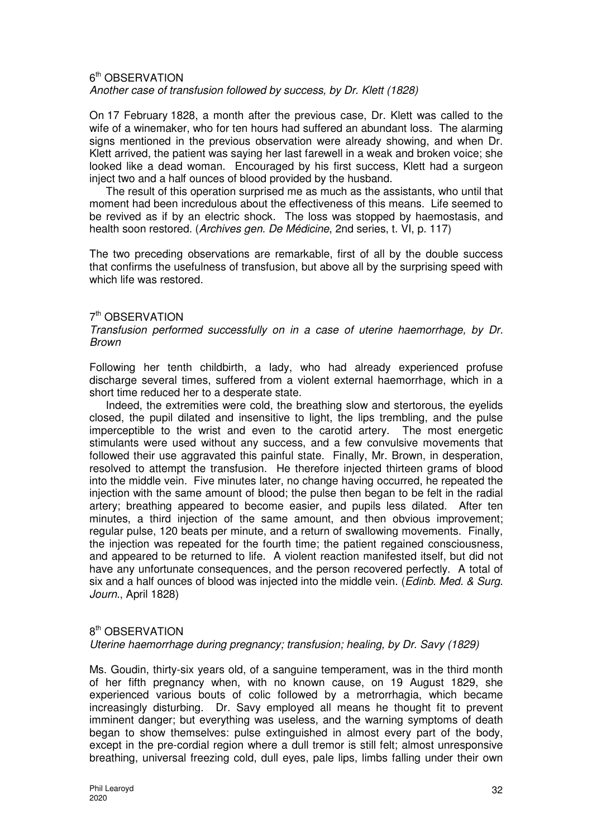#### 6<sup>th</sup> OBSERVATION Another case of transfusion followed by success, by Dr. Klett (1828)

On 17 February 1828, a month after the previous case, Dr. Klett was called to the wife of a winemaker, who for ten hours had suffered an abundant loss. The alarming signs mentioned in the previous observation were already showing, and when Dr. Klett arrived, the patient was saying her last farewell in a weak and broken voice; she looked like a dead woman. Encouraged by his first success, Klett had a surgeon inject two and a half ounces of blood provided by the husband.

The result of this operation surprised me as much as the assistants, who until that moment had been incredulous about the effectiveness of this means. Life seemed to be revived as if by an electric shock. The loss was stopped by haemostasis, and health soon restored. (Archives gen. De Médicine, 2nd series, t. VI, p. 117)

The two preceding observations are remarkable, first of all by the double success that confirms the usefulness of transfusion, but above all by the surprising speed with which life was restored.

## 7<sup>th</sup> OBSERVATION

#### Transfusion performed successfully on in a case of uterine haemorrhage, by Dr. Brown

Following her tenth childbirth, a lady, who had already experienced profuse discharge several times, suffered from a violent external haemorrhage, which in a short time reduced her to a desperate state.

Indeed, the extremities were cold, the breathing slow and stertorous, the eyelids closed, the pupil dilated and insensitive to light, the lips trembling, and the pulse imperceptible to the wrist and even to the carotid artery. The most energetic stimulants were used without any success, and a few convulsive movements that followed their use aggravated this painful state. Finally, Mr. Brown, in desperation, resolved to attempt the transfusion. He therefore injected thirteen grams of blood into the middle vein. Five minutes later, no change having occurred, he repeated the injection with the same amount of blood; the pulse then began to be felt in the radial artery; breathing appeared to become easier, and pupils less dilated. After ten minutes, a third injection of the same amount, and then obvious improvement; regular pulse, 120 beats per minute, and a return of swallowing movements. Finally, the injection was repeated for the fourth time; the patient regained consciousness, and appeared to be returned to life. A violent reaction manifested itself, but did not have any unfortunate consequences, and the person recovered perfectly. A total of six and a half ounces of blood was injected into the middle vein. (Edinb. Med. & Surg. Journ., April 1828)

## 8<sup>th</sup> OBSERVATION

## Uterine haemorrhage during pregnancy; transfusion; healing, by Dr. Savy (1829)

Ms. Goudin, thirty-six years old, of a sanguine temperament, was in the third month of her fifth pregnancy when, with no known cause, on 19 August 1829, she experienced various bouts of colic followed by a metrorrhagia, which became increasingly disturbing. Dr. Savy employed all means he thought fit to prevent imminent danger; but everything was useless, and the warning symptoms of death began to show themselves: pulse extinguished in almost every part of the body, except in the pre-cordial region where a dull tremor is still felt; almost unresponsive breathing, universal freezing cold, dull eyes, pale lips, limbs falling under their own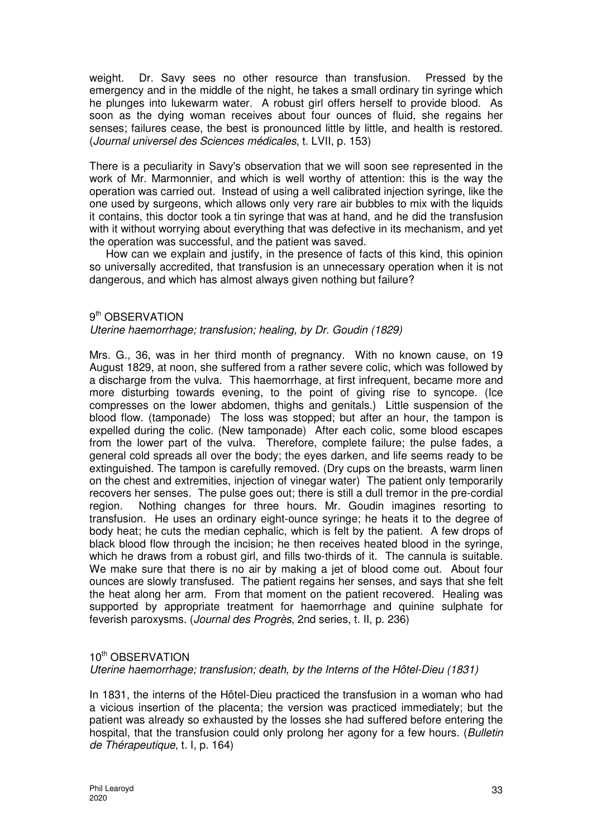weight. Dr. Savy sees no other resource than transfusion. Pressed by the emergency and in the middle of the night, he takes a small ordinary tin syringe which he plunges into lukewarm water. A robust girl offers herself to provide blood. As soon as the dying woman receives about four ounces of fluid, she regains her senses; failures cease, the best is pronounced little by little, and health is restored. (Journal universel des Sciences médicales, t. LVII, p. 153)

There is a peculiarity in Savy's observation that we will soon see represented in the work of Mr. Marmonnier, and which is well worthy of attention: this is the way the operation was carried out. Instead of using a well calibrated injection syringe, like the one used by surgeons, which allows only very rare air bubbles to mix with the liquids it contains, this doctor took a tin syringe that was at hand, and he did the transfusion with it without worrying about everything that was defective in its mechanism, and yet the operation was successful, and the patient was saved.

How can we explain and justify, in the presence of facts of this kind, this opinion so universally accredited, that transfusion is an unnecessary operation when it is not dangerous, and which has almost always given nothing but failure?

# 9<sup>th</sup> OBSERVATION

# Uterine haemorrhage; transfusion; healing, by Dr. Goudin (1829)

Mrs. G., 36, was in her third month of pregnancy. With no known cause, on 19 August 1829, at noon, she suffered from a rather severe colic, which was followed by a discharge from the vulva. This haemorrhage, at first infrequent, became more and more disturbing towards evening, to the point of giving rise to syncope. (Ice compresses on the lower abdomen, thighs and genitals.) Little suspension of the blood flow. (tamponade) The loss was stopped; but after an hour, the tampon is expelled during the colic. (New tamponade) After each colic, some blood escapes from the lower part of the vulva. Therefore, complete failure; the pulse fades, a general cold spreads all over the body; the eyes darken, and life seems ready to be extinguished. The tampon is carefully removed. (Dry cups on the breasts, warm linen on the chest and extremities, injection of vinegar water) The patient only temporarily recovers her senses. The pulse goes out; there is still a dull tremor in the pre-cordial region. Nothing changes for three hours. Mr. Goudin imagines resorting to transfusion. He uses an ordinary eight-ounce syringe; he heats it to the degree of body heat; he cuts the median cephalic, which is felt by the patient. A few drops of black blood flow through the incision; he then receives heated blood in the syringe, which he draws from a robust girl, and fills two-thirds of it. The cannula is suitable. We make sure that there is no air by making a jet of blood come out. About four ounces are slowly transfused. The patient regains her senses, and says that she felt the heat along her arm. From that moment on the patient recovered. Healing was supported by appropriate treatment for haemorrhage and quinine sulphate for feverish paroxysms. (Journal des Progrès, 2nd series, t. II, p. 236)

# 10<sup>th</sup> OBSERVATION

Uterine haemorrhage; transfusion; death, by the Interns of the Hôtel-Dieu (1831)

In 1831, the interns of the Hôtel-Dieu practiced the transfusion in a woman who had a vicious insertion of the placenta; the version was practiced immediately; but the patient was already so exhausted by the losses she had suffered before entering the hospital, that the transfusion could only prolong her agony for a few hours. (Bulletin de Thérapeutique, t. I, p. 164)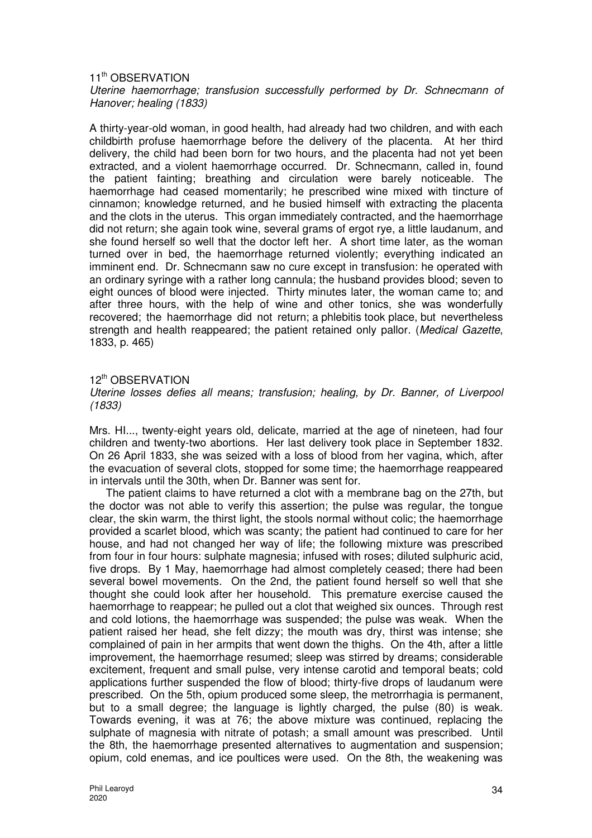#### 11<sup>th</sup> OBSERVATION Uterine haemorrhage; transfusion successfully performed by Dr. Schnecmann of Hanover; healing (1833)

A thirty-year-old woman, in good health, had already had two children, and with each childbirth profuse haemorrhage before the delivery of the placenta. At her third delivery, the child had been born for two hours, and the placenta had not yet been extracted, and a violent haemorrhage occurred. Dr. Schnecmann, called in, found the patient fainting; breathing and circulation were barely noticeable. The haemorrhage had ceased momentarily; he prescribed wine mixed with tincture of cinnamon; knowledge returned, and he busied himself with extracting the placenta and the clots in the uterus. This organ immediately contracted, and the haemorrhage did not return; she again took wine, several grams of ergot rye, a little laudanum, and she found herself so well that the doctor left her. A short time later, as the woman turned over in bed, the haemorrhage returned violently; everything indicated an imminent end. Dr. Schnecmann saw no cure except in transfusion: he operated with an ordinary syringe with a rather long cannula; the husband provides blood; seven to eight ounces of blood were injected. Thirty minutes later, the woman came to; and after three hours, with the help of wine and other tonics, she was wonderfully recovered; the haemorrhage did not return; a phlebitis took place, but nevertheless strength and health reappeared; the patient retained only pallor. (Medical Gazette, 1833, p. 465)

#### 12<sup>th</sup> OBSERVATION

Uterine losses defies all means; transfusion; healing, by Dr. Banner, of Liverpool (1833)

Mrs. HI..., twenty-eight years old, delicate, married at the age of nineteen, had four children and twenty-two abortions. Her last delivery took place in September 1832. On 26 April 1833, she was seized with a loss of blood from her vagina, which, after the evacuation of several clots, stopped for some time; the haemorrhage reappeared in intervals until the 30th, when Dr. Banner was sent for.

The patient claims to have returned a clot with a membrane bag on the 27th, but the doctor was not able to verify this assertion; the pulse was regular, the tongue clear, the skin warm, the thirst light, the stools normal without colic; the haemorrhage provided a scarlet blood, which was scanty; the patient had continued to care for her house, and had not changed her way of life; the following mixture was prescribed from four in four hours: sulphate magnesia; infused with roses; diluted sulphuric acid, five drops. By 1 May, haemorrhage had almost completely ceased; there had been several bowel movements. On the 2nd, the patient found herself so well that she thought she could look after her household. This premature exercise caused the haemorrhage to reappear; he pulled out a clot that weighed six ounces. Through rest and cold lotions, the haemorrhage was suspended; the pulse was weak. When the patient raised her head, she felt dizzy; the mouth was dry, thirst was intense; she complained of pain in her armpits that went down the thighs. On the 4th, after a little improvement, the haemorrhage resumed; sleep was stirred by dreams; considerable excitement, frequent and small pulse, very intense carotid and temporal beats; cold applications further suspended the flow of blood; thirty-five drops of laudanum were prescribed. On the 5th, opium produced some sleep, the metrorrhagia is permanent, but to a small degree; the language is lightly charged, the pulse (80) is weak. Towards evening, it was at 76; the above mixture was continued, replacing the sulphate of magnesia with nitrate of potash; a small amount was prescribed. Until the 8th, the haemorrhage presented alternatives to augmentation and suspension; opium, cold enemas, and ice poultices were used. On the 8th, the weakening was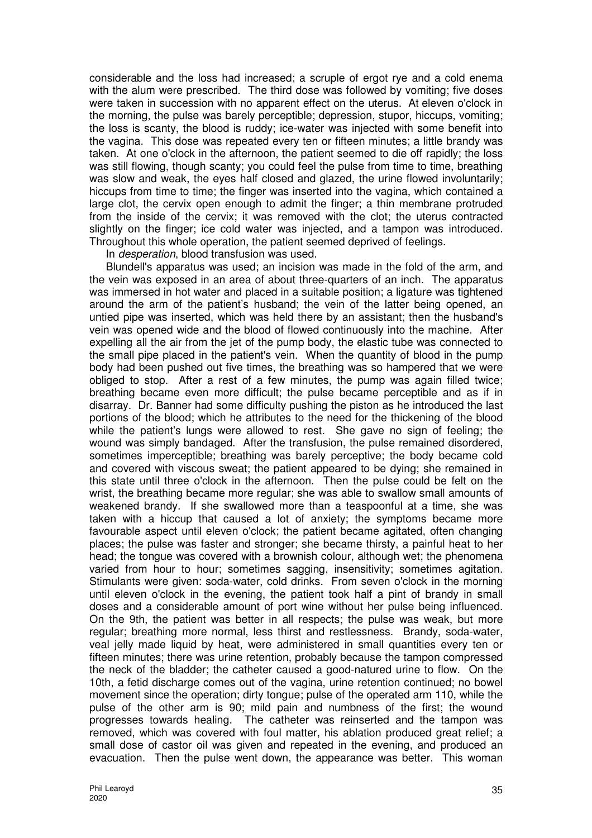considerable and the loss had increased; a scruple of ergot rye and a cold enema with the alum were prescribed. The third dose was followed by vomiting; five doses were taken in succession with no apparent effect on the uterus. At eleven o'clock in the morning, the pulse was barely perceptible; depression, stupor, hiccups, vomiting; the loss is scanty, the blood is ruddy; ice-water was injected with some benefit into the vagina. This dose was repeated every ten or fifteen minutes; a little brandy was taken. At one o'clock in the afternoon, the patient seemed to die off rapidly; the loss was still flowing, though scanty; you could feel the pulse from time to time, breathing was slow and weak, the eyes half closed and glazed, the urine flowed involuntarily; hiccups from time to time; the finger was inserted into the vagina, which contained a large clot, the cervix open enough to admit the finger; a thin membrane protruded from the inside of the cervix; it was removed with the clot; the uterus contracted slightly on the finger; ice cold water was injected, and a tampon was introduced. Throughout this whole operation, the patient seemed deprived of feelings.

In desperation, blood transfusion was used.

Blundell's apparatus was used; an incision was made in the fold of the arm, and the vein was exposed in an area of about three-quarters of an inch. The apparatus was immersed in hot water and placed in a suitable position; a ligature was tightened around the arm of the patient's husband; the vein of the latter being opened, an untied pipe was inserted, which was held there by an assistant; then the husband's vein was opened wide and the blood of flowed continuously into the machine. After expelling all the air from the jet of the pump body, the elastic tube was connected to the small pipe placed in the patient's vein. When the quantity of blood in the pump body had been pushed out five times, the breathing was so hampered that we were obliged to stop. After a rest of a few minutes, the pump was again filled twice; breathing became even more difficult; the pulse became perceptible and as if in disarray. Dr. Banner had some difficulty pushing the piston as he introduced the last portions of the blood; which he attributes to the need for the thickening of the blood while the patient's lungs were allowed to rest. She gave no sign of feeling; the wound was simply bandaged. After the transfusion, the pulse remained disordered, sometimes imperceptible; breathing was barely perceptive; the body became cold and covered with viscous sweat; the patient appeared to be dying; she remained in this state until three o'clock in the afternoon. Then the pulse could be felt on the wrist, the breathing became more regular; she was able to swallow small amounts of weakened brandy. If she swallowed more than a teaspoonful at a time, she was taken with a hiccup that caused a lot of anxiety; the symptoms became more favourable aspect until eleven o'clock; the patient became agitated, often changing places; the pulse was faster and stronger; she became thirsty, a painful heat to her head; the tongue was covered with a brownish colour, although wet; the phenomena varied from hour to hour; sometimes sagging, insensitivity; sometimes agitation. Stimulants were given: soda-water, cold drinks. From seven o'clock in the morning until eleven o'clock in the evening, the patient took half a pint of brandy in small doses and a considerable amount of port wine without her pulse being influenced. On the 9th, the patient was better in all respects; the pulse was weak, but more regular; breathing more normal, less thirst and restlessness. Brandy, soda-water, veal jelly made liquid by heat, were administered in small quantities every ten or fifteen minutes; there was urine retention, probably because the tampon compressed the neck of the bladder; the catheter caused a good-natured urine to flow. On the 10th, a fetid discharge comes out of the vagina, urine retention continued; no bowel movement since the operation; dirty tongue; pulse of the operated arm 110, while the pulse of the other arm is 90; mild pain and numbness of the first; the wound progresses towards healing. The catheter was reinserted and the tampon was removed, which was covered with foul matter, his ablation produced great relief; a small dose of castor oil was given and repeated in the evening, and produced an evacuation. Then the pulse went down, the appearance was better. This woman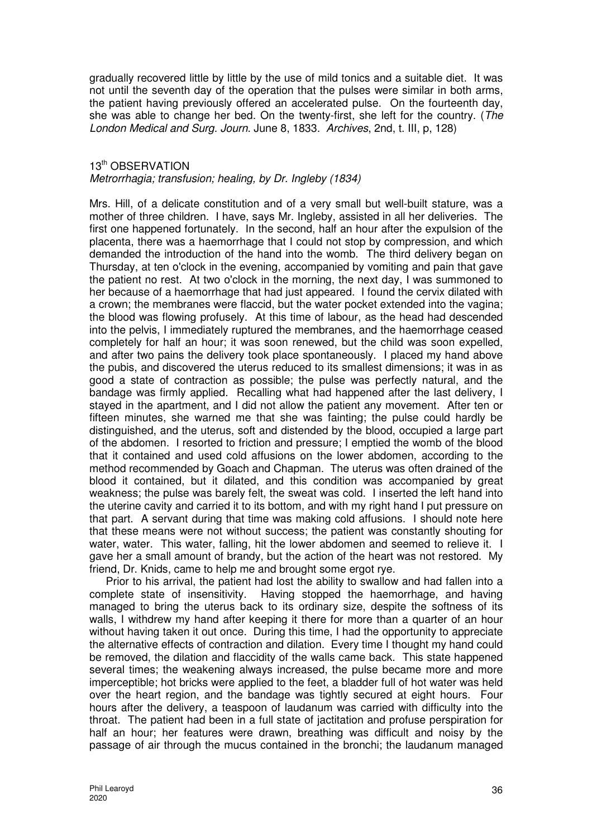gradually recovered little by little by the use of mild tonics and a suitable diet. It was not until the seventh day of the operation that the pulses were similar in both arms, the patient having previously offered an accelerated pulse. On the fourteenth day, she was able to change her bed. On the twenty-first, she left for the country. (The London Medical and Surg. Journ. June 8, 1833. Archives, 2nd, t. III, p, 128)

#### 13<sup>th</sup> OBSERVATION

## Metrorrhagia; transfusion; healing, by Dr. Ingleby (1834)

Mrs. Hill, of a delicate constitution and of a very small but well-built stature, was a mother of three children. I have, says Mr. Ingleby, assisted in all her deliveries. The first one happened fortunately. In the second, half an hour after the expulsion of the placenta, there was a haemorrhage that I could not stop by compression, and which demanded the introduction of the hand into the womb. The third delivery began on Thursday, at ten o'clock in the evening, accompanied by vomiting and pain that gave the patient no rest. At two o'clock in the morning, the next day, I was summoned to her because of a haemorrhage that had just appeared. I found the cervix dilated with a crown; the membranes were flaccid, but the water pocket extended into the vagina; the blood was flowing profusely. At this time of labour, as the head had descended into the pelvis, I immediately ruptured the membranes, and the haemorrhage ceased completely for half an hour; it was soon renewed, but the child was soon expelled, and after two pains the delivery took place spontaneously. I placed my hand above the pubis, and discovered the uterus reduced to its smallest dimensions; it was in as good a state of contraction as possible; the pulse was perfectly natural, and the bandage was firmly applied. Recalling what had happened after the last delivery, I stayed in the apartment, and I did not allow the patient any movement. After ten or fifteen minutes, she warned me that she was fainting; the pulse could hardly be distinguished, and the uterus, soft and distended by the blood, occupied a large part of the abdomen. I resorted to friction and pressure; I emptied the womb of the blood that it contained and used cold affusions on the lower abdomen, according to the method recommended by Goach and Chapman. The uterus was often drained of the blood it contained, but it dilated, and this condition was accompanied by great weakness; the pulse was barely felt, the sweat was cold. I inserted the left hand into the uterine cavity and carried it to its bottom, and with my right hand I put pressure on that part. A servant during that time was making cold affusions. I should note here that these means were not without success; the patient was constantly shouting for water, water. This water, falling, hit the lower abdomen and seemed to relieve it. I gave her a small amount of brandy, but the action of the heart was not restored. My friend, Dr. Knids, came to help me and brought some ergot rye.

Prior to his arrival, the patient had lost the ability to swallow and had fallen into a complete state of insensitivity. Having stopped the haemorrhage, and having managed to bring the uterus back to its ordinary size, despite the softness of its walls, I withdrew my hand after keeping it there for more than a quarter of an hour without having taken it out once. During this time, I had the opportunity to appreciate the alternative effects of contraction and dilation. Every time I thought my hand could be removed, the dilation and flaccidity of the walls came back. This state happened several times; the weakening always increased, the pulse became more and more imperceptible; hot bricks were applied to the feet, a bladder full of hot water was held over the heart region, and the bandage was tightly secured at eight hours. Four hours after the delivery, a teaspoon of laudanum was carried with difficulty into the throat. The patient had been in a full state of jactitation and profuse perspiration for half an hour; her features were drawn, breathing was difficult and noisy by the passage of air through the mucus contained in the bronchi; the laudanum managed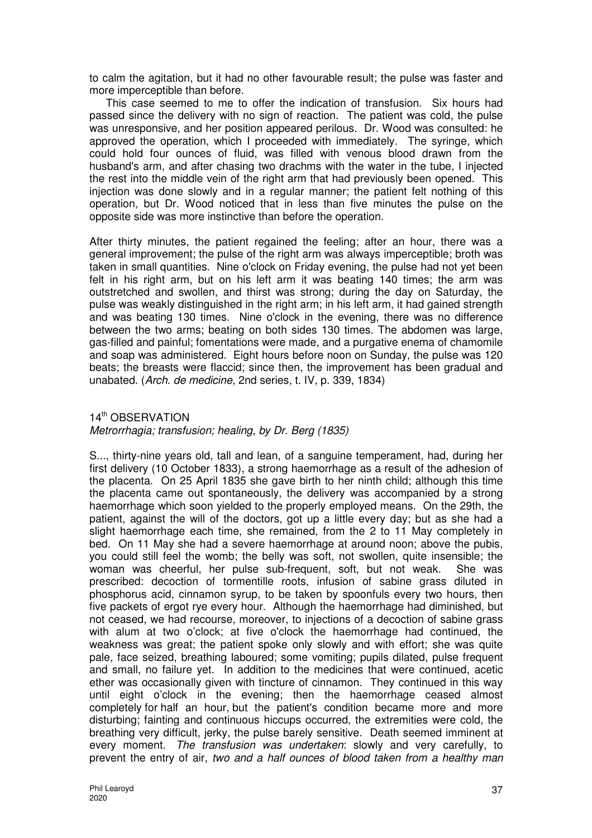to calm the agitation, but it had no other favourable result; the pulse was faster and more imperceptible than before.

This case seemed to me to offer the indication of transfusion. Six hours had passed since the delivery with no sign of reaction. The patient was cold, the pulse was unresponsive, and her position appeared perilous. Dr. Wood was consulted: he approved the operation, which I proceeded with immediately. The syringe, which could hold four ounces of fluid, was filled with venous blood drawn from the husband's arm, and after chasing two drachms with the water in the tube, I injected the rest into the middle vein of the right arm that had previously been opened. This injection was done slowly and in a regular manner; the patient felt nothing of this operation, but Dr. Wood noticed that in less than five minutes the pulse on the opposite side was more instinctive than before the operation.

After thirty minutes, the patient regained the feeling; after an hour, there was a general improvement; the pulse of the right arm was always imperceptible; broth was taken in small quantities. Nine o'clock on Friday evening, the pulse had not yet been felt in his right arm, but on his left arm it was beating 140 times; the arm was outstretched and swollen, and thirst was strong; during the day on Saturday, the pulse was weakly distinguished in the right arm; in his left arm, it had gained strength and was beating 130 times. Nine o'clock in the evening, there was no difference between the two arms; beating on both sides 130 times. The abdomen was large, gas-filled and painful; fomentations were made, and a purgative enema of chamomile and soap was administered. Eight hours before noon on Sunday, the pulse was 120 beats; the breasts were flaccid; since then, the improvement has been gradual and unabated. (Arch. de medicine, 2nd series, t. IV, p. 339, 1834)

#### 14<sup>th</sup> OBSERVATION

## Metrorrhagia; transfusion; healing, by Dr. Berg (1835)

S..., thirty-nine years old, tall and lean, of a sanguine temperament, had, during her first delivery (10 October 1833), a strong haemorrhage as a result of the adhesion of the placenta. On 25 April 1835 she gave birth to her ninth child; although this time the placenta came out spontaneously, the delivery was accompanied by a strong haemorrhage which soon yielded to the properly employed means. On the 29th, the patient, against the will of the doctors, got up a little every day; but as she had a slight haemorrhage each time, she remained, from the 2 to 11 May completely in bed. On 11 May she had a severe haemorrhage at around noon; above the pubis, you could still feel the womb; the belly was soft, not swollen, quite insensible; the woman was cheerful, her pulse sub-frequent, soft, but not weak. She was prescribed: decoction of tormentille roots, infusion of sabine grass diluted in phosphorus acid, cinnamon syrup, to be taken by spoonfuls every two hours, then five packets of ergot rye every hour. Although the haemorrhage had diminished, but not ceased, we had recourse, moreover, to injections of a decoction of sabine grass with alum at two o'clock; at five o'clock the haemorrhage had continued, the weakness was great; the patient spoke only slowly and with effort; she was quite pale, face seized, breathing laboured; some vomiting; pupils dilated, pulse frequent and small, no failure yet. In addition to the medicines that were continued, acetic ether was occasionally given with tincture of cinnamon. They continued in this way until eight o'clock in the evening; then the haemorrhage ceased almost completely for half an hour, but the patient's condition became more and more disturbing; fainting and continuous hiccups occurred, the extremities were cold, the breathing very difficult, jerky, the pulse barely sensitive. Death seemed imminent at every moment. The transfusion was undertaken: slowly and very carefully, to prevent the entry of air, two and a half ounces of blood taken from a healthy man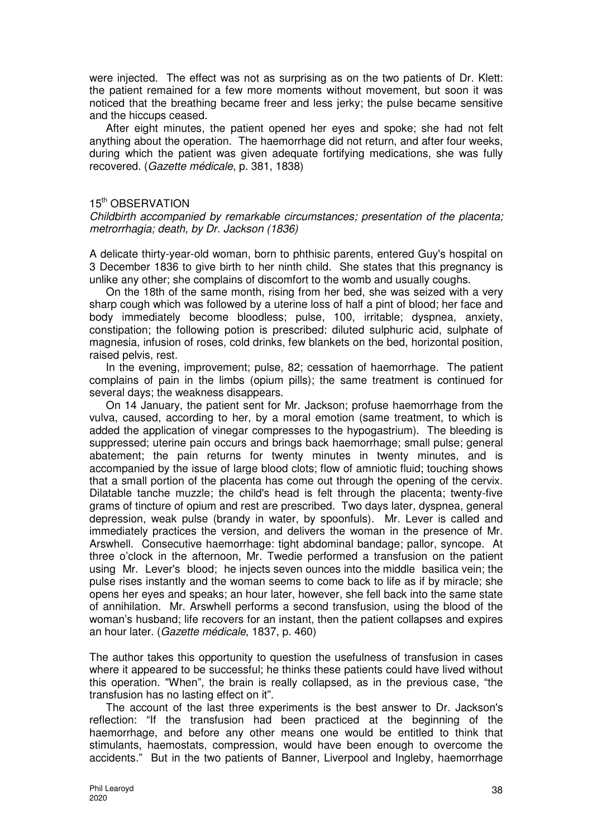were injected. The effect was not as surprising as on the two patients of Dr. Klett: the patient remained for a few more moments without movement, but soon it was noticed that the breathing became freer and less jerky; the pulse became sensitive and the hiccups ceased.

After eight minutes, the patient opened her eyes and spoke; she had not felt anything about the operation. The haemorrhage did not return, and after four weeks, during which the patient was given adequate fortifying medications, she was fully recovered. (Gazette médicale, p. 381, 1838)

#### 15<sup>th</sup> OBSERVATION

Childbirth accompanied by remarkable circumstances; presentation of the placenta; metrorrhagia; death, by Dr. Jackson (1836)

A delicate thirty-year-old woman, born to phthisic parents, entered Guy's hospital on 3 December 1836 to give birth to her ninth child. She states that this pregnancy is unlike any other; she complains of discomfort to the womb and usually coughs.

On the 18th of the same month, rising from her bed, she was seized with a very sharp cough which was followed by a uterine loss of half a pint of blood; her face and body immediately become bloodless; pulse, 100, irritable; dyspnea, anxiety, constipation; the following potion is prescribed: diluted sulphuric acid, sulphate of magnesia, infusion of roses, cold drinks, few blankets on the bed, horizontal position, raised pelvis, rest.

In the evening, improvement; pulse, 82; cessation of haemorrhage. The patient complains of pain in the limbs (opium pills); the same treatment is continued for several days; the weakness disappears.

On 14 January, the patient sent for Mr. Jackson; profuse haemorrhage from the vulva, caused, according to her, by a moral emotion (same treatment, to which is added the application of vinegar compresses to the hypogastrium). The bleeding is suppressed; uterine pain occurs and brings back haemorrhage; small pulse; general abatement; the pain returns for twenty minutes in twenty minutes, and is accompanied by the issue of large blood clots; flow of amniotic fluid; touching shows that a small portion of the placenta has come out through the opening of the cervix. Dilatable tanche muzzle; the child's head is felt through the placenta; twenty-five grams of tincture of opium and rest are prescribed. Two days later, dyspnea, general depression, weak pulse (brandy in water, by spoonfuls). Mr. Lever is called and immediately practices the version, and delivers the woman in the presence of Mr. Arswhell. Consecutive haemorrhage: tight abdominal bandage; pallor, syncope. At three o'clock in the afternoon, Mr. Twedie performed a transfusion on the patient using Mr. Lever's blood; he injects seven ounces into the middle basilica vein; the pulse rises instantly and the woman seems to come back to life as if by miracle; she opens her eyes and speaks; an hour later, however, she fell back into the same state of annihilation. Mr. Arswhell performs a second transfusion, using the blood of the woman's husband; life recovers for an instant, then the patient collapses and expires an hour later. (Gazette médicale, 1837, p. 460)

The author takes this opportunity to question the usefulness of transfusion in cases where it appeared to be successful; he thinks these patients could have lived without this operation. "When", the brain is really collapsed, as in the previous case, "the transfusion has no lasting effect on it".

The account of the last three experiments is the best answer to Dr. Jackson's reflection: "If the transfusion had been practiced at the beginning of the haemorrhage, and before any other means one would be entitled to think that stimulants, haemostats, compression, would have been enough to overcome the accidents." But in the two patients of Banner, Liverpool and Ingleby, haemorrhage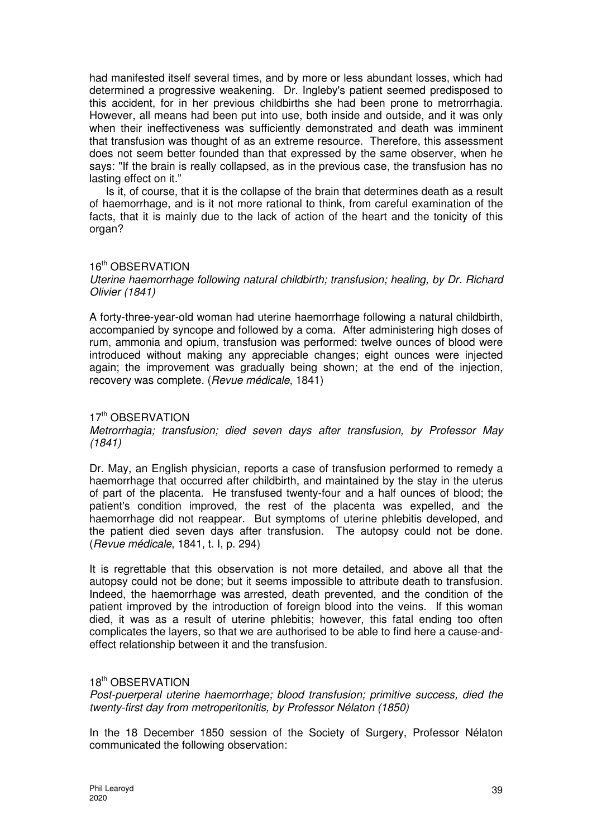had manifested itself several times, and by more or less abundant losses, which had determined a progressive weakening. Dr. Ingleby's patient seemed predisposed to this accident, for in her previous childbirths she had been prone to metrorrhagia. However, all means had been put into use, both inside and outside, and it was only when their ineffectiveness was sufficiently demonstrated and death was imminent that transfusion was thought of as an extreme resource. Therefore, this assessment does not seem better founded than that expressed by the same observer, when he says: "If the brain is really collapsed, as in the previous case, the transfusion has no lasting effect on it."

Is it, of course, that it is the collapse of the brain that determines death as a result of haemorrhage, and is it not more rational to think, from careful examination of the facts, that it is mainly due to the lack of action of the heart and the tonicity of this organ?

#### 16<sup>th</sup> OBSERVATION

#### Uterine haemorrhage following natural childbirth; transfusion; healing, by Dr. Richard Olivier (1841)

A forty-three-year-old woman had uterine haemorrhage following a natural childbirth, accompanied by syncope and followed by a coma. After administering high doses of rum, ammonia and opium, transfusion was performed: twelve ounces of blood were introduced without making any appreciable changes; eight ounces were injected again; the improvement was gradually being shown; at the end of the injection, recovery was complete. (Revue médicale, 1841)

## 17<sup>th</sup> OBSERVATION

## Metrorrhagia; transfusion; died seven days after transfusion, by Professor May (1841)

Dr. May, an English physician, reports a case of transfusion performed to remedy a haemorrhage that occurred after childbirth, and maintained by the stay in the uterus of part of the placenta. He transfused twenty-four and a half ounces of blood; the patient's condition improved, the rest of the placenta was expelled, and the haemorrhage did not reappear. But symptoms of uterine phlebitis developed, and the patient died seven days after transfusion. The autopsy could not be done. (Revue médicale, 1841, t. I, p. 294)

It is regrettable that this observation is not more detailed, and above all that the autopsy could not be done; but it seems impossible to attribute death to transfusion. Indeed, the haemorrhage was arrested, death prevented, and the condition of the patient improved by the introduction of foreign blood into the veins. If this woman died, it was as a result of uterine phlebitis; however, this fatal ending too often complicates the layers, so that we are authorised to be able to find here a cause-andeffect relationship between it and the transfusion.

## 18th OBSERVATION

Post-puerperal uterine haemorrhage; blood transfusion; primitive success, died the twenty-first day from metroperitonitis, by Professor Nélaton (1850)

In the 18 December 1850 session of the Society of Surgery, Professor Nélaton communicated the following observation: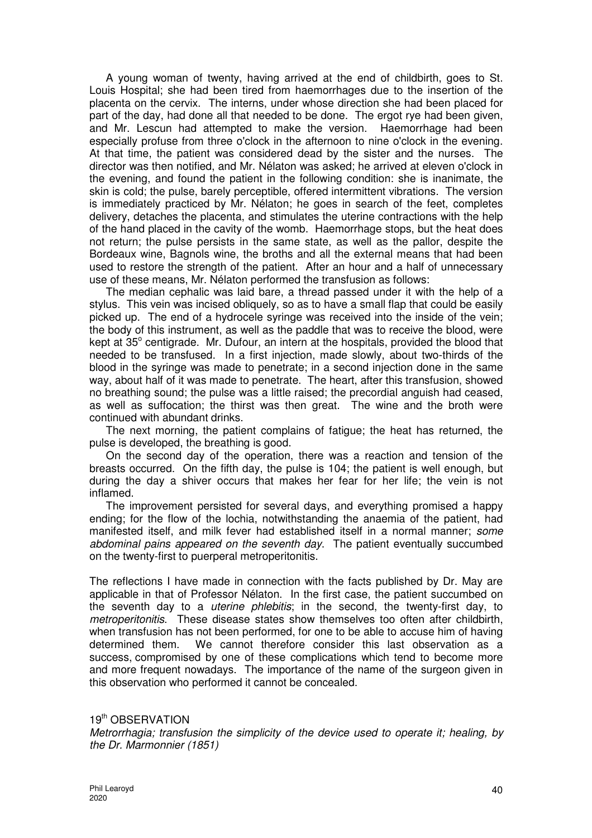A young woman of twenty, having arrived at the end of childbirth, goes to St. Louis Hospital; she had been tired from haemorrhages due to the insertion of the placenta on the cervix. The interns, under whose direction she had been placed for part of the day, had done all that needed to be done. The ergot rye had been given, and Mr. Lescun had attempted to make the version. Haemorrhage had been especially profuse from three o'clock in the afternoon to nine o'clock in the evening. At that time, the patient was considered dead by the sister and the nurses. The director was then notified, and Mr. Nélaton was asked; he arrived at eleven o'clock in the evening, and found the patient in the following condition: she is inanimate, the skin is cold; the pulse, barely perceptible, offered intermittent vibrations. The version is immediately practiced by Mr. Nélaton; he goes in search of the feet, completes delivery, detaches the placenta, and stimulates the uterine contractions with the help of the hand placed in the cavity of the womb. Haemorrhage stops, but the heat does not return; the pulse persists in the same state, as well as the pallor, despite the Bordeaux wine, Bagnols wine, the broths and all the external means that had been used to restore the strength of the patient. After an hour and a half of unnecessary use of these means, Mr. Nélaton performed the transfusion as follows:

The median cephalic was laid bare, a thread passed under it with the help of a stylus. This vein was incised obliquely, so as to have a small flap that could be easily picked up. The end of a hydrocele syringe was received into the inside of the vein; the body of this instrument, as well as the paddle that was to receive the blood, were kept at 35° centigrade. Mr. Dufour, an intern at the hospitals, provided the blood that needed to be transfused. In a first injection, made slowly, about two-thirds of the blood in the syringe was made to penetrate; in a second injection done in the same way, about half of it was made to penetrate. The heart, after this transfusion, showed no breathing sound; the pulse was a little raised; the precordial anguish had ceased, as well as suffocation; the thirst was then great. The wine and the broth were continued with abundant drinks.

The next morning, the patient complains of fatigue; the heat has returned, the pulse is developed, the breathing is good.

On the second day of the operation, there was a reaction and tension of the breasts occurred. On the fifth day, the pulse is 104; the patient is well enough, but during the day a shiver occurs that makes her fear for her life; the vein is not inflamed.

The improvement persisted for several days, and everything promised a happy ending; for the flow of the lochia, notwithstanding the anaemia of the patient, had manifested itself, and milk fever had established itself in a normal manner; some abdominal pains appeared on the seventh day. The patient eventually succumbed on the twenty-first to puerperal metroperitonitis.

The reflections I have made in connection with the facts published by Dr. May are applicable in that of Professor Nélaton. In the first case, the patient succumbed on the seventh day to a *uterine phlebitis*; in the second, the twenty-first day, to metroperitonitis. These disease states show themselves too often after childbirth, when transfusion has not been performed, for one to be able to accuse him of having determined them. We cannot therefore consider this last observation as a success, compromised by one of these complications which tend to become more and more frequent nowadays. The importance of the name of the surgeon given in this observation who performed it cannot be concealed.

#### 19<sup>th</sup> OBSERVATION

Metrorrhagia; transfusion the simplicity of the device used to operate it; healing, by the Dr. Marmonnier (1851)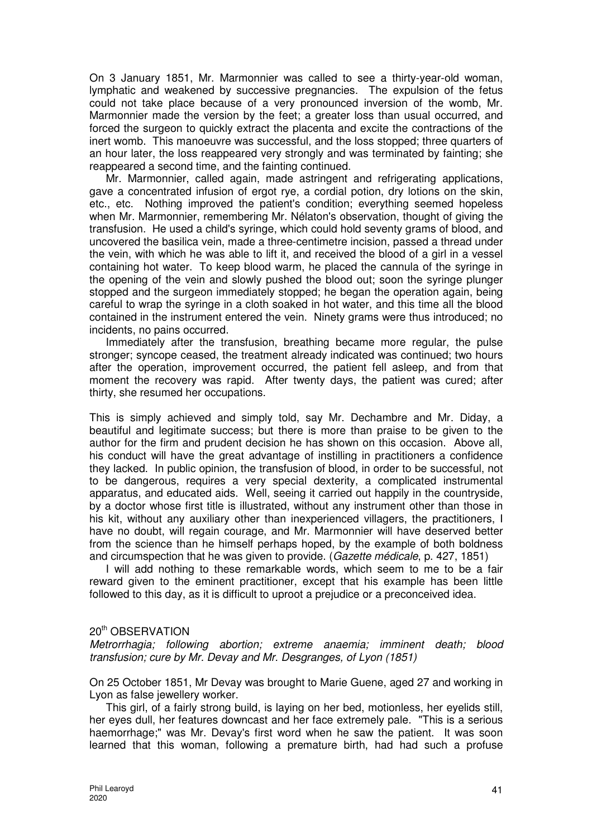On 3 January 1851, Mr. Marmonnier was called to see a thirty-year-old woman, lymphatic and weakened by successive pregnancies. The expulsion of the fetus could not take place because of a very pronounced inversion of the womb, Mr. Marmonnier made the version by the feet; a greater loss than usual occurred, and forced the surgeon to quickly extract the placenta and excite the contractions of the inert womb. This manoeuvre was successful, and the loss stopped; three quarters of an hour later, the loss reappeared very strongly and was terminated by fainting; she reappeared a second time, and the fainting continued.

Mr. Marmonnier, called again, made astringent and refrigerating applications, gave a concentrated infusion of ergot rye, a cordial potion, dry lotions on the skin, etc., etc. Nothing improved the patient's condition; everything seemed hopeless when Mr. Marmonnier, remembering Mr. Nélaton's observation, thought of giving the transfusion. He used a child's syringe, which could hold seventy grams of blood, and uncovered the basilica vein, made a three-centimetre incision, passed a thread under the vein, with which he was able to lift it, and received the blood of a girl in a vessel containing hot water. To keep blood warm, he placed the cannula of the syringe in the opening of the vein and slowly pushed the blood out; soon the syringe plunger stopped and the surgeon immediately stopped; he began the operation again, being careful to wrap the syringe in a cloth soaked in hot water, and this time all the blood contained in the instrument entered the vein. Ninety grams were thus introduced; no incidents, no pains occurred.

Immediately after the transfusion, breathing became more regular, the pulse stronger; syncope ceased, the treatment already indicated was continued; two hours after the operation, improvement occurred, the patient fell asleep, and from that moment the recovery was rapid. After twenty days, the patient was cured; after thirty, she resumed her occupations.

This is simply achieved and simply told, say Mr. Dechambre and Mr. Diday, a beautiful and legitimate success; but there is more than praise to be given to the author for the firm and prudent decision he has shown on this occasion. Above all, his conduct will have the great advantage of instilling in practitioners a confidence they lacked. In public opinion, the transfusion of blood, in order to be successful, not to be dangerous, requires a very special dexterity, a complicated instrumental apparatus, and educated aids. Well, seeing it carried out happily in the countryside, by a doctor whose first title is illustrated, without any instrument other than those in his kit, without any auxiliary other than inexperienced villagers, the practitioners, I have no doubt, will regain courage, and Mr. Marmonnier will have deserved better from the science than he himself perhaps hoped, by the example of both boldness and circumspection that he was given to provide. (Gazette médicale, p. 427, 1851)

I will add nothing to these remarkable words, which seem to me to be a fair reward given to the eminent practitioner, except that his example has been little followed to this day, as it is difficult to uproot a prejudice or a preconceived idea.

#### 20th OBSERVATION

Metrorrhagia; following abortion; extreme anaemia; imminent death; blood transfusion; cure by Mr. Devay and Mr. Desgranges, of Lyon (1851)

On 25 October 1851, Mr Devay was brought to Marie Guene, aged 27 and working in Lyon as false jewellery worker.

This girl, of a fairly strong build, is laying on her bed, motionless, her eyelids still, her eyes dull, her features downcast and her face extremely pale. "This is a serious haemorrhage;" was Mr. Devay's first word when he saw the patient. It was soon learned that this woman, following a premature birth, had had such a profuse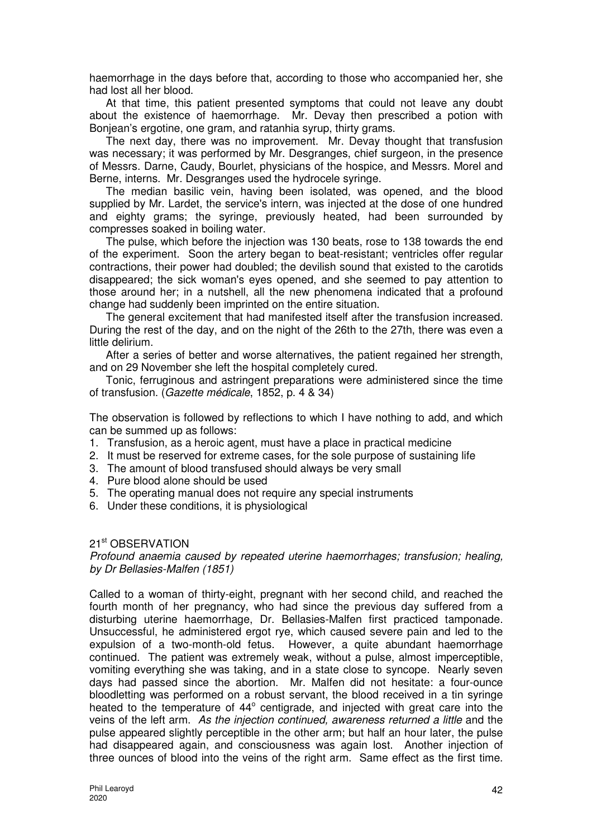haemorrhage in the days before that, according to those who accompanied her, she had lost all her blood.

At that time, this patient presented symptoms that could not leave any doubt about the existence of haemorrhage. Mr. Devay then prescribed a potion with Boniean's ergotine, one gram, and ratanhia syrup, thirty grams.

The next day, there was no improvement. Mr. Devay thought that transfusion was necessary; it was performed by Mr. Desgranges, chief surgeon, in the presence of Messrs. Darne, Caudy, Bourlet, physicians of the hospice, and Messrs. Morel and Berne, interns. Mr. Desgranges used the hydrocele syringe.

The median basilic vein, having been isolated, was opened, and the blood supplied by Mr. Lardet, the service's intern, was injected at the dose of one hundred and eighty grams; the syringe, previously heated, had been surrounded by compresses soaked in boiling water.

The pulse, which before the injection was 130 beats, rose to 138 towards the end of the experiment. Soon the artery began to beat-resistant; ventricles offer regular contractions, their power had doubled; the devilish sound that existed to the carotids disappeared; the sick woman's eyes opened, and she seemed to pay attention to those around her; in a nutshell, all the new phenomena indicated that a profound change had suddenly been imprinted on the entire situation.

The general excitement that had manifested itself after the transfusion increased. During the rest of the day, and on the night of the 26th to the 27th, there was even a little delirium.

After a series of better and worse alternatives, the patient regained her strength, and on 29 November she left the hospital completely cured.

Tonic, ferruginous and astringent preparations were administered since the time of transfusion. (Gazette médicale, 1852, p. 4 & 34)

The observation is followed by reflections to which I have nothing to add, and which can be summed up as follows:

- 1. Transfusion, as a heroic agent, must have a place in practical medicine
- 2. It must be reserved for extreme cases, for the sole purpose of sustaining life
- 3. The amount of blood transfused should always be very small
- 4. Pure blood alone should be used
- 5. The operating manual does not require any special instruments
- 6. Under these conditions, it is physiological

#### 21<sup>st</sup> OBSERVATION

Profound anaemia caused by repeated uterine haemorrhages; transfusion; healing, by Dr Bellasies-Malfen (1851)

Called to a woman of thirty-eight, pregnant with her second child, and reached the fourth month of her pregnancy, who had since the previous day suffered from a disturbing uterine haemorrhage, Dr. Bellasies-Malfen first practiced tamponade. Unsuccessful, he administered ergot rye, which caused severe pain and led to the expulsion of a two-month-old fetus. However, a quite abundant haemorrhage continued. The patient was extremely weak, without a pulse, almost imperceptible, vomiting everything she was taking, and in a state close to syncope. Nearly seven days had passed since the abortion. Mr. Malfen did not hesitate: a four-ounce bloodletting was performed on a robust servant, the blood received in a tin syringe heated to the temperature of 44° centigrade, and injected with great care into the veins of the left arm. As the injection continued, awareness returned a little and the pulse appeared slightly perceptible in the other arm; but half an hour later, the pulse had disappeared again, and consciousness was again lost. Another injection of three ounces of blood into the veins of the right arm. Same effect as the first time.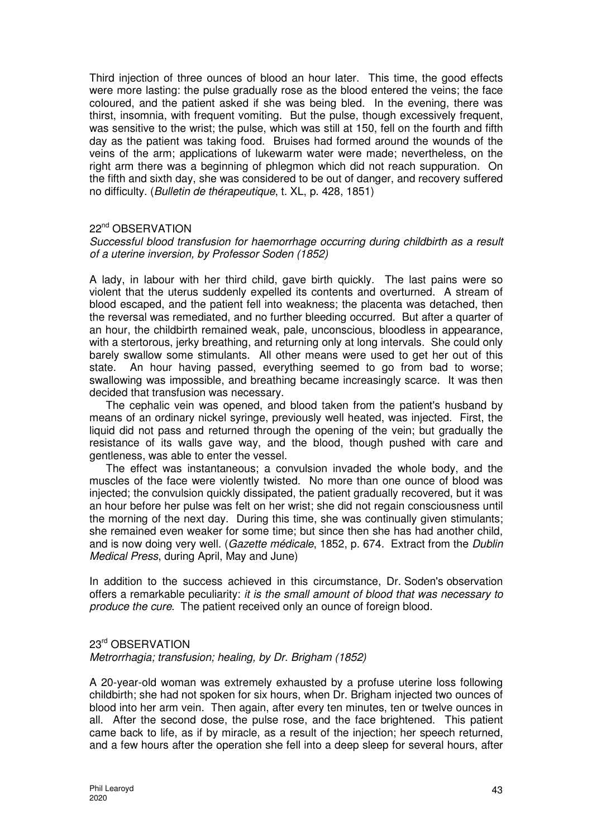Third injection of three ounces of blood an hour later. This time, the good effects were more lasting: the pulse gradually rose as the blood entered the veins; the face coloured, and the patient asked if she was being bled. In the evening, there was thirst, insomnia, with frequent vomiting. But the pulse, though excessively frequent, was sensitive to the wrist; the pulse, which was still at 150, fell on the fourth and fifth day as the patient was taking food. Bruises had formed around the wounds of the veins of the arm; applications of lukewarm water were made; nevertheless, on the right arm there was a beginning of phlegmon which did not reach suppuration. On the fifth and sixth day, she was considered to be out of danger, and recovery suffered no difficulty. (Bulletin de thérapeutique, t. XL, p. 428, 1851)

## 22<sup>nd</sup> OBSERVATION

## Successful blood transfusion for haemorrhage occurring during childbirth as a result of a uterine inversion, by Professor Soden (1852)

A lady, in labour with her third child, gave birth quickly. The last pains were so violent that the uterus suddenly expelled its contents and overturned. A stream of blood escaped, and the patient fell into weakness; the placenta was detached, then the reversal was remediated, and no further bleeding occurred. But after a quarter of an hour, the childbirth remained weak, pale, unconscious, bloodless in appearance, with a stertorous, jerky breathing, and returning only at long intervals. She could only barely swallow some stimulants. All other means were used to get her out of this state. An hour having passed, everything seemed to go from bad to worse; swallowing was impossible, and breathing became increasingly scarce. It was then decided that transfusion was necessary.

The cephalic vein was opened, and blood taken from the patient's husband by means of an ordinary nickel syringe, previously well heated, was injected. First, the liquid did not pass and returned through the opening of the vein; but gradually the resistance of its walls gave way, and the blood, though pushed with care and gentleness, was able to enter the vessel.

The effect was instantaneous; a convulsion invaded the whole body, and the muscles of the face were violently twisted. No more than one ounce of blood was injected; the convulsion quickly dissipated, the patient gradually recovered, but it was an hour before her pulse was felt on her wrist; she did not regain consciousness until the morning of the next day. During this time, she was continually given stimulants; she remained even weaker for some time; but since then she has had another child, and is now doing very well. (Gazette médicale, 1852, p. 674. Extract from the Dublin Medical Press, during April, May and June)

In addition to the success achieved in this circumstance, Dr. Soden's observation offers a remarkable peculiarity: it is the small amount of blood that was necessary to produce the cure. The patient received only an ounce of foreign blood.

#### 23rd OBSERVATION

#### Metrorrhagia; transfusion; healing, by Dr. Brigham (1852)

A 20-year-old woman was extremely exhausted by a profuse uterine loss following childbirth; she had not spoken for six hours, when Dr. Brigham injected two ounces of blood into her arm vein. Then again, after every ten minutes, ten or twelve ounces in all. After the second dose, the pulse rose, and the face brightened. This patient came back to life, as if by miracle, as a result of the injection; her speech returned, and a few hours after the operation she fell into a deep sleep for several hours, after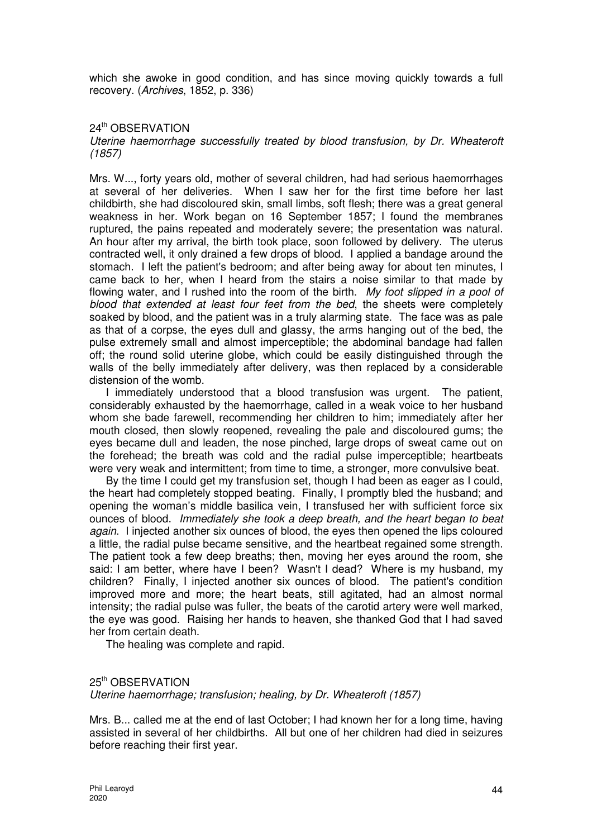which she awoke in good condition, and has since moving quickly towards a full recovery. (Archives, 1852, p. 336)

## 24th OBSERVATION

## Uterine haemorrhage successfully treated by blood transfusion, by Dr. Wheateroft (1857)

Mrs. W..., forty years old, mother of several children, had had serious haemorrhages at several of her deliveries. When I saw her for the first time before her last childbirth, she had discoloured skin, small limbs, soft flesh; there was a great general weakness in her. Work began on 16 September 1857; I found the membranes ruptured, the pains repeated and moderately severe; the presentation was natural. An hour after my arrival, the birth took place, soon followed by delivery. The uterus contracted well, it only drained a few drops of blood. I applied a bandage around the stomach. I left the patient's bedroom; and after being away for about ten minutes, I came back to her, when I heard from the stairs a noise similar to that made by flowing water, and I rushed into the room of the birth. My foot slipped in a pool of blood that extended at least four feet from the bed, the sheets were completely soaked by blood, and the patient was in a truly alarming state. The face was as pale as that of a corpse, the eyes dull and glassy, the arms hanging out of the bed, the pulse extremely small and almost imperceptible; the abdominal bandage had fallen off; the round solid uterine globe, which could be easily distinguished through the walls of the belly immediately after delivery, was then replaced by a considerable distension of the womb.

I immediately understood that a blood transfusion was urgent. The patient, considerably exhausted by the haemorrhage, called in a weak voice to her husband whom she bade farewell, recommending her children to him; immediately after her mouth closed, then slowly reopened, revealing the pale and discoloured gums; the eyes became dull and leaden, the nose pinched, large drops of sweat came out on the forehead; the breath was cold and the radial pulse imperceptible; heartbeats were very weak and intermittent; from time to time, a stronger, more convulsive beat.

By the time I could get my transfusion set, though I had been as eager as I could, the heart had completely stopped beating. Finally, I promptly bled the husband; and opening the woman's middle basilica vein, I transfused her with sufficient force six ounces of blood. Immediately she took a deep breath, and the heart began to beat again. I injected another six ounces of blood, the eyes then opened the lips coloured a little, the radial pulse became sensitive, and the heartbeat regained some strength. The patient took a few deep breaths; then, moving her eyes around the room, she said: I am better, where have I been? Wasn't I dead? Where is my husband, my children? Finally, I injected another six ounces of blood. The patient's condition improved more and more; the heart beats, still agitated, had an almost normal intensity; the radial pulse was fuller, the beats of the carotid artery were well marked, the eye was good. Raising her hands to heaven, she thanked God that I had saved her from certain death.

The healing was complete and rapid.

## 25th OBSERVATION Uterine haemorrhage; transfusion; healing, by Dr. Wheateroft (1857)

Mrs. B... called me at the end of last October; I had known her for a long time, having assisted in several of her childbirths. All but one of her children had died in seizures before reaching their first year.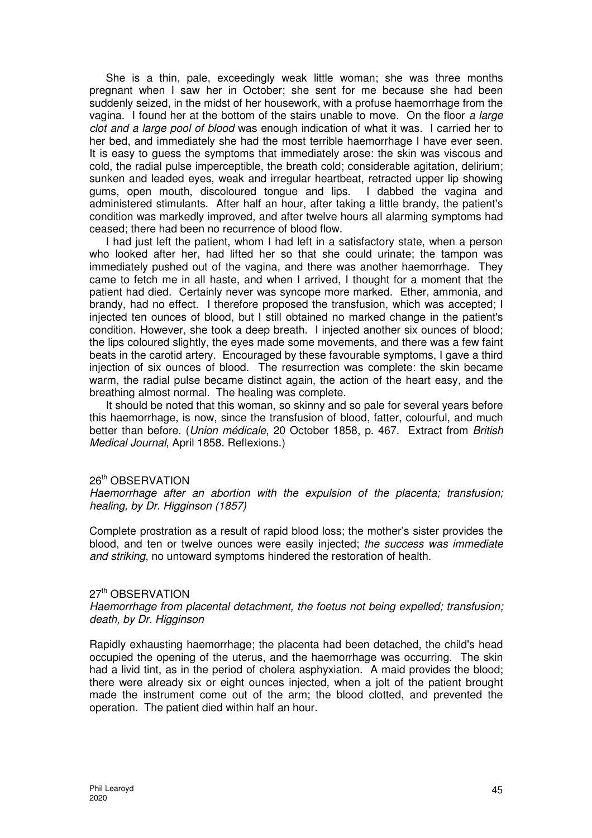She is a thin, pale, exceedingly weak little woman; she was three months pregnant when I saw her in October; she sent for me because she had been suddenly seized, in the midst of her housework, with a profuse haemorrhage from the vagina. I found her at the bottom of the stairs unable to move. On the floor a large clot and a large pool of blood was enough indication of what it was. I carried her to her bed, and immediately she had the most terrible haemorrhage I have ever seen. It is easy to guess the symptoms that immediately arose: the skin was viscous and cold, the radial pulse imperceptible, the breath cold; considerable agitation, delirium; sunken and leaded eyes, weak and irregular heartbeat, retracted upper lip showing gums, open mouth, discoloured tongue and lips. I dabbed the vagina and administered stimulants. After half an hour, after taking a little brandy, the patient's condition was markedly improved, and after twelve hours all alarming symptoms had ceased; there had been no recurrence of blood flow.

I had just left the patient, whom I had left in a satisfactory state, when a person who looked after her, had lifted her so that she could urinate; the tampon was immediately pushed out of the vagina, and there was another haemorrhage. They came to fetch me in all haste, and when I arrived, I thought for a moment that the patient had died. Certainly never was syncope more marked. Ether, ammonia, and brandy, had no effect. I therefore proposed the transfusion, which was accepted; I injected ten ounces of blood, but I still obtained no marked change in the patient's condition. However, she took a deep breath. I injected another six ounces of blood; the lips coloured slightly, the eyes made some movements, and there was a few faint beats in the carotid artery. Encouraged by these favourable symptoms, I gave a third injection of six ounces of blood. The resurrection was complete: the skin became warm, the radial pulse became distinct again, the action of the heart easy, and the breathing almost normal. The healing was complete.

It should be noted that this woman, so skinny and so pale for several years before this haemorrhage, is now, since the transfusion of blood, fatter, colourful, and much better than before. (Union médicale, 20 October 1858, p. 467. Extract from British Medical Journal, April 1858. Reflexions.)

#### 26th OBSERVATION

Haemorrhage after an abortion with the expulsion of the placenta; transfusion; healing, by Dr. Higginson (1857)

Complete prostration as a result of rapid blood loss; the mother's sister provides the blood, and ten or twelve ounces were easily injected; the success was immediate and striking, no untoward symptoms hindered the restoration of health.

#### 27<sup>th</sup> OBSERVATION

Haemorrhage from placental detachment, the foetus not being expelled; transfusion; death, by Dr. Higginson

Rapidly exhausting haemorrhage; the placenta had been detached, the child's head occupied the opening of the uterus, and the haemorrhage was occurring. The skin had a livid tint, as in the period of cholera asphyxiation. A maid provides the blood; there were already six or eight ounces injected, when a jolt of the patient brought made the instrument come out of the arm; the blood clotted, and prevented the operation. The patient died within half an hour.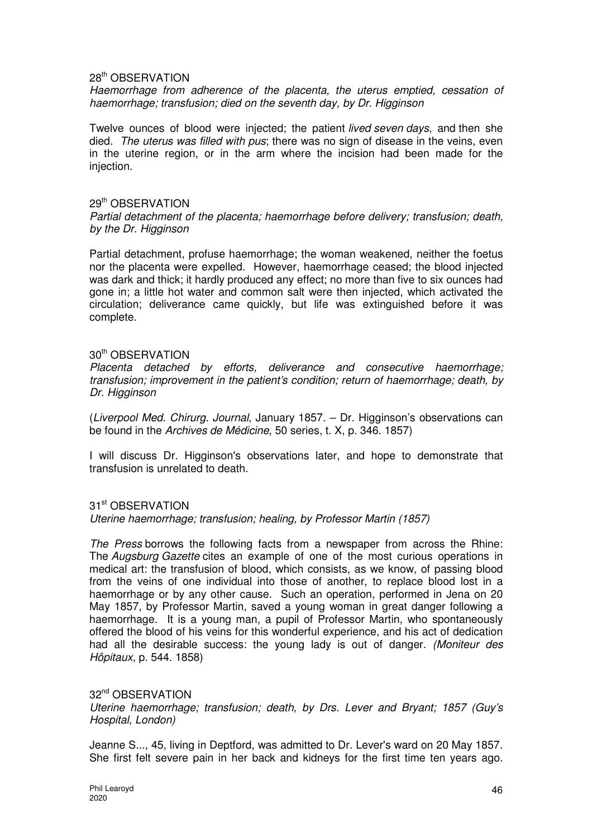#### 28th OBSERVATION

Haemorrhage from adherence of the placenta, the uterus emptied, cessation of haemorrhage; transfusion; died on the seventh day, by Dr. Higginson

Twelve ounces of blood were injected; the patient *lived seven days*, and then she died. The uterus was filled with pus; there was no sign of disease in the veins, even in the uterine region, or in the arm where the incision had been made for the injection.

#### 29th OBSERVATION

Partial detachment of the placenta; haemorrhage before delivery; transfusion; death, by the Dr. Higginson

Partial detachment, profuse haemorrhage; the woman weakened, neither the foetus nor the placenta were expelled. However, haemorrhage ceased; the blood injected was dark and thick; it hardly produced any effect; no more than five to six ounces had gone in; a little hot water and common salt were then injected, which activated the circulation; deliverance came quickly, but life was extinguished before it was complete.

## 30th OBSERVATION

Placenta detached by efforts, deliverance and consecutive haemorrhage; transfusion; improvement in the patient's condition; return of haemorrhage; death, by Dr. Higginson

(Liverpool Med. Chirurg. Journal, January 1857. – Dr. Higginson's observations can be found in the Archives de Médicine, 50 series, t. X, p. 346. 1857)

I will discuss Dr. Higginson's observations later, and hope to demonstrate that transfusion is unrelated to death.

#### 31<sup>st</sup> OBSERVATION

Uterine haemorrhage; transfusion; healing, by Professor Martin (1857)

The Press borrows the following facts from a newspaper from across the Rhine: The Augsburg Gazette cites an example of one of the most curious operations in medical art: the transfusion of blood, which consists, as we know, of passing blood from the veins of one individual into those of another, to replace blood lost in a haemorrhage or by any other cause. Such an operation, performed in Jena on 20 May 1857, by Professor Martin, saved a young woman in great danger following a haemorrhage. It is a young man, a pupil of Professor Martin, who spontaneously offered the blood of his veins for this wonderful experience, and his act of dedication had all the desirable success: the young lady is out of danger. (Moniteur des Hôpitaux, p. 544. 1858)

#### 32nd OBSERVATION

Uterine haemorrhage; transfusion; death, by Drs. Lever and Bryant; 1857 (Guy's Hospital, London)

Jeanne S..., 45, living in Deptford, was admitted to Dr. Lever's ward on 20 May 1857. She first felt severe pain in her back and kidneys for the first time ten years ago.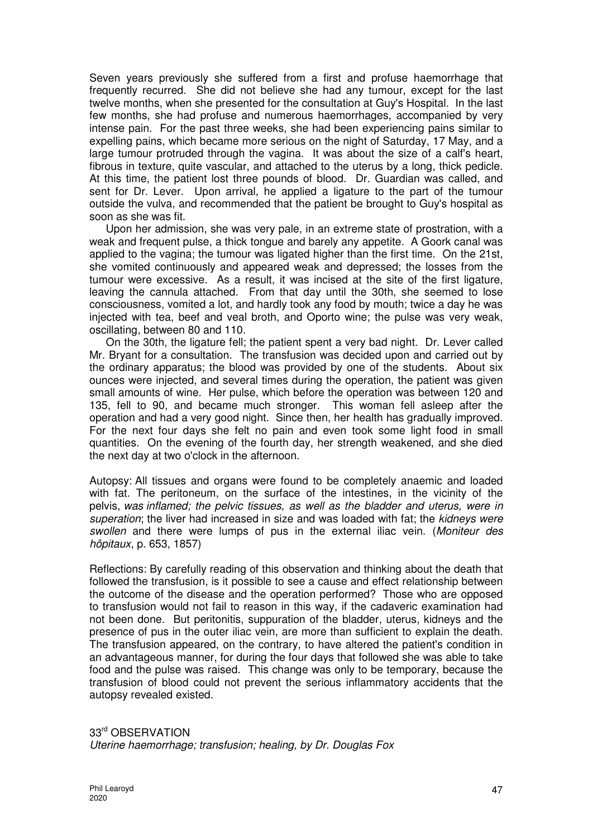Seven years previously she suffered from a first and profuse haemorrhage that frequently recurred. She did not believe she had any tumour, except for the last twelve months, when she presented for the consultation at Guy's Hospital. In the last few months, she had profuse and numerous haemorrhages, accompanied by very intense pain. For the past three weeks, she had been experiencing pains similar to expelling pains, which became more serious on the night of Saturday, 17 May, and a large tumour protruded through the vagina. It was about the size of a calf's heart, fibrous in texture, quite vascular, and attached to the uterus by a long, thick pedicle. At this time, the patient lost three pounds of blood. Dr. Guardian was called, and sent for Dr. Lever. Upon arrival, he applied a ligature to the part of the tumour outside the vulva, and recommended that the patient be brought to Guy's hospital as soon as she was fit.

Upon her admission, she was very pale, in an extreme state of prostration, with a weak and frequent pulse, a thick tongue and barely any appetite. A Goork canal was applied to the vagina; the tumour was ligated higher than the first time. On the 21st, she vomited continuously and appeared weak and depressed; the losses from the tumour were excessive. As a result, it was incised at the site of the first ligature. leaving the cannula attached. From that day until the 30th, she seemed to lose consciousness, vomited a lot, and hardly took any food by mouth; twice a day he was injected with tea, beef and veal broth, and Oporto wine; the pulse was very weak, oscillating, between 80 and 110.

On the 30th, the ligature fell; the patient spent a very bad night. Dr. Lever called Mr. Bryant for a consultation. The transfusion was decided upon and carried out by the ordinary apparatus; the blood was provided by one of the students. About six ounces were injected, and several times during the operation, the patient was given small amounts of wine. Her pulse, which before the operation was between 120 and 135, fell to 90, and became much stronger. This woman fell asleep after the operation and had a very good night. Since then, her health has gradually improved. For the next four days she felt no pain and even took some light food in small quantities. On the evening of the fourth day, her strength weakened, and she died the next day at two o'clock in the afternoon.

Autopsy: All tissues and organs were found to be completely anaemic and loaded with fat. The peritoneum, on the surface of the intestines, in the vicinity of the pelvis, was inflamed; the pelvic tissues, as well as the bladder and uterus, were in superation; the liver had increased in size and was loaded with fat; the kidneys were swollen and there were lumps of pus in the external iliac vein. (Moniteur des hôpitaux, p. 653, 1857)

Reflections: By carefully reading of this observation and thinking about the death that followed the transfusion, is it possible to see a cause and effect relationship between the outcome of the disease and the operation performed? Those who are opposed to transfusion would not fail to reason in this way, if the cadaveric examination had not been done. But peritonitis, suppuration of the bladder, uterus, kidneys and the presence of pus in the outer iliac vein, are more than sufficient to explain the death. The transfusion appeared, on the contrary, to have altered the patient's condition in an advantageous manner, for during the four days that followed she was able to take food and the pulse was raised. This change was only to be temporary, because the transfusion of blood could not prevent the serious inflammatory accidents that the autopsy revealed existed.

33<sup>rd</sup> OBSERVATION Uterine haemorrhage; transfusion; healing, by Dr. Douglas Fox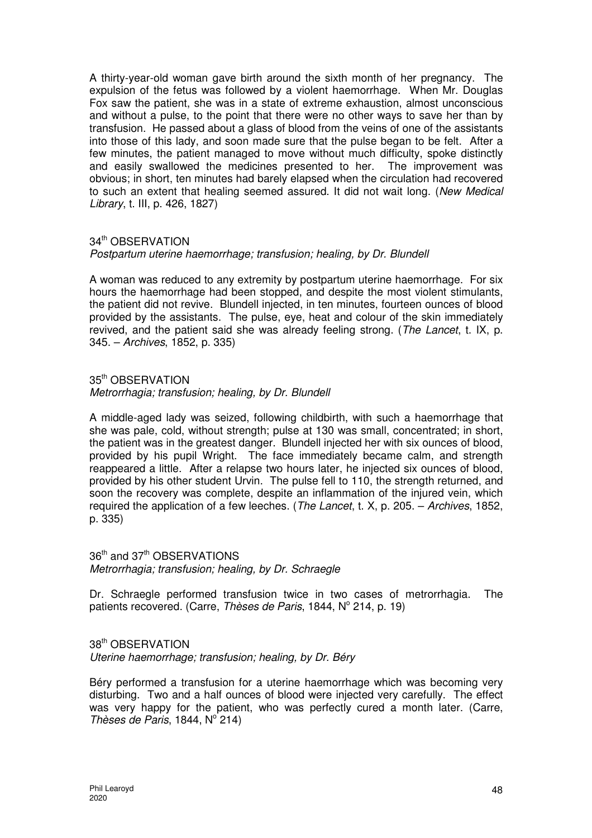A thirty-year-old woman gave birth around the sixth month of her pregnancy. The expulsion of the fetus was followed by a violent haemorrhage. When Mr. Douglas Fox saw the patient, she was in a state of extreme exhaustion, almost unconscious and without a pulse, to the point that there were no other ways to save her than by transfusion. He passed about a glass of blood from the veins of one of the assistants into those of this lady, and soon made sure that the pulse began to be felt. After a few minutes, the patient managed to move without much difficulty, spoke distinctly and easily swallowed the medicines presented to her. The improvement was obvious; in short, ten minutes had barely elapsed when the circulation had recovered to such an extent that healing seemed assured. It did not wait long. (New Medical Library, t. III, p. 426, 1827)

## 34<sup>th</sup> OBSERVATION

## Postpartum uterine haemorrhage; transfusion; healing, by Dr. Blundell

A woman was reduced to any extremity by postpartum uterine haemorrhage. For six hours the haemorrhage had been stopped, and despite the most violent stimulants, the patient did not revive. Blundell injected, in ten minutes, fourteen ounces of blood provided by the assistants. The pulse, eye, heat and colour of the skin immediately revived, and the patient said she was already feeling strong. (The Lancet, t. IX, p. 345. – Archives, 1852, p. 335)

## 35th OBSERVATION

## Metrorrhagia; transfusion; healing, by Dr. Blundell

A middle-aged lady was seized, following childbirth, with such a haemorrhage that she was pale, cold, without strength; pulse at 130 was small, concentrated; in short, the patient was in the greatest danger. Blundell injected her with six ounces of blood, provided by his pupil Wright. The face immediately became calm, and strength reappeared a little. After a relapse two hours later, he injected six ounces of blood, provided by his other student Urvin. The pulse fell to 110, the strength returned, and soon the recovery was complete, despite an inflammation of the injured vein, which required the application of a few leeches. (The Lancet, t. X, p. 205. – Archives, 1852, p. 335)

# 36<sup>th</sup> and 37<sup>th</sup> OBSERVATIONS Metrorrhagia; transfusion; healing, by Dr. Schraegle

Dr. Schraegle performed transfusion twice in two cases of metrorrhagia. The patients recovered. (Carre, Thèses de Paris, 1844, Nº 214, p. 19)

# 38th OBSERVATION

Uterine haemorrhage; transfusion; healing, by Dr. Béry

Béry performed a transfusion for a uterine haemorrhage which was becoming very disturbing. Two and a half ounces of blood were injected very carefully. The effect was very happy for the patient, who was perfectly cured a month later. (Carre, Thèses de Paris, 1844,  $N^{\circ}$  214)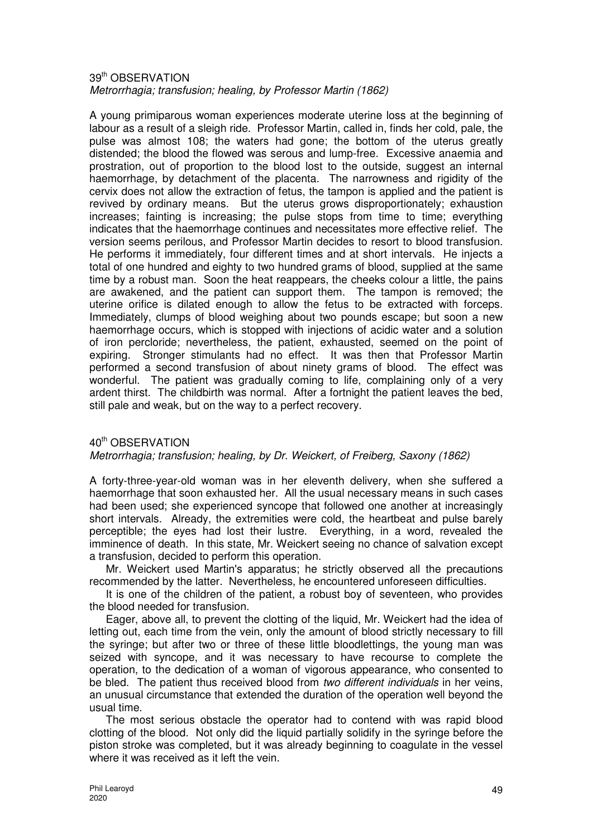#### 39th OBSERVATION Metrorrhagia; transfusion; healing, by Professor Martin (1862)

A young primiparous woman experiences moderate uterine loss at the beginning of labour as a result of a sleigh ride. Professor Martin, called in, finds her cold, pale, the pulse was almost 108; the waters had gone; the bottom of the uterus greatly distended; the blood the flowed was serous and lump-free. Excessive anaemia and prostration, out of proportion to the blood lost to the outside, suggest an internal haemorrhage, by detachment of the placenta. The narrowness and rigidity of the cervix does not allow the extraction of fetus, the tampon is applied and the patient is revived by ordinary means. But the uterus grows disproportionately; exhaustion increases; fainting is increasing; the pulse stops from time to time; everything indicates that the haemorrhage continues and necessitates more effective relief. The version seems perilous, and Professor Martin decides to resort to blood transfusion. He performs it immediately, four different times and at short intervals. He injects a total of one hundred and eighty to two hundred grams of blood, supplied at the same time by a robust man. Soon the heat reappears, the cheeks colour a little, the pains are awakened, and the patient can support them. The tampon is removed; the uterine orifice is dilated enough to allow the fetus to be extracted with forceps. Immediately, clumps of blood weighing about two pounds escape; but soon a new haemorrhage occurs, which is stopped with injections of acidic water and a solution of iron percloride; nevertheless, the patient, exhausted, seemed on the point of expiring. Stronger stimulants had no effect. It was then that Professor Martin performed a second transfusion of about ninety grams of blood. The effect was wonderful. The patient was gradually coming to life, complaining only of a very ardent thirst. The childbirth was normal. After a fortnight the patient leaves the bed, still pale and weak, but on the way to a perfect recovery.

## 40<sup>th</sup> OBSERVATION

## Metrorrhagia; transfusion; healing, by Dr. Weickert, of Freiberg, Saxony (1862)

A forty-three-year-old woman was in her eleventh delivery, when she suffered a haemorrhage that soon exhausted her. All the usual necessary means in such cases had been used; she experienced syncope that followed one another at increasingly short intervals. Already, the extremities were cold, the heartbeat and pulse barely perceptible; the eyes had lost their lustre. Everything, in a word, revealed the imminence of death. In this state, Mr. Weickert seeing no chance of salvation except a transfusion, decided to perform this operation.

Mr. Weickert used Martin's apparatus; he strictly observed all the precautions recommended by the latter. Nevertheless, he encountered unforeseen difficulties.

It is one of the children of the patient, a robust boy of seventeen, who provides the blood needed for transfusion.

Eager, above all, to prevent the clotting of the liquid, Mr. Weickert had the idea of letting out, each time from the vein, only the amount of blood strictly necessary to fill the syringe; but after two or three of these little bloodlettings, the young man was seized with syncope, and it was necessary to have recourse to complete the operation, to the dedication of a woman of vigorous appearance, who consented to be bled. The patient thus received blood from two different individuals in her veins, an unusual circumstance that extended the duration of the operation well beyond the usual time.

The most serious obstacle the operator had to contend with was rapid blood clotting of the blood. Not only did the liquid partially solidify in the syringe before the piston stroke was completed, but it was already beginning to coagulate in the vessel where it was received as it left the vein.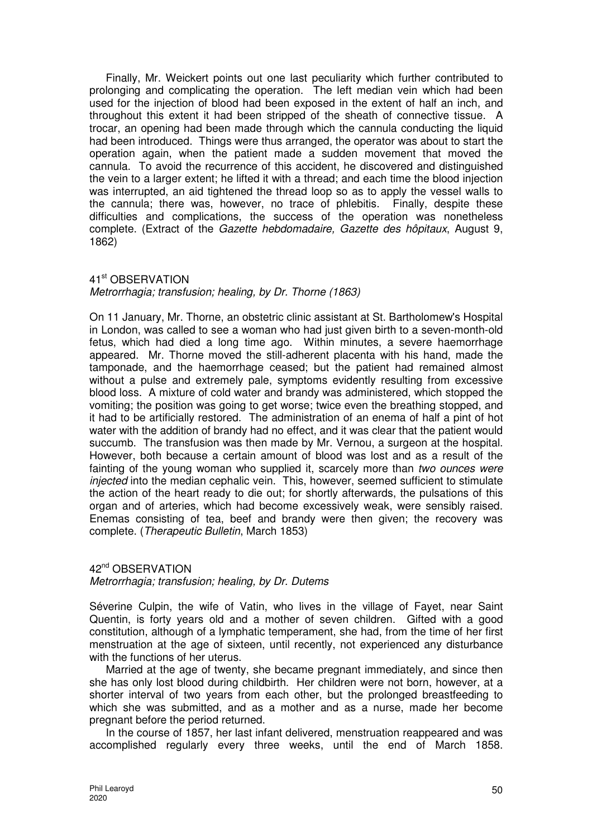Finally, Mr. Weickert points out one last peculiarity which further contributed to prolonging and complicating the operation. The left median vein which had been used for the injection of blood had been exposed in the extent of half an inch, and throughout this extent it had been stripped of the sheath of connective tissue. A trocar, an opening had been made through which the cannula conducting the liquid had been introduced. Things were thus arranged, the operator was about to start the operation again, when the patient made a sudden movement that moved the cannula. To avoid the recurrence of this accident, he discovered and distinguished the vein to a larger extent; he lifted it with a thread; and each time the blood injection was interrupted, an aid tightened the thread loop so as to apply the vessel walls to the cannula; there was, however, no trace of phlebitis. Finally, despite these difficulties and complications, the success of the operation was nonetheless complete. (Extract of the Gazette hebdomadaire, Gazette des hôpitaux, August 9, 1862)

# 41st OBSERVATION

# Metrorrhagia; transfusion; healing, by Dr. Thorne (1863)

On 11 January, Mr. Thorne, an obstetric clinic assistant at St. Bartholomew's Hospital in London, was called to see a woman who had just given birth to a seven-month-old fetus, which had died a long time ago. Within minutes, a severe haemorrhage appeared. Mr. Thorne moved the still-adherent placenta with his hand, made the tamponade, and the haemorrhage ceased; but the patient had remained almost without a pulse and extremely pale, symptoms evidently resulting from excessive blood loss. A mixture of cold water and brandy was administered, which stopped the vomiting; the position was going to get worse; twice even the breathing stopped, and it had to be artificially restored. The administration of an enema of half a pint of hot water with the addition of brandy had no effect, and it was clear that the patient would succumb. The transfusion was then made by Mr. Vernou, a surgeon at the hospital. However, both because a certain amount of blood was lost and as a result of the fainting of the young woman who supplied it, scarcely more than two ounces were injected into the median cephalic vein. This, however, seemed sufficient to stimulate the action of the heart ready to die out; for shortly afterwards, the pulsations of this organ and of arteries, which had become excessively weak, were sensibly raised. Enemas consisting of tea, beef and brandy were then given; the recovery was complete. (Therapeutic Bulletin, March 1853)

## 42<sup>nd</sup> OBSERVATION Metrorrhagia; transfusion; healing, by Dr. Dutems

Séverine Culpin, the wife of Vatin, who lives in the village of Fayet, near Saint Quentin, is forty years old and a mother of seven children. Gifted with a good constitution, although of a lymphatic temperament, she had, from the time of her first menstruation at the age of sixteen, until recently, not experienced any disturbance with the functions of her uterus.

Married at the age of twenty, she became pregnant immediately, and since then she has only lost blood during childbirth. Her children were not born, however, at a shorter interval of two years from each other, but the prolonged breastfeeding to which she was submitted, and as a mother and as a nurse, made her become pregnant before the period returned.

In the course of 1857, her last infant delivered, menstruation reappeared and was accomplished regularly every three weeks, until the end of March 1858.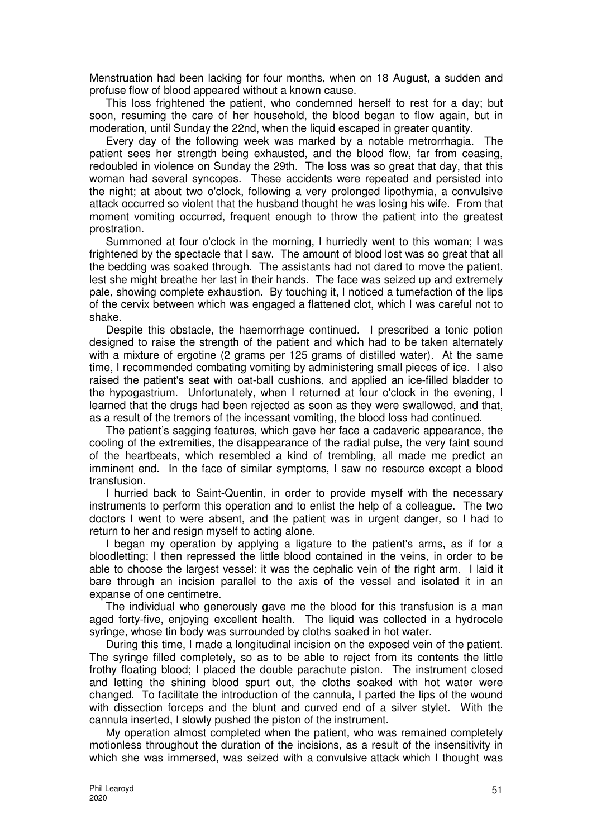Menstruation had been lacking for four months, when on 18 August, a sudden and profuse flow of blood appeared without a known cause.

This loss frightened the patient, who condemned herself to rest for a day; but soon, resuming the care of her household, the blood began to flow again, but in moderation, until Sunday the 22nd, when the liquid escaped in greater quantity.

Every day of the following week was marked by a notable metrorrhagia. The patient sees her strength being exhausted, and the blood flow, far from ceasing, redoubled in violence on Sunday the 29th. The loss was so great that day, that this woman had several syncopes. These accidents were repeated and persisted into the night; at about two o'clock, following a very prolonged lipothymia, a convulsive attack occurred so violent that the husband thought he was losing his wife. From that moment vomiting occurred, frequent enough to throw the patient into the greatest prostration.

Summoned at four o'clock in the morning, I hurriedly went to this woman; I was frightened by the spectacle that I saw. The amount of blood lost was so great that all the bedding was soaked through. The assistants had not dared to move the patient, lest she might breathe her last in their hands. The face was seized up and extremely pale, showing complete exhaustion. By touching it, I noticed a tumefaction of the lips of the cervix between which was engaged a flattened clot, which I was careful not to shake.

Despite this obstacle, the haemorrhage continued. I prescribed a tonic potion designed to raise the strength of the patient and which had to be taken alternately with a mixture of ergotine (2 grams per 125 grams of distilled water). At the same time, I recommended combating vomiting by administering small pieces of ice. I also raised the patient's seat with oat-ball cushions, and applied an ice-filled bladder to the hypogastrium. Unfortunately, when I returned at four o'clock in the evening, I learned that the drugs had been rejected as soon as they were swallowed, and that, as a result of the tremors of the incessant vomiting, the blood loss had continued.

The patient's sagging features, which gave her face a cadaveric appearance, the cooling of the extremities, the disappearance of the radial pulse, the very faint sound of the heartbeats, which resembled a kind of trembling, all made me predict an imminent end. In the face of similar symptoms, I saw no resource except a blood transfusion.

I hurried back to Saint-Quentin, in order to provide myself with the necessary instruments to perform this operation and to enlist the help of a colleague. The two doctors I went to were absent, and the patient was in urgent danger, so I had to return to her and resign myself to acting alone.

I began my operation by applying a ligature to the patient's arms, as if for a bloodletting; I then repressed the little blood contained in the veins, in order to be able to choose the largest vessel: it was the cephalic vein of the right arm. I laid it bare through an incision parallel to the axis of the vessel and isolated it in an expanse of one centimetre.

The individual who generously gave me the blood for this transfusion is a man aged forty-five, enjoying excellent health. The liquid was collected in a hydrocele syringe, whose tin body was surrounded by cloths soaked in hot water.

During this time, I made a longitudinal incision on the exposed vein of the patient. The syringe filled completely, so as to be able to reject from its contents the little frothy floating blood; I placed the double parachute piston. The instrument closed and letting the shining blood spurt out, the cloths soaked with hot water were changed. To facilitate the introduction of the cannula, I parted the lips of the wound with dissection forceps and the blunt and curved end of a silver stylet. With the cannula inserted, I slowly pushed the piston of the instrument.

My operation almost completed when the patient, who was remained completely motionless throughout the duration of the incisions, as a result of the insensitivity in which she was immersed, was seized with a convulsive attack which I thought was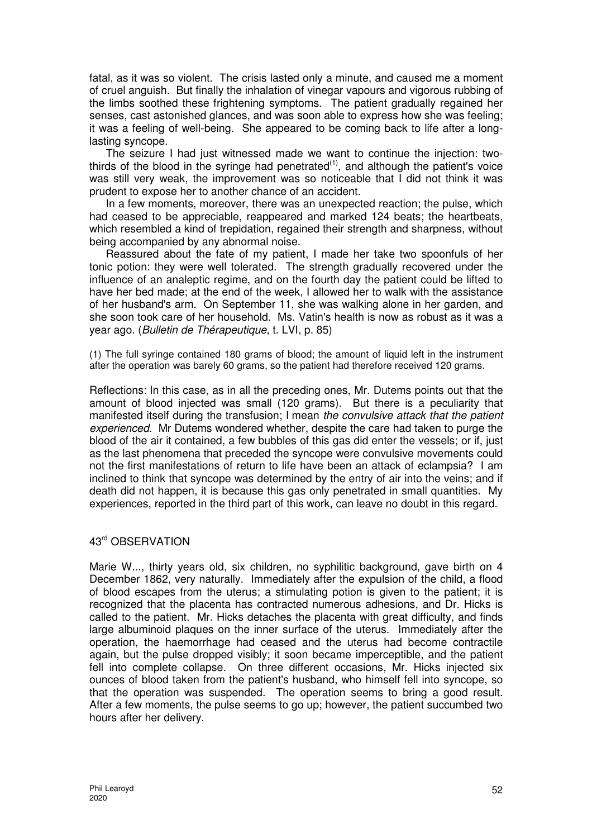fatal, as it was so violent. The crisis lasted only a minute, and caused me a moment of cruel anguish. But finally the inhalation of vinegar vapours and vigorous rubbing of the limbs soothed these frightening symptoms. The patient gradually regained her senses, cast astonished glances, and was soon able to express how she was feeling; it was a feeling of well-being. She appeared to be coming back to life after a longlasting syncope.

The seizure I had just witnessed made we want to continue the injection: twothirds of the blood in the syringe had penetrated<sup> $(1)$ </sup>, and although the patient's voice was still very weak, the improvement was so noticeable that I did not think it was prudent to expose her to another chance of an accident.

In a few moments, moreover, there was an unexpected reaction; the pulse, which had ceased to be appreciable, reappeared and marked 124 beats; the heartbeats, which resembled a kind of trepidation, regained their strength and sharpness, without being accompanied by any abnormal noise.

Reassured about the fate of my patient, I made her take two spoonfuls of her tonic potion: they were well tolerated. The strength gradually recovered under the influence of an analeptic regime, and on the fourth day the patient could be lifted to have her bed made; at the end of the week, I allowed her to walk with the assistance of her husband's arm. On September 11, she was walking alone in her garden, and she soon took care of her household. Ms. Vatin's health is now as robust as it was a year ago. (Bulletin de Thérapeutique, t. LVI, p. 85)

(1) The full syringe contained 180 grams of blood; the amount of liquid left in the instrument after the operation was barely 60 grams, so the patient had therefore received 120 grams.

Reflections: In this case, as in all the preceding ones, Mr. Dutems points out that the amount of blood injected was small (120 grams). But there is a peculiarity that manifested itself during the transfusion; I mean the convulsive attack that the patient experienced. Mr Dutems wondered whether, despite the care had taken to purge the blood of the air it contained, a few bubbles of this gas did enter the vessels; or if, just as the last phenomena that preceded the syncope were convulsive movements could not the first manifestations of return to life have been an attack of eclampsia? I am inclined to think that syncope was determined by the entry of air into the veins; and if death did not happen, it is because this gas only penetrated in small quantities. My experiences, reported in the third part of this work, can leave no doubt in this regard.

# 43rd OBSERVATION

Marie W..., thirty years old, six children, no syphilitic background, gave birth on 4 December 1862, very naturally. Immediately after the expulsion of the child, a flood of blood escapes from the uterus; a stimulating potion is given to the patient; it is recognized that the placenta has contracted numerous adhesions, and Dr. Hicks is called to the patient. Mr. Hicks detaches the placenta with great difficulty, and finds large albuminoid plaques on the inner surface of the uterus. Immediately after the operation, the haemorrhage had ceased and the uterus had become contractile again, but the pulse dropped visibly; it soon became imperceptible, and the patient fell into complete collapse. On three different occasions, Mr. Hicks injected six ounces of blood taken from the patient's husband, who himself fell into syncope, so that the operation was suspended. The operation seems to bring a good result. After a few moments, the pulse seems to go up; however, the patient succumbed two hours after her delivery.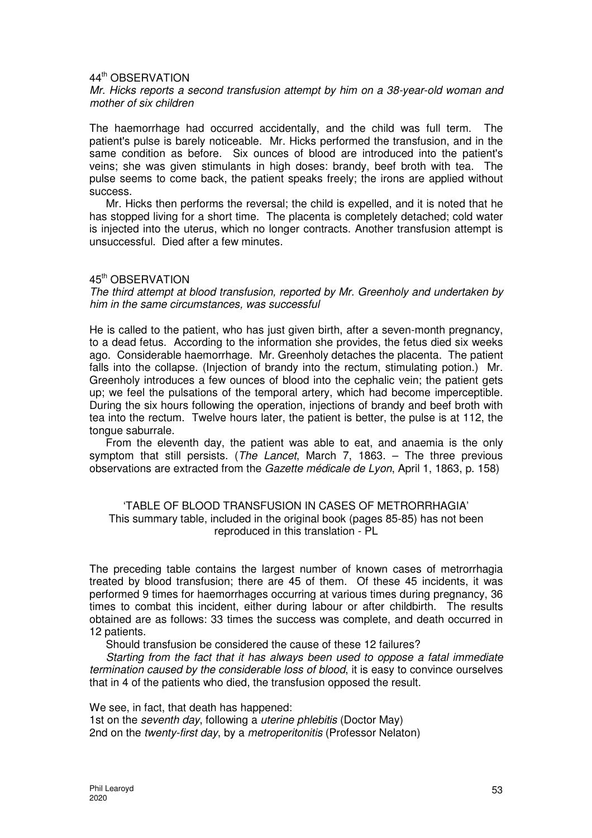#### 44th OBSERVATION

#### Mr. Hicks reports a second transfusion attempt by him on a 38-year-old woman and mother of six children

The haemorrhage had occurred accidentally, and the child was full term. The patient's pulse is barely noticeable. Mr. Hicks performed the transfusion, and in the same condition as before. Six ounces of blood are introduced into the patient's veins; she was given stimulants in high doses: brandy, beef broth with tea. The pulse seems to come back, the patient speaks freely; the irons are applied without success.

Mr. Hicks then performs the reversal; the child is expelled, and it is noted that he has stopped living for a short time. The placenta is completely detached; cold water is injected into the uterus, which no longer contracts. Another transfusion attempt is unsuccessful. Died after a few minutes.

## 45th OBSERVATION

The third attempt at blood transfusion, reported by Mr. Greenholy and undertaken by him in the same circumstances, was successful

He is called to the patient, who has just given birth, after a seven-month pregnancy, to a dead fetus. According to the information she provides, the fetus died six weeks ago. Considerable haemorrhage. Mr. Greenholy detaches the placenta. The patient falls into the collapse. (Injection of brandy into the rectum, stimulating potion.) Mr. Greenholy introduces a few ounces of blood into the cephalic vein; the patient gets up; we feel the pulsations of the temporal artery, which had become imperceptible. During the six hours following the operation, injections of brandy and beef broth with tea into the rectum. Twelve hours later, the patient is better, the pulse is at 112, the tongue saburrale.

From the eleventh day, the patient was able to eat, and anaemia is the only symptom that still persists. (The Lancet, March 7, 1863. – The three previous observations are extracted from the Gazette médicale de Lyon, April 1, 1863, p. 158)

## 'TABLE OF BLOOD TRANSFUSION IN CASES OF METRORRHAGIA' This summary table, included in the original book (pages 85-85) has not been reproduced in this translation - PL

The preceding table contains the largest number of known cases of metrorrhagia treated by blood transfusion; there are 45 of them. Of these 45 incidents, it was performed 9 times for haemorrhages occurring at various times during pregnancy, 36 times to combat this incident, either during labour or after childbirth. The results obtained are as follows: 33 times the success was complete, and death occurred in 12 patients.

Should transfusion be considered the cause of these 12 failures?

Starting from the fact that it has always been used to oppose a fatal immediate termination caused by the considerable loss of blood, it is easy to convince ourselves that in 4 of the patients who died, the transfusion opposed the result.

We see, in fact, that death has happened:

1st on the *seventh day*, following a *uterine phlebitis* (Doctor May) 2nd on the twenty-first day, by a metroperitonitis (Professor Nelaton)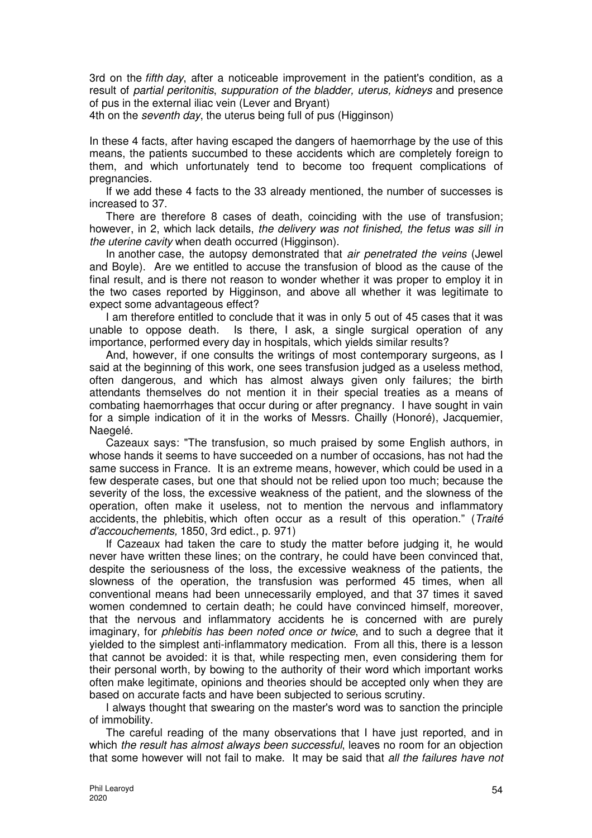3rd on the fifth day, after a noticeable improvement in the patient's condition, as a result of partial peritonitis, suppuration of the bladder, uterus, kidneys and presence of pus in the external iliac vein (Lever and Bryant)

4th on the seventh day, the uterus being full of pus (Higginson)

In these 4 facts, after having escaped the dangers of haemorrhage by the use of this means, the patients succumbed to these accidents which are completely foreign to them, and which unfortunately tend to become too frequent complications of pregnancies.

If we add these 4 facts to the 33 already mentioned, the number of successes is increased to 37.

There are therefore 8 cases of death, coinciding with the use of transfusion; however, in 2, which lack details, the delivery was not finished, the fetus was sill in the *uterine cavity* when death occurred (Higginson).

In another case, the autopsy demonstrated that air penetrated the veins (Jewel and Boyle). Are we entitled to accuse the transfusion of blood as the cause of the final result, and is there not reason to wonder whether it was proper to employ it in the two cases reported by Higginson, and above all whether it was legitimate to expect some advantageous effect?

I am therefore entitled to conclude that it was in only 5 out of 45 cases that it was unable to oppose death. Is there, I ask, a single surgical operation of any importance, performed every day in hospitals, which yields similar results?

And, however, if one consults the writings of most contemporary surgeons, as I said at the beginning of this work, one sees transfusion judged as a useless method, often dangerous, and which has almost always given only failures; the birth attendants themselves do not mention it in their special treaties as a means of combating haemorrhages that occur during or after pregnancy. I have sought in vain for a simple indication of it in the works of Messrs. Chailly (Honoré), Jacquemier, Naegelé.

Cazeaux says: "The transfusion, so much praised by some English authors, in whose hands it seems to have succeeded on a number of occasions, has not had the same success in France. It is an extreme means, however, which could be used in a few desperate cases, but one that should not be relied upon too much; because the severity of the loss, the excessive weakness of the patient, and the slowness of the operation, often make it useless, not to mention the nervous and inflammatory accidents, the phlebitis, which often occur as a result of this operation." (Traité d'accouchements, 1850, 3rd edict., p. 971)

If Cazeaux had taken the care to study the matter before judging it, he would never have written these lines; on the contrary, he could have been convinced that, despite the seriousness of the loss, the excessive weakness of the patients, the slowness of the operation, the transfusion was performed 45 times, when all conventional means had been unnecessarily employed, and that 37 times it saved women condemned to certain death; he could have convinced himself, moreover, that the nervous and inflammatory accidents he is concerned with are purely imaginary, for *phlebitis has been noted once or twice*, and to such a degree that it yielded to the simplest anti-inflammatory medication. From all this, there is a lesson that cannot be avoided: it is that, while respecting men, even considering them for their personal worth, by bowing to the authority of their word which important works often make legitimate, opinions and theories should be accepted only when they are based on accurate facts and have been subjected to serious scrutiny.

I always thought that swearing on the master's word was to sanction the principle of immobility.

The careful reading of the many observations that I have just reported, and in which the result has almost always been successful, leaves no room for an objection that some however will not fail to make. It may be said that all the failures have not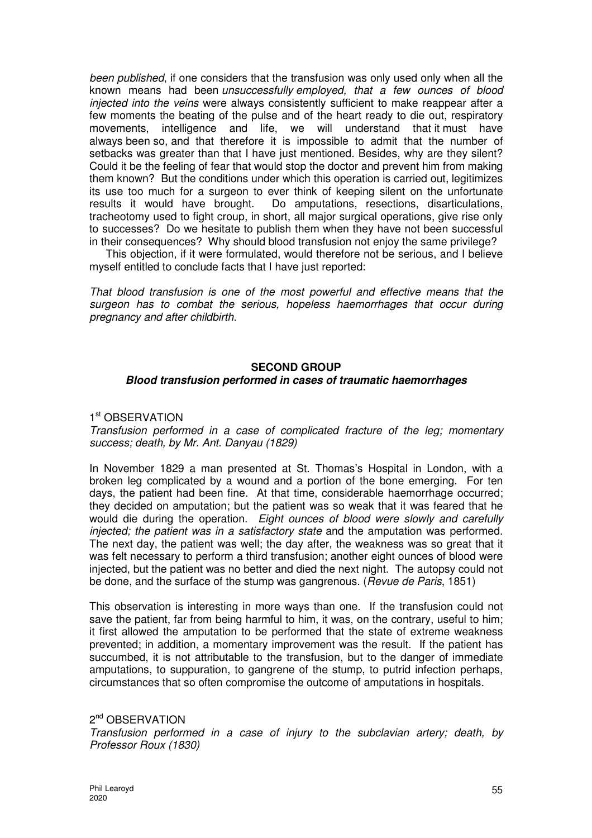been published, if one considers that the transfusion was only used only when all the known means had been unsuccessfully employed, that a few ounces of blood injected into the veins were always consistently sufficient to make reappear after a few moments the beating of the pulse and of the heart ready to die out, respiratory movements, intelligence and life, we will understand that it must have always been so, and that therefore it is impossible to admit that the number of setbacks was greater than that I have just mentioned. Besides, why are they silent? Could it be the feeling of fear that would stop the doctor and prevent him from making them known? But the conditions under which this operation is carried out, legitimizes its use too much for a surgeon to ever think of keeping silent on the unfortunate results it would have brought. Do amputations, resections, disarticulations, tracheotomy used to fight croup, in short, all major surgical operations, give rise only to successes? Do we hesitate to publish them when they have not been successful in their consequences? Why should blood transfusion not enjoy the same privilege?

This objection, if it were formulated, would therefore not be serious, and I believe myself entitled to conclude facts that I have just reported:

That blood transfusion is one of the most powerful and effective means that the surgeon has to combat the serious, hopeless haemorrhages that occur during pregnancy and after childbirth.

#### **SECOND GROUP**

#### **Blood transfusion performed in cases of traumatic haemorrhages**

## 1<sup>st</sup> OBSERVATION

Transfusion performed in a case of complicated fracture of the leg; momentary success; death, by Mr. Ant. Danyau (1829)

In November 1829 a man presented at St. Thomas's Hospital in London, with a broken leg complicated by a wound and a portion of the bone emerging. For ten days, the patient had been fine. At that time, considerable haemorrhage occurred; they decided on amputation; but the patient was so weak that it was feared that he would die during the operation. Eight ounces of blood were slowly and carefully injected; the patient was in a satisfactory state and the amputation was performed. The next day, the patient was well; the day after, the weakness was so great that it was felt necessary to perform a third transfusion; another eight ounces of blood were injected, but the patient was no better and died the next night. The autopsy could not be done, and the surface of the stump was gangrenous. (Revue de Paris, 1851)

This observation is interesting in more ways than one. If the transfusion could not save the patient, far from being harmful to him, it was, on the contrary, useful to him; it first allowed the amputation to be performed that the state of extreme weakness prevented; in addition, a momentary improvement was the result. If the patient has succumbed, it is not attributable to the transfusion, but to the danger of immediate amputations, to suppuration, to gangrene of the stump, to putrid infection perhaps, circumstances that so often compromise the outcome of amputations in hospitals.

2<sup>nd</sup> OBSERVATION Transfusion performed in a case of injury to the subclavian artery; death, by Professor Roux (1830)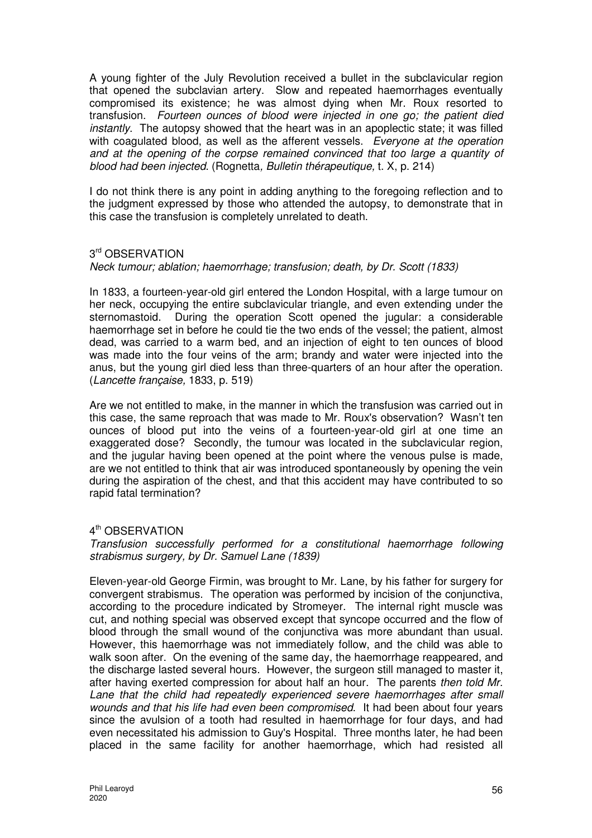A young fighter of the July Revolution received a bullet in the subclavicular region that opened the subclavian artery. Slow and repeated haemorrhages eventually compromised its existence; he was almost dying when Mr. Roux resorted to transfusion. Fourteen ounces of blood were injected in one go; the patient died instantly. The autopsy showed that the heart was in an apoplectic state; it was filled with coagulated blood, as well as the afferent vessels. Everyone at the operation and at the opening of the corpse remained convinced that too large a quantity of blood had been injected. (Rognetta, Bulletin thérapeutique, t. X, p. 214)

I do not think there is any point in adding anything to the foregoing reflection and to the judgment expressed by those who attended the autopsy, to demonstrate that in this case the transfusion is completely unrelated to death.

## 3 rd OBSERVATION

Neck tumour; ablation; haemorrhage; transfusion; death, by Dr. Scott (1833)

In 1833, a fourteen-year-old girl entered the London Hospital, with a large tumour on her neck, occupying the entire subclavicular triangle, and even extending under the sternomastoid. During the operation Scott opened the jugular: a considerable haemorrhage set in before he could tie the two ends of the vessel; the patient, almost dead, was carried to a warm bed, and an injection of eight to ten ounces of blood was made into the four veins of the arm; brandy and water were injected into the anus, but the young girl died less than three-quarters of an hour after the operation. (Lancette française, 1833, p. 519)

Are we not entitled to make, in the manner in which the transfusion was carried out in this case, the same reproach that was made to Mr. Roux's observation? Wasn't ten ounces of blood put into the veins of a fourteen-year-old girl at one time an exaggerated dose? Secondly, the tumour was located in the subclavicular region, and the jugular having been opened at the point where the venous pulse is made, are we not entitled to think that air was introduced spontaneously by opening the vein during the aspiration of the chest, and that this accident may have contributed to so rapid fatal termination?

## 4<sup>th</sup> OBSERVATION

Transfusion successfully performed for a constitutional haemorrhage following strabismus surgery, by Dr. Samuel Lane (1839)

Eleven-year-old George Firmin, was brought to Mr. Lane, by his father for surgery for convergent strabismus. The operation was performed by incision of the conjunctiva, according to the procedure indicated by Stromeyer. The internal right muscle was cut, and nothing special was observed except that syncope occurred and the flow of blood through the small wound of the conjunctiva was more abundant than usual. However, this haemorrhage was not immediately follow, and the child was able to walk soon after. On the evening of the same day, the haemorrhage reappeared, and the discharge lasted several hours. However, the surgeon still managed to master it, after having exerted compression for about half an hour. The parents then told Mr. Lane that the child had repeatedly experienced severe haemorrhages after small wounds and that his life had even been compromised. It had been about four years since the avulsion of a tooth had resulted in haemorrhage for four days, and had even necessitated his admission to Guy's Hospital. Three months later, he had been placed in the same facility for another haemorrhage, which had resisted all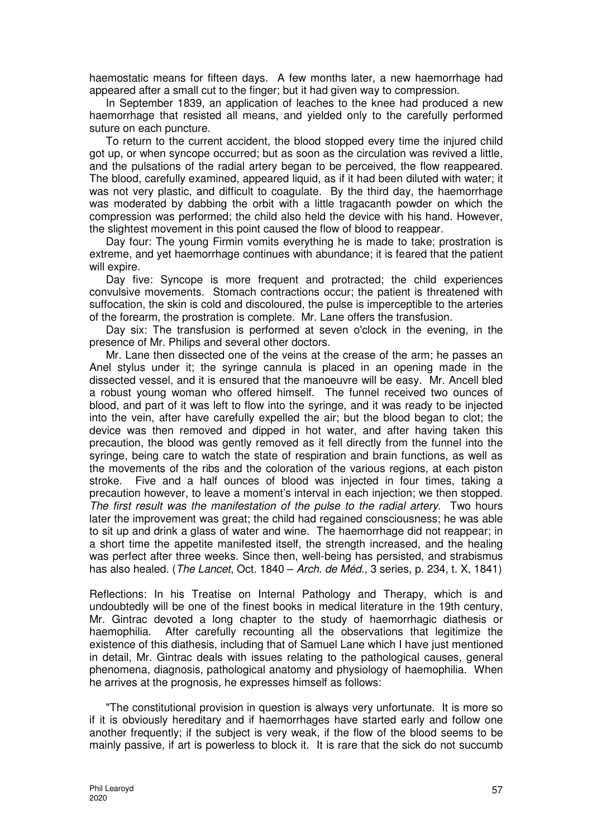haemostatic means for fifteen days. A few months later, a new haemorrhage had appeared after a small cut to the finger; but it had given way to compression.

In September 1839, an application of leaches to the knee had produced a new haemorrhage that resisted all means, and yielded only to the carefully performed suture on each puncture.

To return to the current accident, the blood stopped every time the injured child got up, or when syncope occurred; but as soon as the circulation was revived a little, and the pulsations of the radial artery began to be perceived, the flow reappeared. The blood, carefully examined, appeared liquid, as if it had been diluted with water; it was not very plastic, and difficult to coagulate. By the third day, the haemorrhage was moderated by dabbing the orbit with a little tragacanth powder on which the compression was performed; the child also held the device with his hand. However, the slightest movement in this point caused the flow of blood to reappear.

Day four: The young Firmin vomits everything he is made to take; prostration is extreme, and yet haemorrhage continues with abundance; it is feared that the patient will expire.

Day five: Syncope is more frequent and protracted; the child experiences convulsive movements. Stomach contractions occur; the patient is threatened with suffocation, the skin is cold and discoloured, the pulse is imperceptible to the arteries of the forearm, the prostration is complete. Mr. Lane offers the transfusion.

Day six: The transfusion is performed at seven o'clock in the evening, in the presence of Mr. Philips and several other doctors.

Mr. Lane then dissected one of the veins at the crease of the arm; he passes an Anel stylus under it; the syringe cannula is placed in an opening made in the dissected vessel, and it is ensured that the manoeuvre will be easy. Mr. Ancell bled a robust young woman who offered himself. The funnel received two ounces of blood, and part of it was left to flow into the syringe, and it was ready to be injected into the vein, after have carefully expelled the air; but the blood began to clot; the device was then removed and dipped in hot water, and after having taken this precaution, the blood was gently removed as it fell directly from the funnel into the syringe, being care to watch the state of respiration and brain functions, as well as the movements of the ribs and the coloration of the various regions, at each piston stroke. Five and a half ounces of blood was injected in four times, taking a precaution however, to leave a moment's interval in each injection; we then stopped. The first result was the manifestation of the pulse to the radial artery. Two hours later the improvement was great; the child had regained consciousness; he was able to sit up and drink a glass of water and wine. The haemorrhage did not reappear; in a short time the appetite manifested itself, the strength increased, and the healing was perfect after three weeks. Since then, well-being has persisted, and strabismus has also healed. (*The Lancet*, Oct. 1840 – *Arch. de Méd.*, 3 series, p. 234, t. X, 1841)

Reflections: In his Treatise on Internal Pathology and Therapy, which is and undoubtedly will be one of the finest books in medical literature in the 19th century, Mr. Gintrac devoted a long chapter to the study of haemorrhagic diathesis or haemophilia. After carefully recounting all the observations that legitimize the existence of this diathesis, including that of Samuel Lane which I have just mentioned in detail, Mr. Gintrac deals with issues relating to the pathological causes, general phenomena, diagnosis, pathological anatomy and physiology of haemophilia. When he arrives at the prognosis, he expresses himself as follows:

"The constitutional provision in question is always very unfortunate. It is more so if it is obviously hereditary and if haemorrhages have started early and follow one another frequently; if the subject is very weak, if the flow of the blood seems to be mainly passive, if art is powerless to block it. It is rare that the sick do not succumb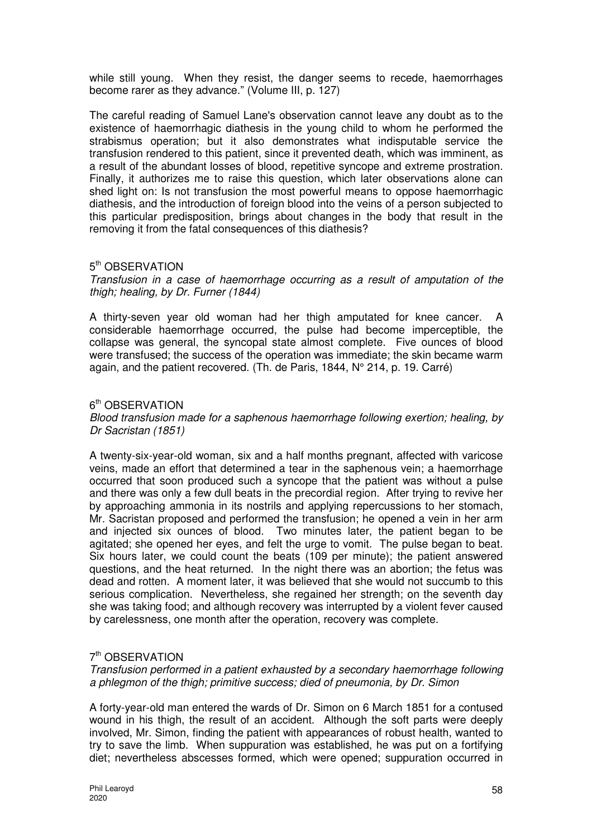while still young. When they resist, the danger seems to recede, haemorrhages become rarer as they advance." (Volume III, p. 127)

The careful reading of Samuel Lane's observation cannot leave any doubt as to the existence of haemorrhagic diathesis in the young child to whom he performed the strabismus operation; but it also demonstrates what indisputable service the transfusion rendered to this patient, since it prevented death, which was imminent, as a result of the abundant losses of blood, repetitive syncope and extreme prostration. Finally, it authorizes me to raise this question, which later observations alone can shed light on: Is not transfusion the most powerful means to oppose haemorrhagic diathesis, and the introduction of foreign blood into the veins of a person subjected to this particular predisposition, brings about changes in the body that result in the removing it from the fatal consequences of this diathesis?

## 5<sup>th</sup> OBSERVATION

Transfusion in a case of haemorrhage occurring as a result of amputation of the thigh; healing, by Dr. Furner (1844)

A thirty-seven year old woman had her thigh amputated for knee cancer. A considerable haemorrhage occurred, the pulse had become imperceptible, the collapse was general, the syncopal state almost complete. Five ounces of blood were transfused; the success of the operation was immediate; the skin became warm again, and the patient recovered. (Th. de Paris, 1844, N° 214, p. 19. Carré)

## 6<sup>th</sup> OBSERVATION

Blood transfusion made for a saphenous haemorrhage following exertion; healing, by Dr Sacristan (1851)

A twenty-six-year-old woman, six and a half months pregnant, affected with varicose veins, made an effort that determined a tear in the saphenous vein; a haemorrhage occurred that soon produced such a syncope that the patient was without a pulse and there was only a few dull beats in the precordial region. After trying to revive her by approaching ammonia in its nostrils and applying repercussions to her stomach, Mr. Sacristan proposed and performed the transfusion; he opened a vein in her arm and injected six ounces of blood. Two minutes later, the patient began to be agitated; she opened her eyes, and felt the urge to vomit. The pulse began to beat. Six hours later, we could count the beats (109 per minute); the patient answered questions, and the heat returned. In the night there was an abortion; the fetus was dead and rotten. A moment later, it was believed that she would not succumb to this serious complication. Nevertheless, she regained her strength; on the seventh day she was taking food; and although recovery was interrupted by a violent fever caused by carelessness, one month after the operation, recovery was complete.

## 7<sup>th</sup> OBSERVATION

Transfusion performed in a patient exhausted by a secondary haemorrhage following a phlegmon of the thigh; primitive success; died of pneumonia, by Dr. Simon

A forty-year-old man entered the wards of Dr. Simon on 6 March 1851 for a contused wound in his thigh, the result of an accident. Although the soft parts were deeply involved, Mr. Simon, finding the patient with appearances of robust health, wanted to try to save the limb. When suppuration was established, he was put on a fortifying diet; nevertheless abscesses formed, which were opened; suppuration occurred in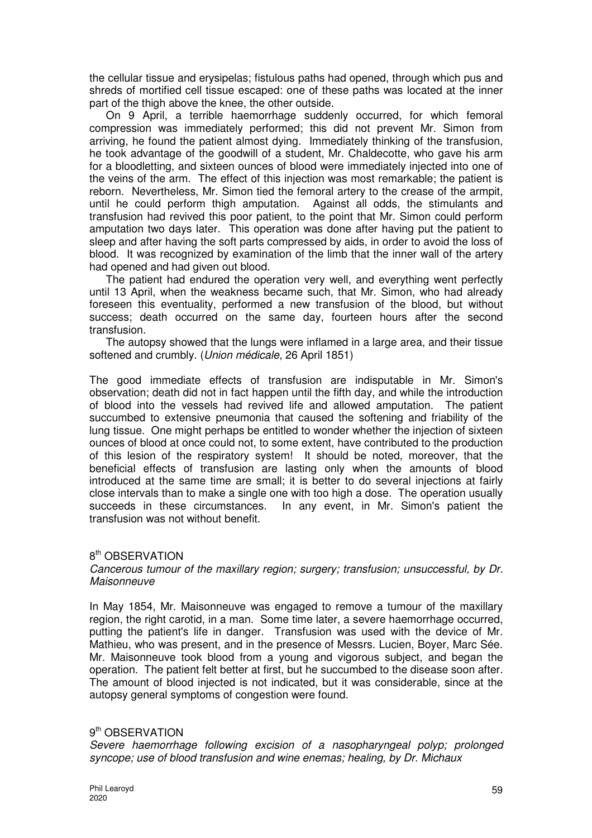the cellular tissue and erysipelas; fistulous paths had opened, through which pus and shreds of mortified cell tissue escaped: one of these paths was located at the inner part of the thigh above the knee, the other outside.

On 9 April, a terrible haemorrhage suddenly occurred, for which femoral compression was immediately performed; this did not prevent Mr. Simon from arriving, he found the patient almost dying. Immediately thinking of the transfusion, he took advantage of the goodwill of a student, Mr. Chaldecotte, who gave his arm for a bloodletting, and sixteen ounces of blood were immediately injected into one of the veins of the arm. The effect of this injection was most remarkable; the patient is reborn. Nevertheless, Mr. Simon tied the femoral artery to the crease of the armpit, until he could perform thigh amputation. Against all odds, the stimulants and transfusion had revived this poor patient, to the point that Mr. Simon could perform amputation two days later. This operation was done after having put the patient to sleep and after having the soft parts compressed by aids, in order to avoid the loss of blood. It was recognized by examination of the limb that the inner wall of the artery had opened and had given out blood.

The patient had endured the operation very well, and everything went perfectly until 13 April, when the weakness became such, that Mr. Simon, who had already foreseen this eventuality, performed a new transfusion of the blood, but without success; death occurred on the same day, fourteen hours after the second transfusion.

The autopsy showed that the lungs were inflamed in a large area, and their tissue softened and crumbly. (*Union médicale*, 26 April 1851)

The good immediate effects of transfusion are indisputable in Mr. Simon's observation; death did not in fact happen until the fifth day, and while the introduction of blood into the vessels had revived life and allowed amputation. The patient succumbed to extensive pneumonia that caused the softening and friability of the lung tissue. One might perhaps be entitled to wonder whether the injection of sixteen ounces of blood at once could not, to some extent, have contributed to the production of this lesion of the respiratory system! It should be noted, moreover, that the beneficial effects of transfusion are lasting only when the amounts of blood introduced at the same time are small; it is better to do several injections at fairly close intervals than to make a single one with too high a dose. The operation usually succeeds in these circumstances. In any event, in Mr. Simon's patient the transfusion was not without benefit.

## 8<sup>th</sup> OBSERVATION

Cancerous tumour of the maxillary region; surgery; transfusion; unsuccessful, by Dr. **Maisonneuve** 

In May 1854, Mr. Maisonneuve was engaged to remove a tumour of the maxillary region, the right carotid, in a man. Some time later, a severe haemorrhage occurred, putting the patient's life in danger. Transfusion was used with the device of Mr. Mathieu, who was present, and in the presence of Messrs. Lucien, Boyer, Marc Sée. Mr. Maisonneuve took blood from a young and vigorous subject, and began the operation. The patient felt better at first, but he succumbed to the disease soon after. The amount of blood injected is not indicated, but it was considerable, since at the autopsy general symptoms of congestion were found.

## 9<sup>th</sup> OBSERVATION

Severe haemorrhage following excision of a nasopharyngeal polyp; prolonged syncope; use of blood transfusion and wine enemas; healing, by Dr. Michaux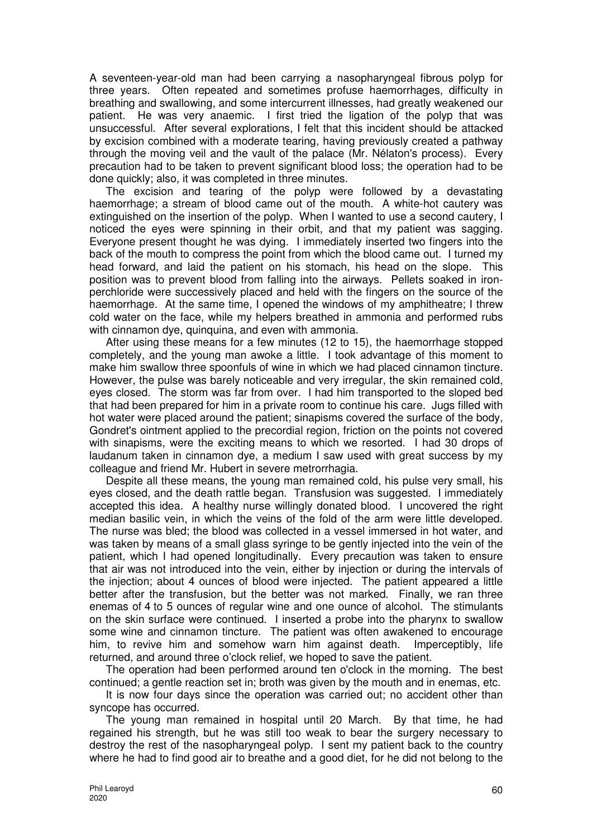A seventeen-year-old man had been carrying a nasopharyngeal fibrous polyp for three years. Often repeated and sometimes profuse haemorrhages, difficulty in breathing and swallowing, and some intercurrent illnesses, had greatly weakened our patient. He was very anaemic. I first tried the ligation of the polyp that was unsuccessful. After several explorations, I felt that this incident should be attacked by excision combined with a moderate tearing, having previously created a pathway through the moving veil and the vault of the palace (Mr. Nélaton's process). Every precaution had to be taken to prevent significant blood loss; the operation had to be done quickly; also, it was completed in three minutes.

The excision and tearing of the polyp were followed by a devastating haemorrhage; a stream of blood came out of the mouth. A white-hot cautery was extinguished on the insertion of the polyp. When I wanted to use a second cautery, I noticed the eyes were spinning in their orbit, and that my patient was sagging. Everyone present thought he was dying. I immediately inserted two fingers into the back of the mouth to compress the point from which the blood came out. I turned my head forward, and laid the patient on his stomach, his head on the slope. This position was to prevent blood from falling into the airways. Pellets soaked in ironperchloride were successively placed and held with the fingers on the source of the haemorrhage. At the same time, I opened the windows of my amphitheatre; I threw cold water on the face, while my helpers breathed in ammonia and performed rubs with cinnamon dye, quinquina, and even with ammonia.

After using these means for a few minutes (12 to 15), the haemorrhage stopped completely, and the young man awoke a little. I took advantage of this moment to make him swallow three spoonfuls of wine in which we had placed cinnamon tincture. However, the pulse was barely noticeable and very irregular, the skin remained cold, eyes closed. The storm was far from over. I had him transported to the sloped bed that had been prepared for him in a private room to continue his care. Jugs filled with hot water were placed around the patient; sinapisms covered the surface of the body, Gondret's ointment applied to the precordial region, friction on the points not covered with sinapisms, were the exciting means to which we resorted. I had 30 drops of laudanum taken in cinnamon dye, a medium I saw used with great success by my colleague and friend Mr. Hubert in severe metrorrhagia.

Despite all these means, the young man remained cold, his pulse very small, his eyes closed, and the death rattle began. Transfusion was suggested. I immediately accepted this idea. A healthy nurse willingly donated blood. I uncovered the right median basilic vein, in which the veins of the fold of the arm were little developed. The nurse was bled; the blood was collected in a vessel immersed in hot water, and was taken by means of a small glass syringe to be gently injected into the vein of the patient, which I had opened longitudinally. Every precaution was taken to ensure that air was not introduced into the vein, either by injection or during the intervals of the injection; about 4 ounces of blood were injected. The patient appeared a little better after the transfusion, but the better was not marked. Finally, we ran three enemas of 4 to 5 ounces of regular wine and one ounce of alcohol. The stimulants on the skin surface were continued. I inserted a probe into the pharynx to swallow some wine and cinnamon tincture. The patient was often awakened to encourage him, to revive him and somehow warn him against death. Imperceptibly, life returned, and around three o'clock relief, we hoped to save the patient.

The operation had been performed around ten o'clock in the morning. The best continued; a gentle reaction set in; broth was given by the mouth and in enemas, etc.

It is now four days since the operation was carried out; no accident other than syncope has occurred.

The young man remained in hospital until 20 March. By that time, he had regained his strength, but he was still too weak to bear the surgery necessary to destroy the rest of the nasopharyngeal polyp. I sent my patient back to the country where he had to find good air to breathe and a good diet, for he did not belong to the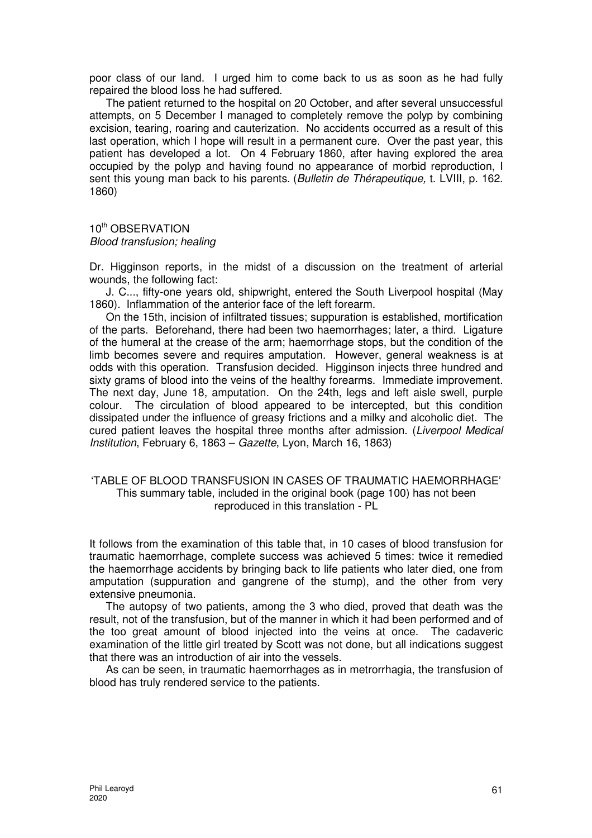poor class of our land. I urged him to come back to us as soon as he had fully repaired the blood loss he had suffered.

The patient returned to the hospital on 20 October, and after several unsuccessful attempts, on 5 December I managed to completely remove the polyp by combining excision, tearing, roaring and cauterization. No accidents occurred as a result of this last operation, which I hope will result in a permanent cure. Over the past year, this patient has developed a lot. On 4 February 1860, after having explored the area occupied by the polyp and having found no appearance of morbid reproduction, I sent this young man back to his parents. (Bulletin de Thérapeutique, t. LVIII, p. 162. 1860)

10<sup>th</sup> OBSERVATION Blood transfusion; healing

Dr. Higginson reports, in the midst of a discussion on the treatment of arterial wounds, the following fact:

J. C..., fifty-one years old, shipwright, entered the South Liverpool hospital (May 1860). Inflammation of the anterior face of the left forearm.

On the 15th, incision of infiltrated tissues; suppuration is established, mortification of the parts. Beforehand, there had been two haemorrhages; later, a third. Ligature of the humeral at the crease of the arm; haemorrhage stops, but the condition of the limb becomes severe and requires amputation. However, general weakness is at odds with this operation. Transfusion decided. Higginson injects three hundred and sixty grams of blood into the veins of the healthy forearms. Immediate improvement. The next day, June 18, amputation. On the 24th, legs and left aisle swell, purple colour. The circulation of blood appeared to be intercepted, but this condition dissipated under the influence of greasy frictions and a milky and alcoholic diet. The cured patient leaves the hospital three months after admission. (Liverpool Medical Institution, February 6, 1863 – Gazette, Lyon, March 16, 1863)

#### 'TABLE OF BLOOD TRANSFUSION IN CASES OF TRAUMATIC HAEMORRHAGE' This summary table, included in the original book (page 100) has not been reproduced in this translation - PL

It follows from the examination of this table that, in 10 cases of blood transfusion for traumatic haemorrhage, complete success was achieved 5 times: twice it remedied the haemorrhage accidents by bringing back to life patients who later died, one from amputation (suppuration and gangrene of the stump), and the other from very extensive pneumonia.

The autopsy of two patients, among the 3 who died, proved that death was the result, not of the transfusion, but of the manner in which it had been performed and of the too great amount of blood injected into the veins at once. The cadaveric examination of the little girl treated by Scott was not done, but all indications suggest that there was an introduction of air into the vessels.

As can be seen, in traumatic haemorrhages as in metrorrhagia, the transfusion of blood has truly rendered service to the patients.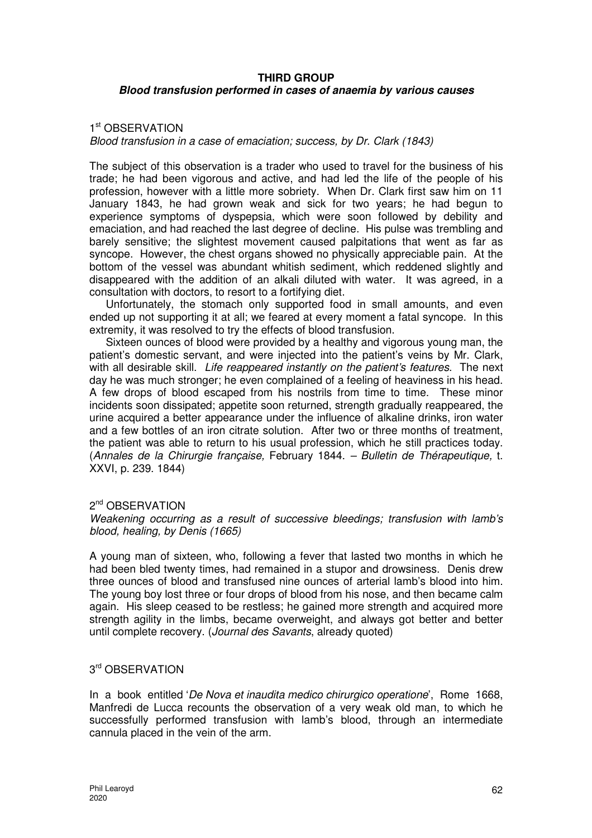#### **THIRD GROUP**

## **Blood transfusion performed in cases of anaemia by various causes**

## 1<sup>st</sup> OBSERVATION

## Blood transfusion in a case of emaciation; success, by Dr. Clark (1843)

The subject of this observation is a trader who used to travel for the business of his trade; he had been vigorous and active, and had led the life of the people of his profession, however with a little more sobriety. When Dr. Clark first saw him on 11 January 1843, he had grown weak and sick for two years; he had begun to experience symptoms of dyspepsia, which were soon followed by debility and emaciation, and had reached the last degree of decline. His pulse was trembling and barely sensitive; the slightest movement caused palpitations that went as far as syncope. However, the chest organs showed no physically appreciable pain. At the bottom of the vessel was abundant whitish sediment, which reddened slightly and disappeared with the addition of an alkali diluted with water. It was agreed, in a consultation with doctors, to resort to a fortifying diet.

Unfortunately, the stomach only supported food in small amounts, and even ended up not supporting it at all; we feared at every moment a fatal syncope. In this extremity, it was resolved to try the effects of blood transfusion.

Sixteen ounces of blood were provided by a healthy and vigorous young man, the patient's domestic servant, and were injected into the patient's veins by Mr. Clark, with all desirable skill. Life reappeared instantly on the patient's features. The next day he was much stronger; he even complained of a feeling of heaviness in his head. A few drops of blood escaped from his nostrils from time to time. These minor incidents soon dissipated; appetite soon returned, strength gradually reappeared, the urine acquired a better appearance under the influence of alkaline drinks, iron water and a few bottles of an iron citrate solution. After two or three months of treatment, the patient was able to return to his usual profession, which he still practices today. (Annales de la Chirurgie française, February 1844. – Bulletin de Thérapeutique, t. XXVI, p. 239. 1844)

## 2<sup>nd</sup> OBSERVATION

Weakening occurring as a result of successive bleedings; transfusion with lamb's blood, healing, by Denis (1665)

A young man of sixteen, who, following a fever that lasted two months in which he had been bled twenty times, had remained in a stupor and drowsiness. Denis drew three ounces of blood and transfused nine ounces of arterial lamb's blood into him. The young boy lost three or four drops of blood from his nose, and then became calm again. His sleep ceased to be restless; he gained more strength and acquired more strength agility in the limbs, became overweight, and always got better and better until complete recovery. (Journal des Savants, already quoted)

# 3<sup>rd</sup> OBSERVATION

In a book entitled 'De Nova et inaudita medico chirurgico operatione', Rome 1668, Manfredi de Lucca recounts the observation of a very weak old man, to which he successfully performed transfusion with lamb's blood, through an intermediate cannula placed in the vein of the arm.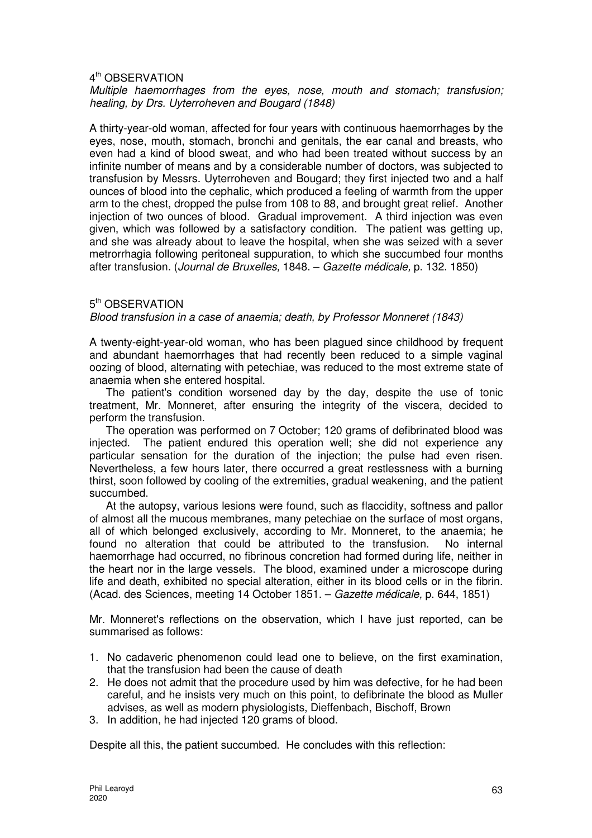## 4<sup>th</sup> OBSERVATION

#### Multiple haemorrhages from the eyes, nose, mouth and stomach; transfusion; healing, by Drs. Uyterroheven and Bougard (1848)

A thirty-year-old woman, affected for four years with continuous haemorrhages by the eyes, nose, mouth, stomach, bronchi and genitals, the ear canal and breasts, who even had a kind of blood sweat, and who had been treated without success by an infinite number of means and by a considerable number of doctors, was subjected to transfusion by Messrs. Uyterroheven and Bougard; they first injected two and a half ounces of blood into the cephalic, which produced a feeling of warmth from the upper arm to the chest, dropped the pulse from 108 to 88, and brought great relief. Another injection of two ounces of blood. Gradual improvement. A third injection was even given, which was followed by a satisfactory condition. The patient was getting up, and she was already about to leave the hospital, when she was seized with a sever metrorrhagia following peritoneal suppuration, to which she succumbed four months after transfusion. (Journal de Bruxelles, 1848. – Gazette médicale, p. 132. 1850)

## 5<sup>th</sup> OBSERVATION

## Blood transfusion in a case of anaemia; death, by Professor Monneret (1843)

A twenty-eight-year-old woman, who has been plagued since childhood by frequent and abundant haemorrhages that had recently been reduced to a simple vaginal oozing of blood, alternating with petechiae, was reduced to the most extreme state of anaemia when she entered hospital.

The patient's condition worsened day by the day, despite the use of tonic treatment, Mr. Monneret, after ensuring the integrity of the viscera, decided to perform the transfusion.

The operation was performed on 7 October; 120 grams of defibrinated blood was injected. The patient endured this operation well; she did not experience any particular sensation for the duration of the injection; the pulse had even risen. Nevertheless, a few hours later, there occurred a great restlessness with a burning thirst, soon followed by cooling of the extremities, gradual weakening, and the patient succumbed.

At the autopsy, various lesions were found, such as flaccidity, softness and pallor of almost all the mucous membranes, many petechiae on the surface of most organs, all of which belonged exclusively, according to Mr. Monneret, to the anaemia; he found no alteration that could be attributed to the transfusion. No internal haemorrhage had occurred, no fibrinous concretion had formed during life, neither in the heart nor in the large vessels. The blood, examined under a microscope during life and death, exhibited no special alteration, either in its blood cells or in the fibrin. (Acad. des Sciences, meeting 14 October 1851. – Gazette médicale, p. 644, 1851)

Mr. Monneret's reflections on the observation, which I have just reported, can be summarised as follows:

- 1. No cadaveric phenomenon could lead one to believe, on the first examination, that the transfusion had been the cause of death
- 2. He does not admit that the procedure used by him was defective, for he had been careful, and he insists very much on this point, to defibrinate the blood as Muller advises, as well as modern physiologists, Dieffenbach, Bischoff, Brown
- 3. In addition, he had injected 120 grams of blood.

Despite all this, the patient succumbed. He concludes with this reflection: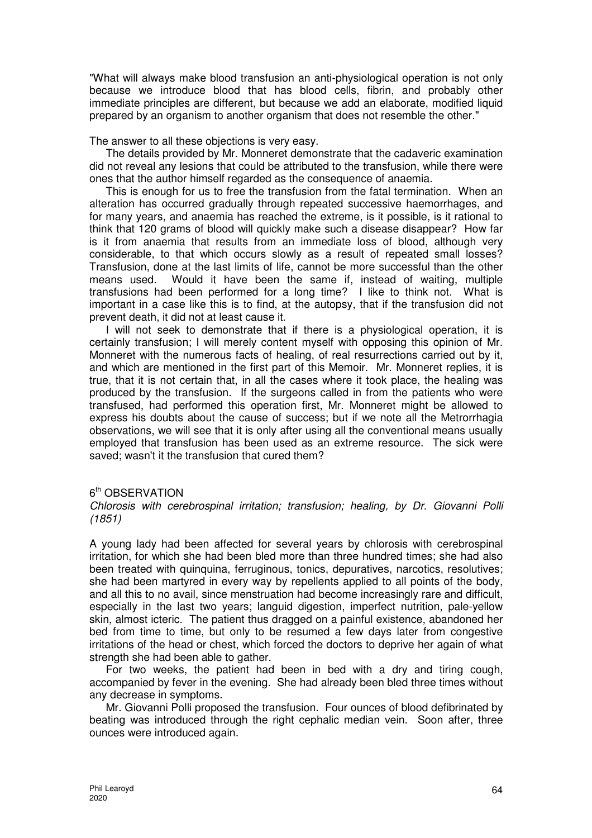"What will always make blood transfusion an anti-physiological operation is not only because we introduce blood that has blood cells, fibrin, and probably other immediate principles are different, but because we add an elaborate, modified liquid prepared by an organism to another organism that does not resemble the other."

The answer to all these objections is very easy.

The details provided by Mr. Monneret demonstrate that the cadaveric examination did not reveal any lesions that could be attributed to the transfusion, while there were ones that the author himself regarded as the consequence of anaemia.

This is enough for us to free the transfusion from the fatal termination. When an alteration has occurred gradually through repeated successive haemorrhages, and for many years, and anaemia has reached the extreme, is it possible, is it rational to think that 120 grams of blood will quickly make such a disease disappear? How far is it from anaemia that results from an immediate loss of blood, although very considerable, to that which occurs slowly as a result of repeated small losses? Transfusion, done at the last limits of life, cannot be more successful than the other means used. Would it have been the same if, instead of waiting, multiple transfusions had been performed for a long time? I like to think not. What is important in a case like this is to find, at the autopsy, that if the transfusion did not prevent death, it did not at least cause it.

I will not seek to demonstrate that if there is a physiological operation, it is certainly transfusion; I will merely content myself with opposing this opinion of Mr. Monneret with the numerous facts of healing, of real resurrections carried out by it, and which are mentioned in the first part of this Memoir. Mr. Monneret replies, it is true, that it is not certain that, in all the cases where it took place, the healing was produced by the transfusion. If the surgeons called in from the patients who were transfused, had performed this operation first, Mr. Monneret might be allowed to express his doubts about the cause of success; but if we note all the Metrorrhagia observations, we will see that it is only after using all the conventional means usually employed that transfusion has been used as an extreme resource. The sick were saved; wasn't it the transfusion that cured them?

## 6<sup>th</sup> OBSERVATION

Chlorosis with cerebrospinal irritation; transfusion; healing, by Dr. Giovanni Polli (1851)

A young lady had been affected for several years by chlorosis with cerebrospinal irritation, for which she had been bled more than three hundred times; she had also been treated with quinquina, ferruginous, tonics, depuratives, narcotics, resolutives; she had been martyred in every way by repellents applied to all points of the body, and all this to no avail, since menstruation had become increasingly rare and difficult, especially in the last two years; languid digestion, imperfect nutrition, pale-yellow skin, almost icteric. The patient thus dragged on a painful existence, abandoned her bed from time to time, but only to be resumed a few days later from congestive irritations of the head or chest, which forced the doctors to deprive her again of what strength she had been able to gather.

For two weeks, the patient had been in bed with a dry and tiring cough, accompanied by fever in the evening. She had already been bled three times without any decrease in symptoms.

Mr. Giovanni Polli proposed the transfusion. Four ounces of blood defibrinated by beating was introduced through the right cephalic median vein. Soon after, three ounces were introduced again.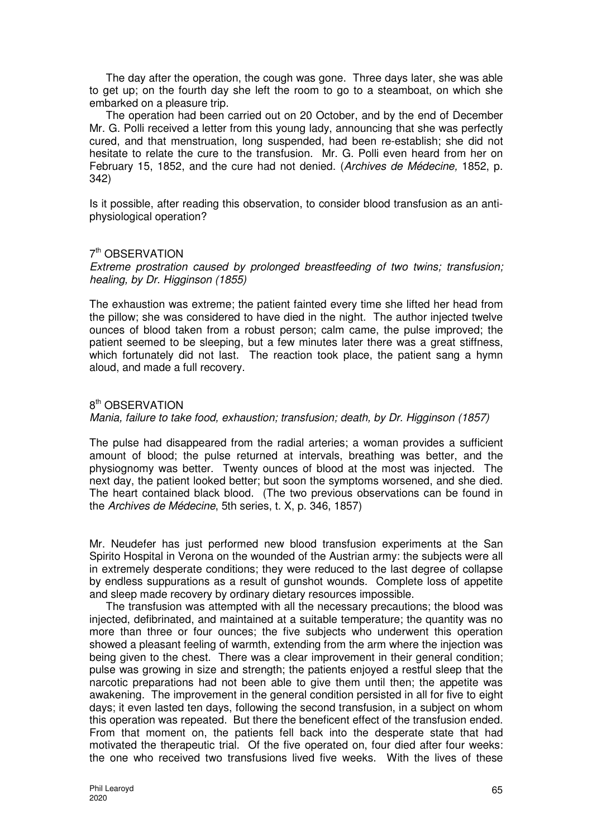The day after the operation, the cough was gone. Three days later, she was able to get up; on the fourth day she left the room to go to a steamboat, on which she embarked on a pleasure trip.

The operation had been carried out on 20 October, and by the end of December Mr. G. Polli received a letter from this young lady, announcing that she was perfectly cured, and that menstruation, long suspended, had been re-establish; she did not hesitate to relate the cure to the transfusion. Mr. G. Polli even heard from her on February 15, 1852, and the cure had not denied. (Archives de Médecine, 1852, p. 342)

Is it possible, after reading this observation, to consider blood transfusion as an antiphysiological operation?

## 7<sup>th</sup> OBSERVATION

Extreme prostration caused by prolonged breastfeeding of two twins; transfusion; healing, by Dr. Higginson (1855)

The exhaustion was extreme; the patient fainted every time she lifted her head from the pillow; she was considered to have died in the night. The author injected twelve ounces of blood taken from a robust person; calm came, the pulse improved; the patient seemed to be sleeping, but a few minutes later there was a great stiffness, which fortunately did not last. The reaction took place, the patient sang a hymn aloud, and made a full recovery.

## 8<sup>th</sup> OBSERVATION

Mania, failure to take food, exhaustion; transfusion; death, by Dr. Higginson (1857)

The pulse had disappeared from the radial arteries; a woman provides a sufficient amount of blood; the pulse returned at intervals, breathing was better, and the physiognomy was better. Twenty ounces of blood at the most was injected. The next day, the patient looked better; but soon the symptoms worsened, and she died. The heart contained black blood. (The two previous observations can be found in the Archives de Médecine, 5th series, t. X, p. 346, 1857)

Mr. Neudefer has just performed new blood transfusion experiments at the San Spirito Hospital in Verona on the wounded of the Austrian army: the subjects were all in extremely desperate conditions; they were reduced to the last degree of collapse by endless suppurations as a result of gunshot wounds. Complete loss of appetite and sleep made recovery by ordinary dietary resources impossible.

The transfusion was attempted with all the necessary precautions; the blood was injected, defibrinated, and maintained at a suitable temperature; the quantity was no more than three or four ounces; the five subjects who underwent this operation showed a pleasant feeling of warmth, extending from the arm where the injection was being given to the chest. There was a clear improvement in their general condition; pulse was growing in size and strength; the patients enjoyed a restful sleep that the narcotic preparations had not been able to give them until then; the appetite was awakening. The improvement in the general condition persisted in all for five to eight days; it even lasted ten days, following the second transfusion, in a subject on whom this operation was repeated. But there the beneficent effect of the transfusion ended. From that moment on, the patients fell back into the desperate state that had motivated the therapeutic trial. Of the five operated on, four died after four weeks: the one who received two transfusions lived five weeks. With the lives of these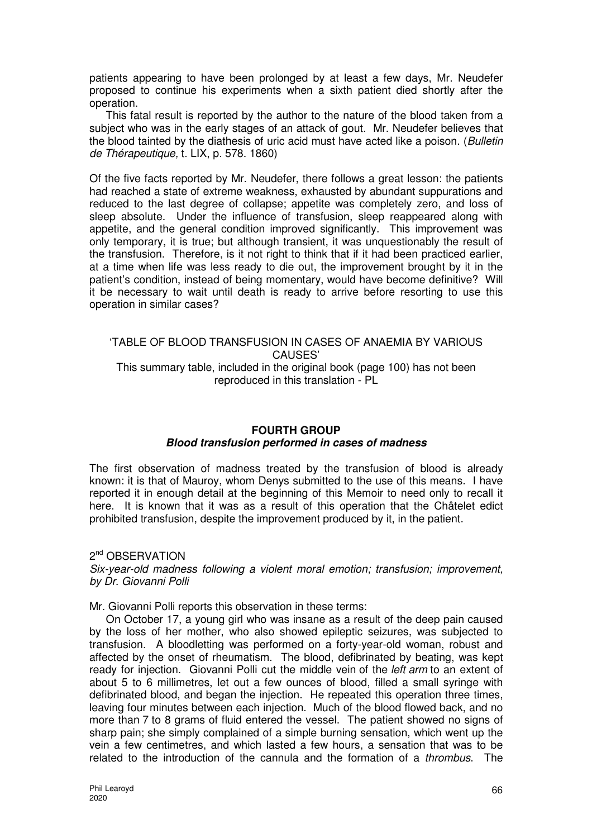patients appearing to have been prolonged by at least a few days, Mr. Neudefer proposed to continue his experiments when a sixth patient died shortly after the operation.

This fatal result is reported by the author to the nature of the blood taken from a subject who was in the early stages of an attack of gout. Mr. Neudefer believes that the blood tainted by the diathesis of uric acid must have acted like a poison. (Bulletin de Thérapeutique, t. LIX, p. 578. 1860)

Of the five facts reported by Mr. Neudefer, there follows a great lesson: the patients had reached a state of extreme weakness, exhausted by abundant suppurations and reduced to the last degree of collapse; appetite was completely zero, and loss of sleep absolute. Under the influence of transfusion, sleep reappeared along with appetite, and the general condition improved significantly. This improvement was only temporary, it is true; but although transient, it was unquestionably the result of the transfusion. Therefore, is it not right to think that if it had been practiced earlier, at a time when life was less ready to die out, the improvement brought by it in the patient's condition, instead of being momentary, would have become definitive? Will it be necessary to wait until death is ready to arrive before resorting to use this operation in similar cases?

# 'TABLE OF BLOOD TRANSFUSION IN CASES OF ANAEMIA BY VARIOUS CAUSES' This summary table, included in the original book (page 100) has not been reproduced in this translation - PL

# **FOURTH GROUP Blood transfusion performed in cases of madness**

The first observation of madness treated by the transfusion of blood is already known: it is that of Mauroy, whom Denys submitted to the use of this means. I have reported it in enough detail at the beginning of this Memoir to need only to recall it here. It is known that it was as a result of this operation that the Châtelet edict prohibited transfusion, despite the improvement produced by it, in the patient.

2<sup>nd</sup> OBSERVATION Six-year-old madness following a violent moral emotion; transfusion; improvement, by Dr. Giovanni Polli

Mr. Giovanni Polli reports this observation in these terms:

On October 17, a young girl who was insane as a result of the deep pain caused by the loss of her mother, who also showed epileptic seizures, was subjected to transfusion. A bloodletting was performed on a forty-year-old woman, robust and affected by the onset of rheumatism. The blood, defibrinated by beating, was kept ready for injection. Giovanni Polli cut the middle vein of the *left arm* to an extent of about 5 to 6 millimetres, let out a few ounces of blood, filled a small syringe with defibrinated blood, and began the injection. He repeated this operation three times, leaving four minutes between each injection. Much of the blood flowed back, and no more than 7 to 8 grams of fluid entered the vessel. The patient showed no signs of sharp pain; she simply complained of a simple burning sensation, which went up the vein a few centimetres, and which lasted a few hours, a sensation that was to be related to the introduction of the cannula and the formation of a thrombus. The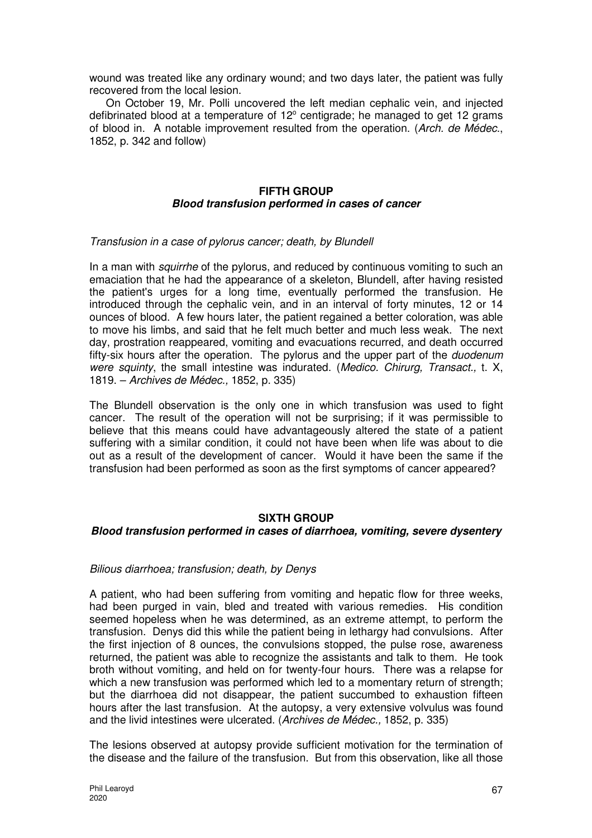wound was treated like any ordinary wound; and two days later, the patient was fully recovered from the local lesion.

On October 19, Mr. Polli uncovered the left median cephalic vein, and injected defibrinated blood at a temperature of  $12^{\circ}$  centigrade; he managed to get 12 grams of blood in. A notable improvement resulted from the operation. (Arch. de Médec., 1852, p. 342 and follow)

# **FIFTH GROUP Blood transfusion performed in cases of cancer**

#### Transfusion in a case of pylorus cancer; death, by Blundell

In a man with *squirrhe* of the pylorus, and reduced by continuous vomiting to such an emaciation that he had the appearance of a skeleton, Blundell, after having resisted the patient's urges for a long time, eventually performed the transfusion. He introduced through the cephalic vein, and in an interval of forty minutes, 12 or 14 ounces of blood. A few hours later, the patient regained a better coloration, was able to move his limbs, and said that he felt much better and much less weak. The next day, prostration reappeared, vomiting and evacuations recurred, and death occurred fifty-six hours after the operation. The pylorus and the upper part of the duodenum were squinty, the small intestine was indurated. (Medico. Chirurg, Transact., t. X, 1819. – Archives de Médec., 1852, p. 335)

The Blundell observation is the only one in which transfusion was used to fight cancer. The result of the operation will not be surprising; if it was permissible to believe that this means could have advantageously altered the state of a patient suffering with a similar condition, it could not have been when life was about to die out as a result of the development of cancer. Would it have been the same if the transfusion had been performed as soon as the first symptoms of cancer appeared?

## **SIXTH GROUP**

## **Blood transfusion performed in cases of diarrhoea, vomiting, severe dysentery**

#### Bilious diarrhoea; transfusion; death, by Denys

A patient, who had been suffering from vomiting and hepatic flow for three weeks, had been purged in vain, bled and treated with various remedies. His condition seemed hopeless when he was determined, as an extreme attempt, to perform the transfusion. Denys did this while the patient being in lethargy had convulsions. After the first injection of 8 ounces, the convulsions stopped, the pulse rose, awareness returned, the patient was able to recognize the assistants and talk to them. He took broth without vomiting, and held on for twenty-four hours. There was a relapse for which a new transfusion was performed which led to a momentary return of strength: but the diarrhoea did not disappear, the patient succumbed to exhaustion fifteen hours after the last transfusion. At the autopsy, a very extensive volvulus was found and the livid intestines were ulcerated. (Archives de Médec., 1852, p. 335)

The lesions observed at autopsy provide sufficient motivation for the termination of the disease and the failure of the transfusion. But from this observation, like all those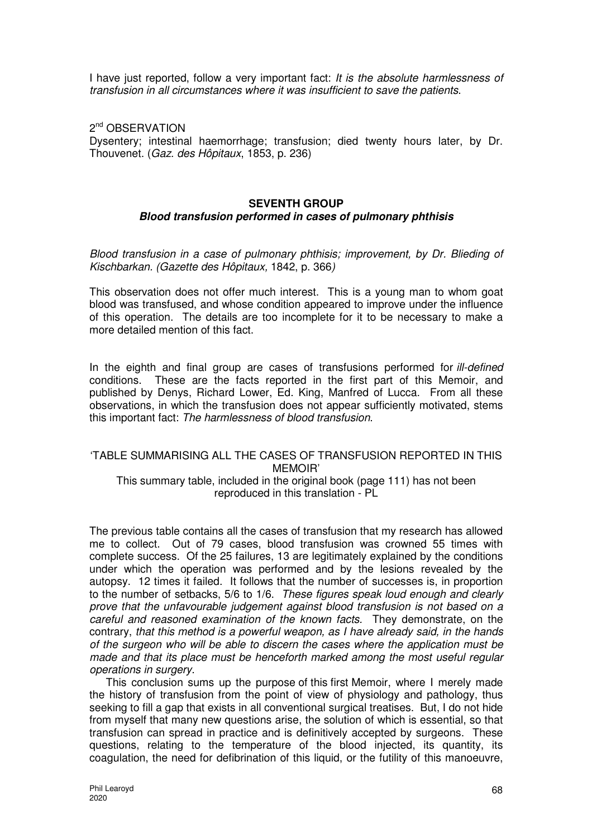I have just reported, follow a very important fact: It is the absolute harmlessness of transfusion in all circumstances where it was insufficient to save the patients.

2<sup>nd</sup> OBSERVATION Dysentery; intestinal haemorrhage; transfusion; died twenty hours later, by Dr. Thouvenet. (Gaz. des Hôpitaux, 1853, p. 236)

#### **SEVENTH GROUP**

## **Blood transfusion performed in cases of pulmonary phthisis**

Blood transfusion in a case of pulmonary phthisis; improvement, by Dr. Blieding of Kischbarkan. (Gazette des Hôpitaux, 1842, p. 366)

This observation does not offer much interest. This is a young man to whom goat blood was transfused, and whose condition appeared to improve under the influence of this operation. The details are too incomplete for it to be necessary to make a more detailed mention of this fact.

In the eighth and final group are cases of transfusions performed for ill-defined conditions. These are the facts reported in the first part of this Memoir, and published by Denys, Richard Lower, Ed. King, Manfred of Lucca. From all these observations, in which the transfusion does not appear sufficiently motivated, stems this important fact: The harmlessness of blood transfusion.

# 'TABLE SUMMARISING ALL THE CASES OF TRANSFUSION REPORTED IN THIS MEMOIR' This summary table, included in the original book (page 111) has not been

reproduced in this translation - PL

The previous table contains all the cases of transfusion that my research has allowed me to collect. Out of 79 cases, blood transfusion was crowned 55 times with complete success. Of the 25 failures, 13 are legitimately explained by the conditions under which the operation was performed and by the lesions revealed by the autopsy. 12 times it failed. It follows that the number of successes is, in proportion to the number of setbacks, 5/6 to 1/6. These figures speak loud enough and clearly prove that the unfavourable judgement against blood transfusion is not based on a careful and reasoned examination of the known facts. They demonstrate, on the contrary, that this method is a powerful weapon, as I have already said, in the hands of the surgeon who will be able to discern the cases where the application must be made and that its place must be henceforth marked among the most useful regular operations in surgery.

This conclusion sums up the purpose of this first Memoir, where I merely made the history of transfusion from the point of view of physiology and pathology, thus seeking to fill a gap that exists in all conventional surgical treatises. But, I do not hide from myself that many new questions arise, the solution of which is essential, so that transfusion can spread in practice and is definitively accepted by surgeons. These questions, relating to the temperature of the blood injected, its quantity, its coagulation, the need for defibrination of this liquid, or the futility of this manoeuvre,